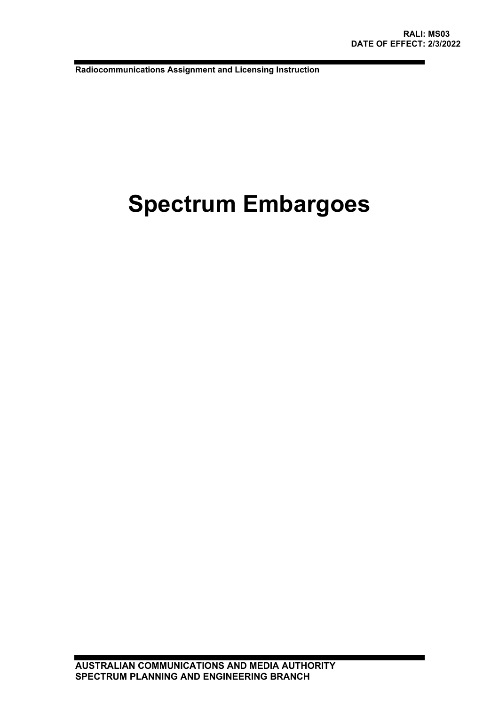**Radiocommunications Assignment and Licensing Instruction**

# **Spectrum Embargoes**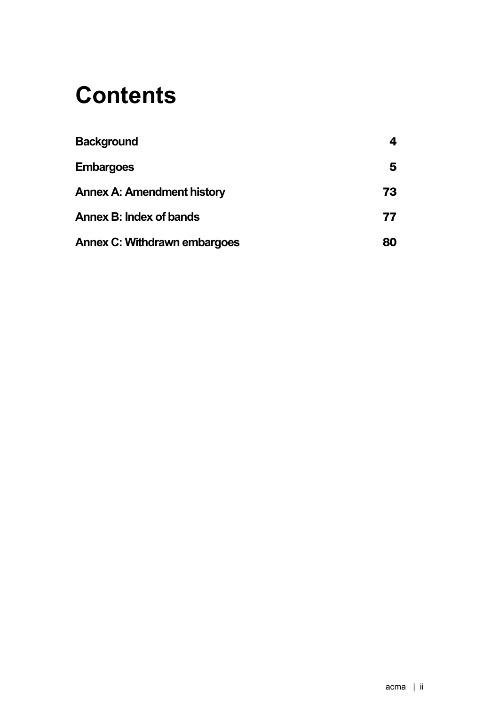# **Contents**

| <b>Background</b>                   |    |
|-------------------------------------|----|
| <b>Embargoes</b>                    | 5  |
| <b>Annex A: Amendment history</b>   | 73 |
| Annex B: Index of bands             | 77 |
| <b>Annex C: Withdrawn embargoes</b> | 80 |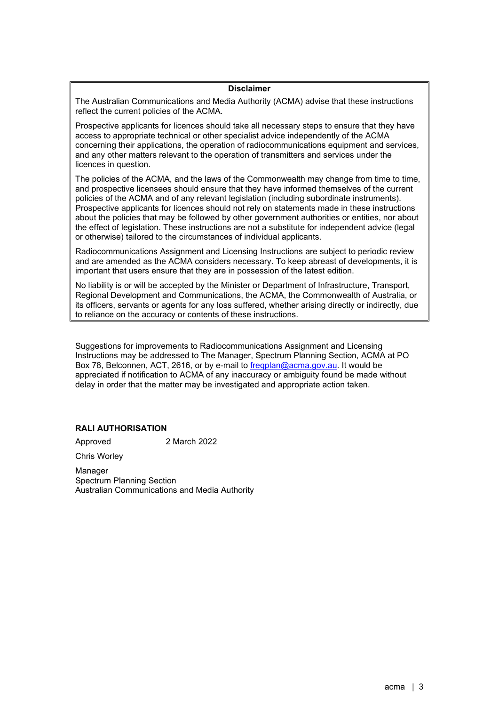# **Disclaimer**

The Australian Communications and Media Authority (ACMA) advise that these instructions reflect the current policies of the ACMA.

Prospective applicants for licences should take all necessary steps to ensure that they have access to appropriate technical or other specialist advice independently of the ACMA concerning their applications, the operation of radiocommunications equipment and services, and any other matters relevant to the operation of transmitters and services under the licences in question.

The policies of the ACMA, and the laws of the Commonwealth may change from time to time, and prospective licensees should ensure that they have informed themselves of the current policies of the ACMA and of any relevant legislation (including subordinate instruments). Prospective applicants for licences should not rely on statements made in these instructions about the policies that may be followed by other government authorities or entities, nor about the effect of legislation. These instructions are not a substitute for independent advice (legal or otherwise) tailored to the circumstances of individual applicants.

Radiocommunications Assignment and Licensing Instructions are subject to periodic review and are amended as the ACMA considers necessary. To keep abreast of developments, it is important that users ensure that they are in possession of the latest edition.

No liability is or will be accepted by the Minister or Department of Infrastructure, Transport, Regional Development and Communications, the ACMA, the Commonwealth of Australia, or its officers, servants or agents for any loss suffered, whether arising directly or indirectly, due to reliance on the accuracy or contents of these instructions.

Suggestions for improvements to Radiocommunications Assignment and Licensing Instructions may be addressed to The Manager, Spectrum Planning Section, ACMA at PO Box 78, Belconnen, ACT, 2616, or by e-mail to [freqplan@acma.gov.au.](mailto:freqplan@acma.gov.au) It would be appreciated if notification to ACMA of any inaccuracy or ambiguity found be made without delay in order that the matter may be investigated and appropriate action taken.

## **RALI AUTHORISATION**

Approved 2 March 2022

Chris Worley

Manager Spectrum Planning Section Australian Communications and Media Authority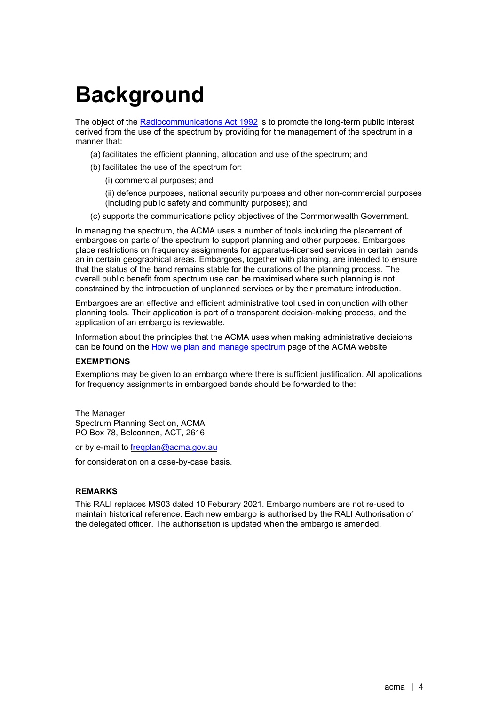# <span id="page-3-0"></span>**Background**

The object of the [Radiocommunications Act](https://www.legislation.gov.au/Details/C2021C00277) 1992 is to promote the long-term public interest derived from the use of the spectrum by providing for the management of the spectrum in a manner that:

- (a) facilitates the efficient planning, allocation and use of the spectrum; and
- (b) facilitates the use of the spectrum for:
	- (i) commercial purposes; and

(ii) defence purposes, national security purposes and other non-commercial purposes (including public safety and community purposes); and

(c) supports the communications policy objectives of the Commonwealth Government.

In managing the spectrum, the ACMA uses a number of tools including the placement of embargoes on parts of the spectrum to support planning and other purposes. Embargoes place restrictions on frequency assignments for apparatus-licensed services in certain bands an in certain geographical areas. Embargoes, together with planning, are intended to ensure that the status of the band remains stable for the durations of the planning process. The overall public benefit from spectrum use can be maximised where such planning is not constrained by the introduction of unplanned services or by their premature introduction.

Embargoes are an effective and efficient administrative tool used in conjunction with other planning tools. Their application is part of a transparent decision-making process, and the application of an embargo is reviewable.

Information about the principles that the ACMA uses when making administrative decisions can be found on the [How we plan and manage spectrum](https://www.acma.gov.au/how-we-plan-and-manage-spectrum) page of the ACMA website.

# **EXEMPTIONS**

Exemptions may be given to an embargo where there is sufficient justification. All applications for frequency assignments in embargoed bands should be forwarded to the:

The Manager Spectrum Planning Section, ACMA PO Box 78, Belconnen, ACT, 2616

or by e-mail to fregplan@acma.gov.au

for consideration on a case-by-case basis.

# **REMARKS**

This RALI replaces MS03 dated 10 Feburary 2021. Embargo numbers are not re-used to maintain historical reference. Each new embargo is authorised by the RALI Authorisation of the delegated officer. The authorisation is updated when the embargo is amended.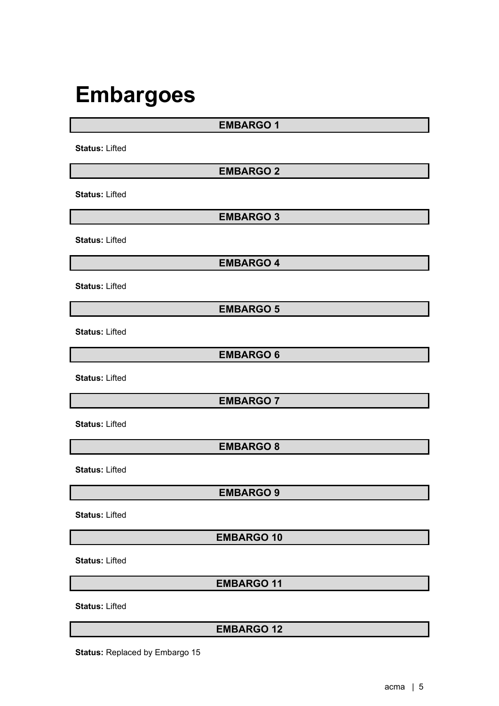# <span id="page-4-0"></span>**Embargoes**

**EMBARGO 1**

**Status:** Lifted

**EMBARGO 2**

**Status:** Lifted

**EMBARGO 3**

**Status:** Lifted

**EMBARGO 4**

**Status:** Lifted

**EMBARGO 5**

**Status:** Lifted

**EMBARGO 6**

**Status:** Lifted

**EMBARGO 7**

**Status:** Lifted

**EMBARGO 8**

**Status:** Lifted

**EMBARGO 9**

**Status:** Lifted

**EMBARGO 10**

**Status:** Lifted

**EMBARGO 11**

**Status:** Lifted

**EMBARGO 12**

**Status:** Replaced by Embargo 15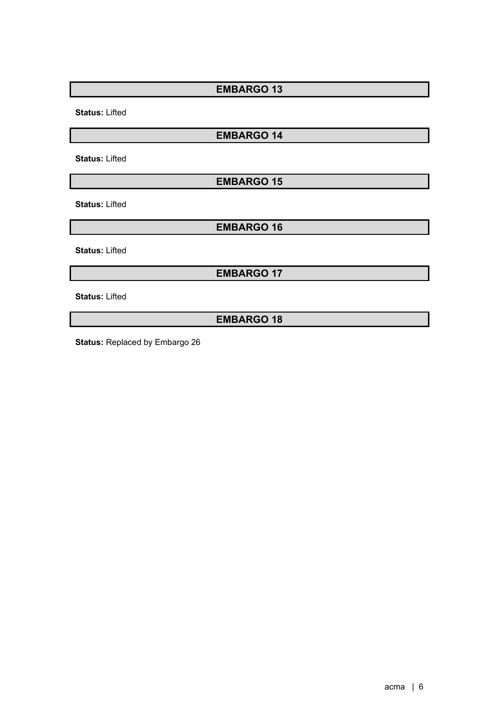**Status:** Lifted

# **EMBARGO 14**

**Status:** Lifted

**EMBARGO 15**

**Status:** Lifted

**EMBARGO 16**

**Status:** Lifted

**EMBARGO 17**

**Status:** Lifted

**EMBARGO 18**

**Status:** Replaced by Embargo 26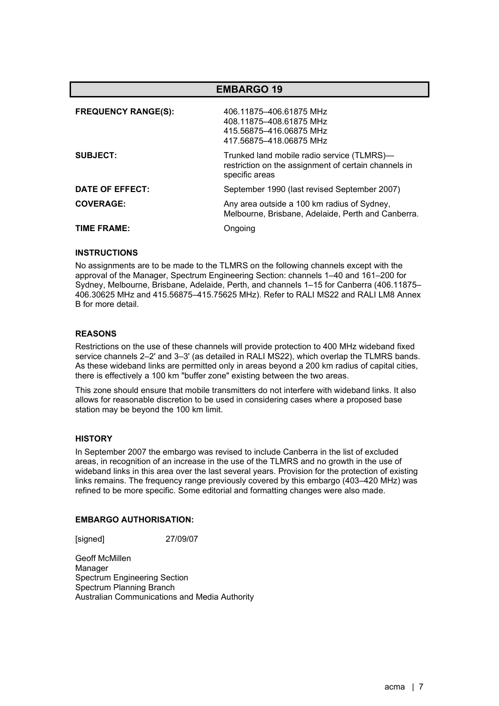| <b>EMBARGO 19</b>          |                                                                                                                      |  |
|----------------------------|----------------------------------------------------------------------------------------------------------------------|--|
| <b>FREQUENCY RANGE(S):</b> | 406.11875-406.61875 MHz<br>408.11875-408.61875 MHz<br>415.56875-416.06875 MHz<br>417.56875-418.06875 MHz             |  |
| <b>SUBJECT:</b>            | Trunked land mobile radio service (TLMRS)-<br>restriction on the assignment of certain channels in<br>specific areas |  |
| DATE OF EFFECT:            | September 1990 (last revised September 2007)                                                                         |  |
| <b>COVERAGE:</b>           | Any area outside a 100 km radius of Sydney,<br>Melbourne, Brisbane, Adelaide, Perth and Canberra.                    |  |
| TIME FRAME:                | Ongoing                                                                                                              |  |

No assignments are to be made to the TLMRS on the following channels except with the approval of the Manager, Spectrum Engineering Section: channels 1–40 and 161–200 for Sydney, Melbourne, Brisbane, Adelaide, Perth, and channels 1–15 for Canberra (406.11875– 406.30625 MHz and 415.56875–415.75625 MHz). Refer to RALI MS22 and RALI LM8 Annex B for more detail.

## **REASONS**

Restrictions on the use of these channels will provide protection to 400 MHz wideband fixed service channels 2–2' and 3–3' (as detailed in RALI MS22), which overlap the TLMRS bands. As these wideband links are permitted only in areas beyond a 200 km radius of capital cities, there is effectively a 100 km "buffer zone" existing between the two areas.

This zone should ensure that mobile transmitters do not interfere with wideband links. It also allows for reasonable discretion to be used in considering cases where a proposed base station may be beyond the 100 km limit.

## **HISTORY**

In September 2007 the embargo was revised to include Canberra in the list of excluded areas, in recognition of an increase in the use of the TLMRS and no growth in the use of wideband links in this area over the last several years. Provision for the protection of existing links remains. The frequency range previously covered by this embargo (403–420 MHz) was refined to be more specific. Some editorial and formatting changes were also made.

## **EMBARGO AUTHORISATION:**

[signed] 27/09/07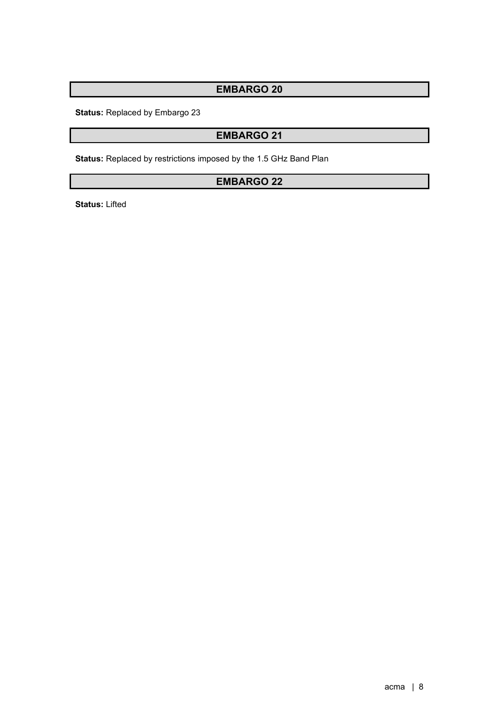**Status:** Replaced by Embargo 23

# **EMBARGO 21**

**Status:** Replaced by restrictions imposed by the 1.5 GHz Band Plan

# **EMBARGO 22**

**Status:** Lifted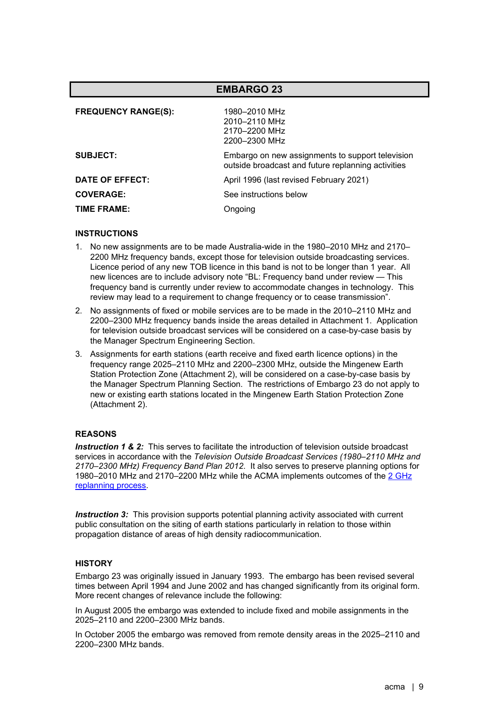|                            | <b>EMBARGO 23</b>                                                                                      |
|----------------------------|--------------------------------------------------------------------------------------------------------|
| <b>FREQUENCY RANGE(S):</b> | 1980–2010 MHz<br>2010-2110 MHz<br>2170-2200 MHz<br>2200-2300 MHz                                       |
| <b>SUBJECT:</b>            | Embargo on new assignments to support television<br>outside broadcast and future replanning activities |
| DATE OF EFFECT:            | April 1996 (last revised February 2021)                                                                |
| <b>COVERAGE:</b>           | See instructions below                                                                                 |
| TIME FRAME:                | Ongoing                                                                                                |

- 1. No new assignments are to be made Australia-wide in the 1980–2010 MHz and 2170– 2200 MHz frequency bands, except those for television outside broadcasting services. Licence period of any new TOB licence in this band is not to be longer than 1 year. All new licences are to include advisory note "BL: Frequency band under review — This frequency band is currently under review to accommodate changes in technology. This review may lead to a requirement to change frequency or to cease transmission".
- 2. No assignments of fixed or mobile services are to be made in the 2010–2110 MHz and 2200–2300 MHz frequency bands inside the areas detailed in Attachment 1. Application for television outside broadcast services will be considered on a case-by-case basis by the Manager Spectrum Engineering Section.
- 3. Assignments for earth stations (earth receive and fixed earth licence options) in the frequency range 2025–2110 MHz and 2200–2300 MHz, outside the Mingenew Earth Station Protection Zone (Attachment 2), will be considered on a case-by-case basis by the Manager Spectrum Planning Section. The restrictions of Embargo 23 do not apply to new or existing earth stations located in the Mingenew Earth Station Protection Zone (Attachment 2).

## **REASONS**

**Instruction 1 & 2:** This serves to facilitate the introduction of television outside broadcast services in accordance with the *Television Outside Broadcast Services (1980–2110 MHz and 2170–2300 MHz) Frequency Band Plan 2012*. It also serves to preserve planning options for 1980–2010 MHz and 2170–2200 MHz while the ACMA implements outcomes of the 2 [GHz](https://www.acma.gov.au/consultations/2020-07/replanning-options-2-ghz-band-consultation-232020)  [replanning process.](https://www.acma.gov.au/consultations/2020-07/replanning-options-2-ghz-band-consultation-232020)

**Instruction 3:** This provision supports potential planning activity associated with current public consultation on the siting of earth stations particularly in relation to those within propagation distance of areas of high density radiocommunication.

## **HISTORY**

Embargo 23 was originally issued in January 1993. The embargo has been revised several times between April 1994 and June 2002 and has changed significantly from its original form. More recent changes of relevance include the following:

In August 2005 the embargo was extended to include fixed and mobile assignments in the 2025–2110 and 2200–2300 MHz bands.

In October 2005 the embargo was removed from remote density areas in the 2025–2110 and 2200–2300 MHz bands.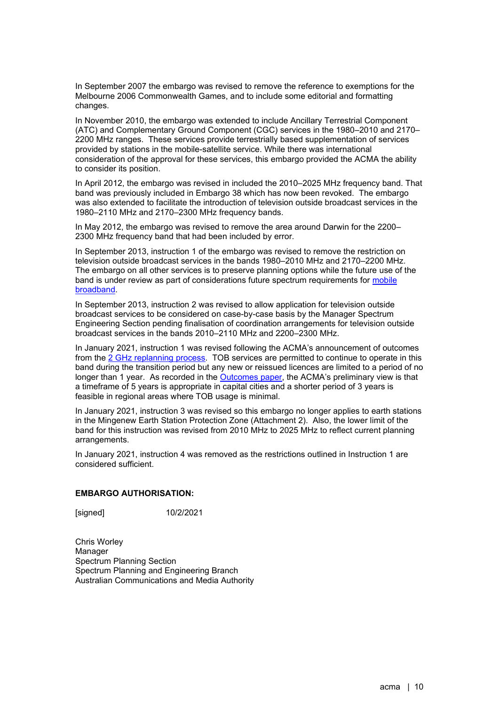In September 2007 the embargo was revised to remove the reference to exemptions for the Melbourne 2006 Commonwealth Games, and to include some editorial and formatting changes.

In November 2010, the embargo was extended to include Ancillary Terrestrial Component (ATC) and Complementary Ground Component (CGC) services in the 1980–2010 and 2170– 2200 MHz ranges. These services provide terrestrially based supplementation of services provided by stations in the mobile-satellite service. While there was international consideration of the approval for these services, this embargo provided the ACMA the ability to consider its position.

In April 2012, the embargo was revised in included the 2010–2025 MHz frequency band. That band was previously included in Embargo 38 which has now been revoked. The embargo was also extended to facilitate the introduction of television outside broadcast services in the 1980–2110 MHz and 2170–2300 MHz frequency bands.

In May 2012, the embargo was revised to remove the area around Darwin for the 2200– 2300 MHz frequency band that had been included by error.

In September 2013, instruction 1 of the embargo was revised to remove the restriction on television outside broadcast services in the bands 1980–2010 MHz and 2170–2200 MHz. The embargo on all other services is to preserve planning options while the future use of the band is under review as part of considerations future spectrum requirements for [mobile](https://www.acma.gov.au/mobile-broadband-strategy)  [broadband.](https://www.acma.gov.au/mobile-broadband-strategy)

In September 2013, instruction 2 was revised to allow application for television outside broadcast services to be considered on case-by-case basis by the Manager Spectrum Engineering Section pending finalisation of coordination arrangements for television outside broadcast services in the bands 2010–2110 MHz and 2200–2300 MHz.

In January 2021, instruction 1 was revised following the ACMA's announcement of outcomes from the 2 [GHz replanning process.](https://www.acma.gov.au/consultations/2020-07/replanning-options-2-ghz-band-consultation-232020) TOB services are permitted to continue to operate in this band during the transition period but any new or reissued licences are limited to a period of no longer than 1 year. As recorded in the [Outcomes paper,](https://www.acma.gov.au/sites/default/files/2021-01/Replanning%20the%202%20GHz%20band_Outcomes%20paper_0.docx) the ACMA's preliminary view is that a timeframe of 5 years is appropriate in capital cities and a shorter period of 3 years is feasible in regional areas where TOB usage is minimal.

In January 2021, instruction 3 was revised so this embargo no longer applies to earth stations in the Mingenew Earth Station Protection Zone (Attachment 2). Also, the lower limit of the band for this instruction was revised from 2010 MHz to 2025 MHz to reflect current planning arrangements.

In January 2021, instruction 4 was removed as the restrictions outlined in Instruction 1 are considered sufficient.

## **EMBARGO AUTHORISATION:**

[signed] 10/2/2021

Chris Worley Manager Spectrum Planning Section Spectrum Planning and Engineering Branch Australian Communications and Media Authority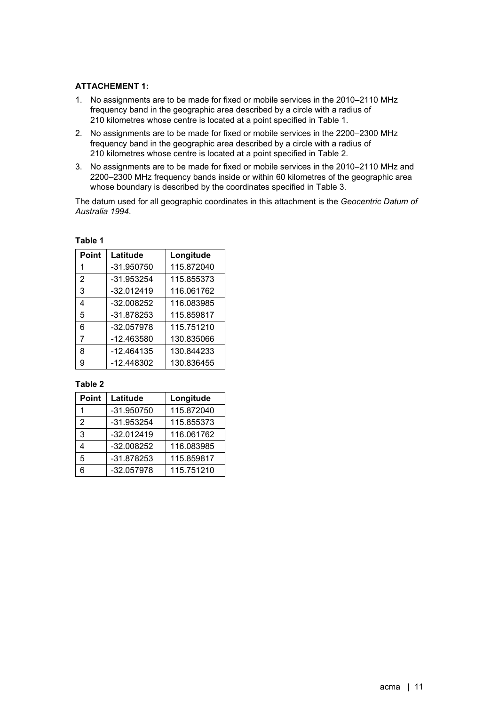# **ATTACHEMENT 1:**

- 1. No assignments are to be made for fixed or mobile services in the 2010–2110 MHz frequency band in the geographic area described by a circle with a radius of 210 kilometres whose centre is located at a point specified in Table 1.
- 2. No assignments are to be made for fixed or mobile services in the 2200–2300 MHz frequency band in the geographic area described by a circle with a radius of 210 kilometres whose centre is located at a point specified in Table 2.
- 3. No assignments are to be made for fixed or mobile services in the 2010–2110 MHz and 2200–2300 MHz frequency bands inside or within 60 kilometres of the geographic area whose boundary is described by the coordinates specified in Table 3.

The datum used for all geographic coordinates in this attachment is the *Geocentric Datum of Australia 1994*.

| <b>Point</b>   | Latitude   | Longitude  |
|----------------|------------|------------|
|                | -31.950750 | 115.872040 |
| $\overline{2}$ | -31.953254 | 115.855373 |
| 3              | -32.012419 | 116.061762 |
| 4              | -32.008252 | 116.083985 |
| 5              | -31.878253 | 115.859817 |
| 6              | -32.057978 | 115.751210 |
| 7              | -12.463580 | 130.835066 |
| 8              | -12.464135 | 130.844233 |
| 9              | -12.448302 | 130.836455 |

**Table 1**

## **Table 2**

| Point | Latitude     | Longitude  |
|-------|--------------|------------|
|       | -31.950750   | 115.872040 |
| 2     | -31.953254   | 115.855373 |
| 3     | $-32.012419$ | 116.061762 |
| 4     | -32.008252   | 116.083985 |
| 5     | -31.878253   | 115.859817 |
| 6     | -32.057978   | 115.751210 |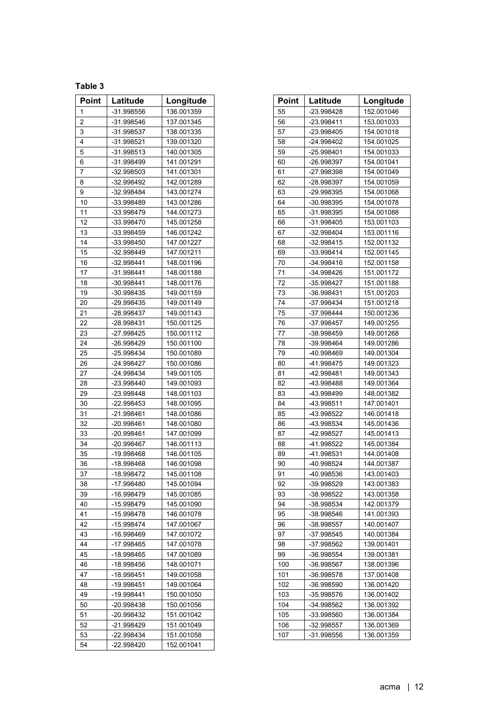# **Table 3**

| <b>Point</b> | Latitude   | Longitude  | <b>Point</b> | Latitude   | Longitud   |
|--------------|------------|------------|--------------|------------|------------|
| 1            | -31.998556 | 136.001359 | 55           | -23.998428 | 152.001046 |
| 2            | -31.998546 | 137.001345 | 56           | -23.998411 | 153.001033 |
| 3            | -31.998537 | 138.001335 | 57           | -23.998405 | 154.001018 |
| 4            | -31.998521 | 139.001320 | 58           | -24.998402 | 154.001025 |
| 5            | -31.998513 | 140.001305 | 59           | -25.998401 | 154.001033 |
| 6            | -31.998499 | 141.001291 | 60           | -26.998397 | 154.001041 |
| 7            | -32.998503 | 141.001301 | 61           | -27.998398 | 154.001049 |
| 8            | -32.998492 | 142.001289 | 62           | -28.998397 | 154.001059 |
| 9            | -32.998484 | 143.001274 | 63           | -29.998395 | 154.001068 |
| 10           | -33.998489 | 143.001286 | 64           | -30.998395 | 154.001078 |
| 11           | -33.998479 | 144.001273 | 65           | -31.998395 | 154.001088 |
| 12           | -33.998470 | 145.001258 | 66           | -31.998405 | 153.001103 |
| 13           | -33.998459 | 146.001242 | 67           | -32.998404 | 153.001116 |
| 14           | -33.998450 | 147.001227 | 68           | -32.998415 | 152.001132 |
| 15           | -32.998449 | 147.001211 | 69           | -33.998414 | 152.001145 |
| 16           | -32.998441 | 148.001196 | 70           | -34.998416 | 152.001158 |
| 17           | -31.998441 | 148.001188 | 71           | -34.998426 | 151.001172 |
| 18           | -30.998441 | 148.001176 | 72           | -35.998427 | 151.001188 |
| 19           | -30.998435 | 149.001159 | 73           | -36.998431 | 151.001203 |
| 20           | -29.998435 | 149.001149 | 74           | -37.998434 | 151.001218 |
| 21           | -28.998437 | 149.001143 | 75           | -37.998444 | 150.001236 |
| 22           | -28.998431 | 150.001125 | 76           | -37.998457 | 149.001255 |
| 23           | -27.998425 | 150.001112 | 77           | -38.998459 | 149.001268 |
| 24           | -26.998429 | 150.001100 | 78           | -39.998464 | 149.001286 |
| 25           | -25.998434 | 150.001089 | 79           | -40.998469 | 149.001304 |
| 26           | -24.998427 | 150.001086 | 80           | -41.998475 | 149.001323 |
| 27           | -24.998434 | 149.001105 | 81           | -42.998481 | 149.001343 |
| 28           | -23.998440 | 149.001093 | 82           | -43.998488 | 149.001364 |
| 29           | -23.998448 | 148.001103 | 83           | -43.998499 | 148.001382 |
| 30           | -22.998453 | 148.001095 | 84           | -43.998511 | 147.001401 |
| 31           | -21.998461 | 148.001086 | 85           | -43.998522 | 146.001418 |
| 32           | -20.998461 | 148.001080 | 86           | -43.998534 | 145.001436 |
| 33           | -20.998461 | 147.001099 | 87           | -42.998527 | 145.001413 |
| 34           | -20.998467 | 146.001113 | 88           | -41.998522 | 145.001384 |
| 35           | -19.998468 | 146.001105 | 89           | -41.998531 | 144.001408 |
| 36           | -18.998468 | 146.001098 | 90           | -40.998524 | 144.001387 |
| 37           | -18.998472 | 145.001108 | 91           | -40.998536 | 143.001403 |
| 38           | -17.998480 | 145.001094 | 92           | -39.998529 | 143.001383 |
| 39           | -16.998479 | 145.001085 | 93           | -38.998522 | 143.001358 |
| 40           | -15.998479 | 145.001090 | 94           | -38.998534 | 142.001379 |
| 41           | -15.998478 | 146.001078 | 95           | -38.998546 | 141.001393 |
| 42           | -15.998474 | 147.001067 | 96           | -38.998557 | 140.001407 |
| 43           | -16.998469 | 147.001072 | 97           | -37.998545 | 140.001384 |
| 44           | -17.998465 | 147.001078 | 98           | -37.998562 | 139.001401 |
| 45           | -18.998465 | 147.001089 | 99           | -36.998554 | 139.001381 |
| 46           | -18.998456 | 148.001071 | 100          | -36.998567 | 138.001396 |
| 47           | -18.998451 | 149.001058 | 101          | -36.998578 | 137.001408 |
| 48           | -19.998451 | 149.001064 | 102          | -36.998590 | 136.001420 |
| 49           | -19.998441 | 150.001050 | 103          | -35.998576 | 136.001402 |
| 50           | -20.998438 | 150.001056 | 104          | -34.998562 | 136.001392 |
| 51           | -20.998432 | 151.001042 | 105          | -33.998560 | 136.001384 |
| 52           | -21.998429 | 151.001049 | 106          | -32.998557 | 136.001369 |
| 53           | -22.998434 | 151.001058 | 107          | -31.998556 | 136.001359 |
| 54           | -22.998420 | 152.001041 |              |            |            |

| Point | Latitude   | Longitude  | <b>Point</b> | Latitude   | Longitude  |
|-------|------------|------------|--------------|------------|------------|
| 1     | -31.998556 | 136.001359 | 55           | -23.998428 | 152.001046 |
| 2     | -31.998546 | 137.001345 | 56           | -23.998411 | 153.001033 |
| 3     | -31.998537 | 138.001335 | 57           | -23.998405 | 154.001018 |
| 4     | -31.998521 | 139.001320 | 58           | -24.998402 | 154.001025 |
| 5     | -31.998513 | 140.001305 | 59           | -25.998401 | 154.001033 |
| 6     | -31.998499 | 141.001291 | 60           | -26.998397 | 154.001041 |
| 7     | -32.998503 | 141.001301 | 61           | -27.998398 | 154.001049 |
| 8     | -32.998492 | 142.001289 | 62           | -28.998397 | 154.001059 |
| 9     | -32.998484 | 143.001274 | 63           | -29.998395 | 154.001068 |
| 10    | -33.998489 | 143.001286 | 64           | -30.998395 | 154.001078 |
| 11    | -33.998479 | 144.001273 | 65           | -31.998395 | 154.001088 |
| 12    | -33.998470 | 145.001258 | 66           | -31.998405 | 153.001103 |
| 13    | -33.998459 | 146.001242 | 67           | -32.998404 | 153.001116 |
| 14    | -33.998450 | 147.001227 | 68           | -32.998415 | 152.001132 |
| 15    | -32.998449 | 147.001211 | 69           | -33.998414 | 152.001145 |
| 16    | -32.998441 | 148.001196 | 70           | -34.998416 | 152.001158 |
| 17    | -31.998441 | 148.001188 | 71           | -34.998426 | 151.001172 |
| 18    | -30.998441 | 148.001176 | 72           | -35.998427 | 151.001188 |
| 19    | -30.998435 | 149.001159 | 73           | -36.998431 | 151.001203 |
| 20    | -29.998435 | 149.001149 | 74           | -37.998434 | 151.001218 |
| 21    | -28.998437 | 149.001143 | 75           | -37.998444 | 150.001236 |
| 22    | -28.998431 | 150.001125 | 76           | -37.998457 | 149.001255 |
| 23    | -27.998425 | 150.001112 | 77           | -38.998459 | 149.001268 |
| 24    | -26.998429 | 150.001100 | 78           | -39.998464 | 149.001286 |
| 25    | -25.998434 | 150.001089 | 79           | -40.998469 | 149.001304 |
| 26    | -24.998427 | 150.001086 | 80           | -41.998475 | 149.001323 |
| 27    | -24.998434 | 149.001105 | 81           | -42.998481 | 149.001343 |
| 28    | -23.998440 | 149.001093 | 82           | -43.998488 | 149.001364 |
| 29    | -23.998448 | 148.001103 | 83           | -43.998499 | 148.001382 |
| 30    | -22.998453 | 148.001095 | 84           | -43.998511 | 147.001401 |
| 31    | -21.998461 | 148.001086 | 85           | -43.998522 | 146.001418 |
| 32    | -20.998461 | 148.001080 | 86           | -43.998534 | 145.001436 |
| 33    | -20.998461 | 147.001099 | 87           | -42.998527 | 145.001413 |
| 34    | -20.998467 | 146.001113 | 88           | -41.998522 | 145.001384 |
| 35    | -19.998468 | 146.001105 | 89           | -41.998531 | 144.001408 |
| 36    | -18.998468 | 146.001098 | 90           | -40.998524 | 144.001387 |
| 37    | -18.998472 | 145.001108 | 91           | -40.998536 | 143.001403 |
| 38    | -17.998480 | 145.001094 | 92           | -39.998529 | 143.001383 |
| 39    | -16.998479 | 145.001085 | 93           | -38.998522 | 143.001358 |
| 40    | -15.998479 | 145.001090 | 94           | -38.998534 | 142.001379 |
| 41    | -15.998478 | 146.001078 | 95           | -38.998546 | 141.001393 |
| 42    | -15.998474 | 147.001067 | 96           | -38.998557 | 140.001407 |
| 43    | -16.998469 | 147.001072 | 97           | -37.998545 | 140.001384 |
| 44    | -17.998465 | 147.001078 | 98           | -37.998562 | 139.001401 |
| 45    | -18.998465 | 147.001089 | 99           | -36.998554 | 139.001381 |
| 46    | -18.998456 | 148.001071 | 100          | -36.998567 | 138.001396 |
| 47    | -18.998451 | 149.001058 | 101          | -36.998578 | 137.001408 |
| 48    | -19.998451 | 149.001064 | 102          | -36.998590 | 136.001420 |
| 49    | -19.998441 | 150.001050 | 103          | -35.998576 | 136.001402 |
| 50    | -20.998438 | 150.001056 | 104          | -34.998562 | 136.001392 |
| 51    | -20.998432 | 151.001042 | 105          | -33.998560 | 136.001384 |
| 52    | -21.998429 | 151.001049 | 106          | -32.998557 | 136.001369 |
| 53    | -22.998434 | 151.001058 | 107          | -31.998556 | 136.001359 |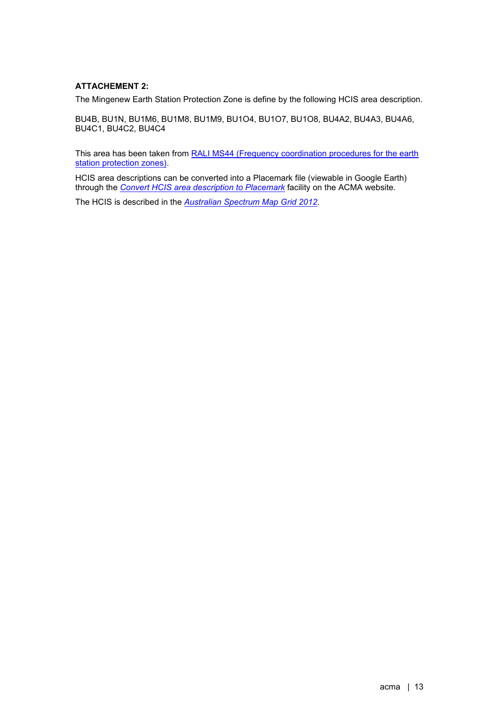# **ATTACHEMENT 2:**

The Mingenew Earth Station Protection Zone is define by the following HCIS area description.

BU4B, BU1N, BU1M6, BU1M8, BU1M9, BU1O4, BU1O7, BU1O8, BU4A2, BU4A3, BU4A6, BU4C1, BU4C2, BU4C4

This area has been taken from [RALI MS44 \(Frequency coordination procedures for the earth](https://www.acma.gov.au/ralis-frequency-coordination)  [station protection zones\).](https://www.acma.gov.au/ralis-frequency-coordination)

HCIS area descriptions can be converted into a Placemark file (viewable in Google Earth) through the *[Convert HCIS area description to Placemark](https://www.acma.gov.au/convert-hcis-area-description-placemark-0)* facility on the ACMA website.

The HCIS is described in the *[Australian Spectrum Map Grid 2012](https://www.acma.gov.au/sites/default/files/2019-10/The%20Australian%20spectrum%20map%20grid%202012.PDF)*.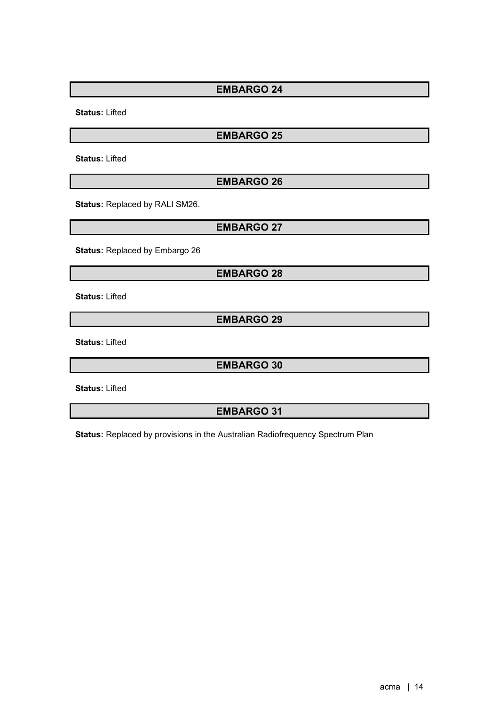**Status:** Lifted

# **EMBARGO 25**

**Status:** Lifted

# **EMBARGO 26**

**Status:** Replaced by RALI SM26.

**EMBARGO 27**

**Status:** Replaced by Embargo 26

# **EMBARGO 28**

**Status:** Lifted

**EMBARGO 29**

**Status:** Lifted

**EMBARGO 30**

**Status:** Lifted

**EMBARGO 31**

**Status:** Replaced by provisions in the Australian Radiofrequency Spectrum Plan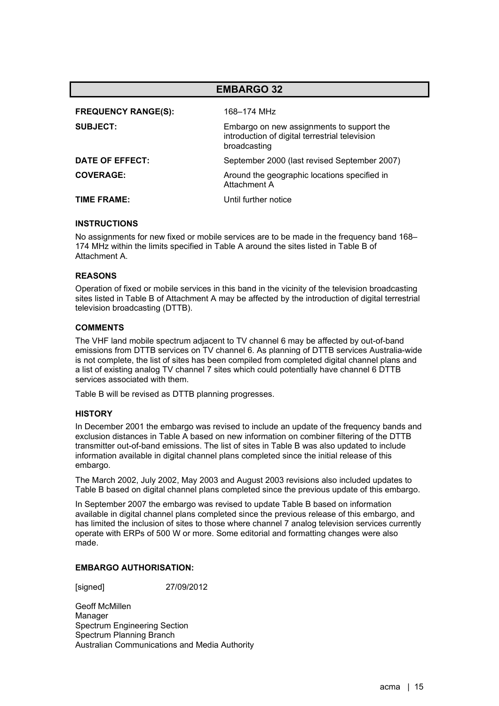| <b>EMBARGO 32</b>          |                                                                                                             |  |
|----------------------------|-------------------------------------------------------------------------------------------------------------|--|
| <b>FREQUENCY RANGE(S):</b> | 168–174 MH <sub>7</sub>                                                                                     |  |
| <b>SUBJECT:</b>            | Embargo on new assignments to support the<br>introduction of digital terrestrial television<br>broadcasting |  |
| DATE OF EFFECT:            | September 2000 (last revised September 2007)                                                                |  |
| <b>COVERAGE:</b>           | Around the geographic locations specified in<br>Attachment A                                                |  |
| TIME FRAME:                | Until further notice                                                                                        |  |

No assignments for new fixed or mobile services are to be made in the frequency band 168– 174 MHz within the limits specified in Table A around the sites listed in Table B of Attachment A.

# **REASONS**

Operation of fixed or mobile services in this band in the vicinity of the television broadcasting sites listed in Table B of Attachment A may be affected by the introduction of digital terrestrial television broadcasting (DTTB).

# **COMMENTS**

The VHF land mobile spectrum adjacent to TV channel 6 may be affected by out-of-band emissions from DTTB services on TV channel 6. As planning of DTTB services Australia-wide is not complete, the list of sites has been compiled from completed digital channel plans and a list of existing analog TV channel 7 sites which could potentially have channel 6 DTTB services associated with them.

Table B will be revised as DTTB planning progresses.

## **HISTORY**

In December 2001 the embargo was revised to include an update of the frequency bands and exclusion distances in Table A based on new information on combiner filtering of the DTTB transmitter out-of-band emissions. The list of sites in Table B was also updated to include information available in digital channel plans completed since the initial release of this embargo.

The March 2002, July 2002, May 2003 and August 2003 revisions also included updates to Table B based on digital channel plans completed since the previous update of this embargo.

In September 2007 the embargo was revised to update Table B based on information available in digital channel plans completed since the previous release of this embargo, and has limited the inclusion of sites to those where channel 7 analog television services currently operate with ERPs of 500 W or more. Some editorial and formatting changes were also made.

# **EMBARGO AUTHORISATION:**

[signed] 27/09/2012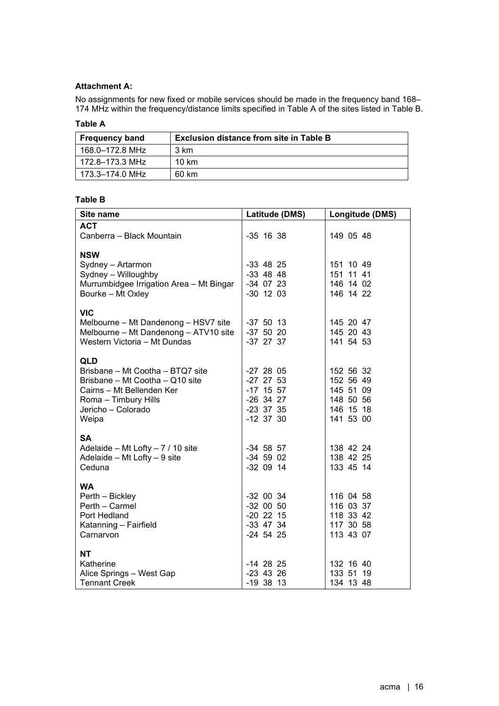# **Attachment A:**

No assignments for new fixed or mobile services should be made in the frequency band 168– 174 MHz within the frequency/distance limits specified in Table A of the sites listed in Table B.

# **Table A**

| <b>Frequency band</b> | <b>Exclusion distance from site in Table B</b> |
|-----------------------|------------------------------------------------|
| 168.0–172.8 MHz       | 3 km                                           |
| 172.8–173.3 MHz       | 10 km                                          |
| 173.3-174.0 MHz       | 60 km                                          |

# **Table B**

| Site name                                                                                                                                                             | Latitude (DMS)                                                                         | Longitude (DMS)                                                            |
|-----------------------------------------------------------------------------------------------------------------------------------------------------------------------|----------------------------------------------------------------------------------------|----------------------------------------------------------------------------|
| <b>ACT</b><br>Canberra - Black Mountain                                                                                                                               | $-35$ 16 38                                                                            | 149 05 48                                                                  |
| <b>NSW</b><br>Sydney - Artarmon<br>Sydney - Willoughby<br>Murrumbidgee Irrigation Area - Mt Bingar<br>Bourke - Mt Oxley                                               | $-33$ 48 25<br>$-33$ 48 48<br>-34 07 23<br>$-30$ 12 03                                 | 151 10 49<br>151 11 41<br>146 14 02<br>146 14 22                           |
| <b>VIC</b><br>Melbourne - Mt Dandenong - HSV7 site<br>Melbourne - Mt Dandenong - ATV10 site<br>Western Victoria - Mt Dundas                                           | $-37$ 50 13<br>$-37$ 50 20<br>$-37$ 27 37                                              | 145 20 47<br>145 20 43<br>141 54 53                                        |
| <b>QLD</b><br>Brisbane - Mt Cootha - BTQ7 site<br>Brisbane - Mt Cootha - Q10 site<br>Cairns - Mt Bellenden Ker<br>Roma - Timbury Hills<br>Jericho - Colorado<br>Weipa | $-27$ 28 05<br>$-27$ 27 53<br>$-17$ 15 57<br>$-26$ 34 27<br>$-23$ 37 35<br>$-12$ 37 30 | 152 56 32<br>152 56 49<br>145 51 09<br>148 50 56<br>146 15 18<br>141 53 00 |
| <b>SA</b><br>Adelaide - Mt Lofty - 7 / 10 site<br>Adelaide - Mt Lofty - 9 site<br>Ceduna                                                                              | $-34$ 58 57<br>$-34$ 59 02<br>$-32$ 09 14                                              | 138 42 24<br>138 42 25<br>133 45 14                                        |
| <b>WA</b><br>Perth - Bickley<br>Perth - Carmel<br>Port Hedland<br>Katanning - Fairfield<br>Carnarvon                                                                  | $-32$ 00 34<br>$-32$ 00 50<br>$-20$ 22 15<br>$-33$ 47 34<br>$-24$ 54 25                | 116 04 58<br>116 03 37<br>118 33 42<br>117 30 58<br>113 43 07              |
| <b>NT</b><br>Katherine<br>Alice Springs - West Gap<br><b>Tennant Creek</b>                                                                                            | $-14$ 28 25<br>$-23$ 43 26<br>$-19$ 38 13                                              | 132 16 40<br>133 51 19<br>134 13 48                                        |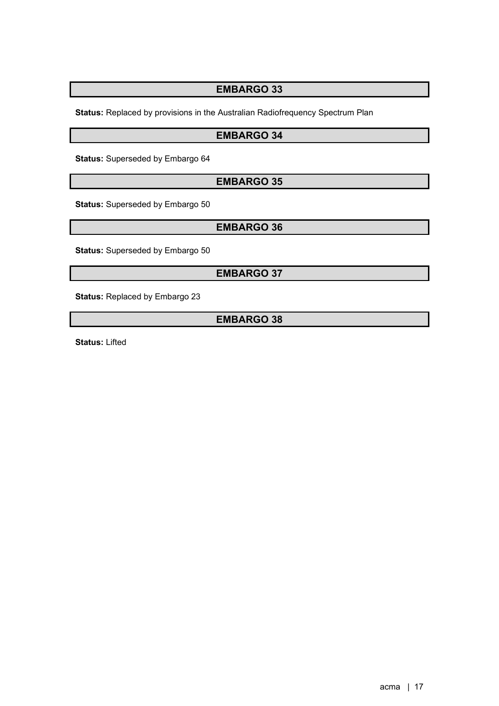**Status:** Replaced by provisions in the Australian Radiofrequency Spectrum Plan

# **EMBARGO 34**

**Status:** Superseded by Embargo 64

# **EMBARGO 35**

**Status:** Superseded by Embargo 50

# **EMBARGO 36**

**Status:** Superseded by Embargo 50

# **EMBARGO 37**

**Status:** Replaced by Embargo 23

# **EMBARGO 38**

**Status:** Lifted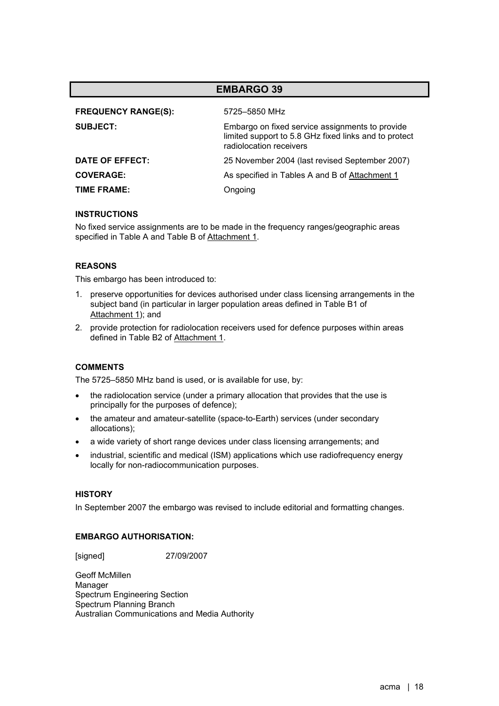| <b>FREQUENCY RANGE(S):</b> | 5725-5850 MHz                                                                                                                       |
|----------------------------|-------------------------------------------------------------------------------------------------------------------------------------|
| <b>SUBJECT:</b>            | Embargo on fixed service assignments to provide<br>limited support to 5.8 GHz fixed links and to protect<br>radiolocation receivers |
| DATE OF EFFECT:            | 25 November 2004 (last revised September 2007)                                                                                      |
| <b>COVERAGE:</b>           | As specified in Tables A and B of Attachment 1                                                                                      |
| <b>TIME FRAME:</b>         | Ongoing                                                                                                                             |

## **INSTRUCTIONS**

No fixed service assignments are to be made in the frequency ranges/geographic areas specified in Table A and Table B of Attachment 1.

# **REASONS**

This embargo has been introduced to:

- 1. preserve opportunities for devices authorised under class licensing arrangements in the subject band (in particular in larger population areas defined in Table B1 of Attachment 1); and
- 2. provide protection for radiolocation receivers used for defence purposes within areas defined in Table B2 of Attachment 1.

## **COMMENTS**

The 5725–5850 MHz band is used, or is available for use, by:

- the radiolocation service (under a primary allocation that provides that the use is principally for the purposes of defence);
- the amateur and amateur-satellite (space-to-Earth) services (under secondary allocations);
- a wide variety of short range devices under class licensing arrangements; and
- industrial, scientific and medical (ISM) applications which use radiofrequency energy locally for non-radiocommunication purposes.

## **HISTORY**

In September 2007 the embargo was revised to include editorial and formatting changes.

# **EMBARGO AUTHORISATION:**

[signed] 27/09/2007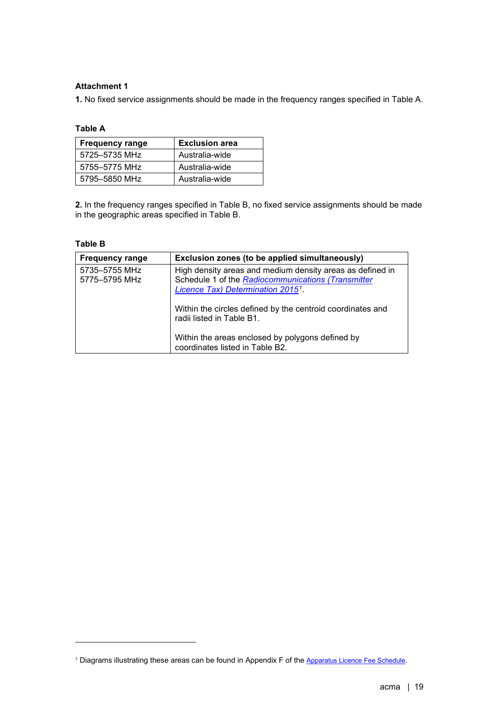# **Attachment 1**

**1.** No fixed service assignments should be made in the frequency ranges specified in Table A.

# **Table A**

| <b>Frequency range</b> | <b>Exclusion area</b> |
|------------------------|-----------------------|
| 5725-5735 MHz          | Australia-wide        |
| 5755-5775 MHz          | Australia-wide        |
| 5795-5850 MHz          | Australia-wide        |

**2.** In the frequency ranges specified in Table B, no fixed service assignments should be made in the geographic areas specified in Table B.

# **Table B**

| <b>Frequency range</b>         | Exclusion zones (to be applied simultaneously)                                                                                                              |
|--------------------------------|-------------------------------------------------------------------------------------------------------------------------------------------------------------|
| 5735-5755 MHz<br>5775-5795 MHz | High density areas and medium density areas as defined in<br>Schedule 1 of the Radiocommunications (Transmitter<br><b>Licence Tax) Determination 20151.</b> |
|                                | Within the circles defined by the centroid coordinates and<br>radii listed in Table B1.                                                                     |
|                                | Within the areas enclosed by polygons defined by<br>coordinates listed in Table B2.                                                                         |

<span id="page-18-0"></span><sup>&</sup>lt;sup>1</sup> Diagrams illustrating these areas can be found in Appendix F of the [Apparatus Licence Fee Schedule.](https://www.acma.gov.au/fees-apparatus-licences)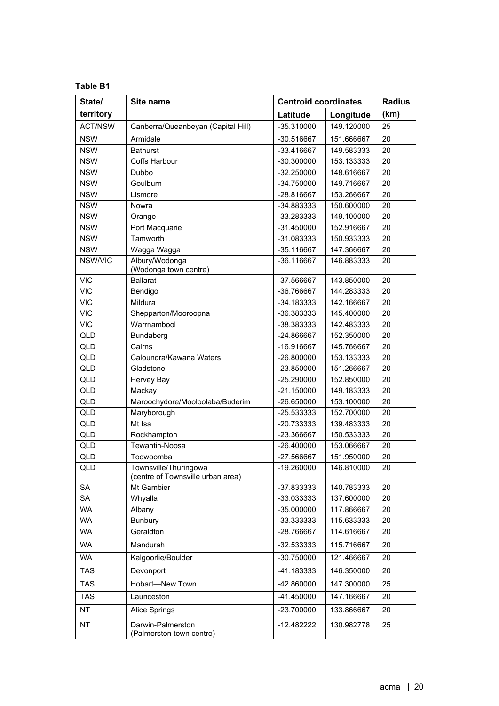# **Table B1**

| State/         | Site name                                                  | <b>Centroid coordinates</b> |                          | <b>Radius</b> |
|----------------|------------------------------------------------------------|-----------------------------|--------------------------|---------------|
| territory      |                                                            | Latitude                    | Longitude                | (km)          |
| <b>ACT/NSW</b> | Canberra/Queanbeyan (Capital Hill)                         | -35.310000                  | 149.120000               | 25            |
| <b>NSW</b>     | Armidale                                                   | -30.516667                  | 151.666667               | 20            |
| <b>NSW</b>     | <b>Bathurst</b>                                            | -33.416667                  | 149.583333               | 20            |
| <b>NSW</b>     | <b>Coffs Harbour</b>                                       | -30.300000                  | 153.133333               | 20            |
| <b>NSW</b>     | Dubbo                                                      | -32.250000                  | 148.616667               | 20            |
| <b>NSW</b>     | Goulburn                                                   | -34.750000                  | 149.716667               | 20            |
| <b>NSW</b>     | Lismore                                                    | -28.816667                  | 153.266667               | 20            |
| <b>NSW</b>     | Nowra                                                      | -34.883333                  | 150.600000               | 20            |
| <b>NSW</b>     | Orange                                                     | -33.283333                  | 149.100000               | 20            |
| <b>NSW</b>     | Port Macquarie                                             | -31.450000                  | 152.916667               | 20            |
| <b>NSW</b>     | Tamworth                                                   | -31.083333                  | 150.933333               | 20            |
| <b>NSW</b>     | Wagga Wagga                                                | -35.116667                  | 147.366667               | 20            |
| NSW/VIC        | Albury/Wodonga                                             | -36.116667                  | 146.883333               | 20            |
|                | (Wodonga town centre)                                      |                             |                          |               |
| <b>VIC</b>     | <b>Ballarat</b>                                            | -37.566667                  | 143.850000               | 20            |
| <b>VIC</b>     | Bendigo                                                    | -36.766667                  | 144.283333               | 20            |
| <b>VIC</b>     | Mildura                                                    | -34.183333                  | 142.166667               | 20            |
| <b>VIC</b>     | Shepparton/Mooroopna                                       | -36.383333                  | 145.400000               | 20            |
| <b>VIC</b>     | Warrnambool                                                | -38.383333                  | 142.483333               | 20            |
| QLD            | Bundaberg                                                  | -24.866667                  | 152.350000               | 20            |
| QLD            | Cairns                                                     | -16.916667                  | 145.766667               | 20            |
| QLD            | Caloundra/Kawana Waters                                    | $-26.800000$                | 153.133333               | 20            |
| QLD            | Gladstone                                                  | -23.850000                  | 151.266667               | 20            |
| QLD            | Hervey Bay                                                 | -25.290000                  | 152.850000               | 20            |
| QLD            | Mackay                                                     | $-21.150000$                | 149.183333               | 20            |
| QLD<br>QLD     | Maroochydore/Mooloolaba/Buderim<br>Maryborough             | -26.650000<br>-25.533333    | 153.100000               | 20<br>20      |
| QLD            | Mt Isa                                                     |                             | 152.700000               | 20            |
| QLD            | Rockhampton                                                | -20.733333<br>-23.366667    | 139.483333<br>150.533333 | 20            |
| QLD            | Tewantin-Noosa                                             | $-26.400000$                | 153.066667               | 20            |
| QLD            | Toowoomba                                                  | -27.566667                  | 151.950000               | 20            |
| QLD            | Townsville/Thuringowa<br>(centre of Townsville urban area) | -19.260000                  | 146.810000               | 20            |
| <b>SA</b>      | Mt Gambier                                                 | -37.833333                  | 140.783333               | 20            |
| SA             | Whyalla                                                    | -33.033333                  | 137.600000               | 20            |
| WA             | Albany                                                     | -35.000000                  | 117.866667               | 20            |
| WA             | <b>Bunbury</b>                                             | -33.333333                  | 115.633333               | 20            |
| WA             | Geraldton                                                  | -28.766667                  | 114.616667               | 20            |
| WA             | Mandurah                                                   | -32.533333                  | 115.716667               | 20            |
| <b>WA</b>      | Kalgoorlie/Boulder                                         | -30.750000                  | 121.466667               | 20            |
| <b>TAS</b>     | Devonport                                                  | -41.183333                  | 146.350000               | 20            |
| <b>TAS</b>     | Hobart-New Town                                            | -42.860000                  | 147.300000               | 25            |
| TAS            | Launceston                                                 | -41.450000                  | 147.166667               | 20            |
| NT             | Alice Springs                                              | -23.700000                  | 133.866667               | 20            |
| <b>NT</b>      | Darwin-Palmerston<br>(Palmerston town centre)              | $-12.482222$                | 130.982778               | 25            |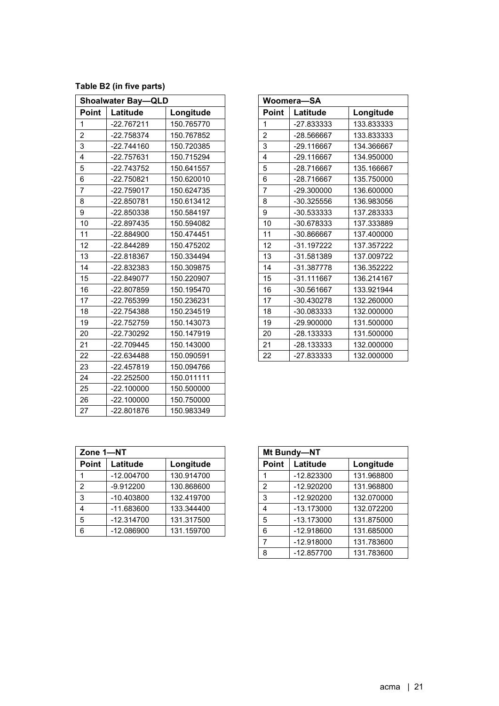**Table B2 (in five parts)**

|                         | <b>Shoalwater Bay-QLD</b> |            |                | Woomera-SA   |            |
|-------------------------|---------------------------|------------|----------------|--------------|------------|
| Point                   | Latitude                  | Longitude  | Point          | Latitude     | Longitude  |
| $\mathbf{1}$            | $-22.767211$              | 150.765770 | $\mathbf{1}$   | -27.833333   | 133.833333 |
| $\overline{c}$          | -22.758374                | 150.767852 | $\overline{c}$ | -28.566667   | 133.833333 |
| 3                       | $-22.744160$              | 150.720385 | 3              | -29.116667   | 134.366667 |
| $\overline{\mathbf{4}}$ | -22.757631                | 150.715294 | 4              | -29.116667   | 134.950000 |
| 5                       | -22.743752                | 150.641557 | 5              | -28.716667   | 135.166667 |
| 6                       | -22.750821                | 150.620010 | 6              | -28.716667   | 135.750000 |
| $\overline{7}$          | $-22.759017$              | 150.624735 | $\overline{7}$ | -29.300000   | 136.600000 |
| 8                       | -22.850781                | 150.613412 | 8              | -30.325556   | 136.983056 |
| 9                       | -22.850338                | 150.584197 | 9              | -30.533333   | 137.283333 |
| 10                      | $-22.897435$              | 150.594082 | 10             | -30.678333   | 137.333889 |
| 11                      | -22.884900                | 150.474451 | 11             | -30.866667   | 137.400000 |
| 12                      | -22.844289                | 150.475202 | 12             | $-31.197222$ | 137.357222 |
| 13                      | -22.818367                | 150.334494 | 13             | -31.581389   | 137.009722 |
| 14                      | -22.832383                | 150.309875 | 14             | -31.387778   | 136.352222 |
| 15                      | $-22.849077$              | 150.220907 | 15             | $-31.111667$ | 136.214167 |
| 16                      | -22.807859                | 150.195470 | 16             | -30.561667   | 133.921944 |
| 17                      | -22.765399                | 150.236231 | 17             | -30.430278   | 132.260000 |
| 18                      | -22.754388                | 150.234519 | 18             | -30.083333   | 132.000000 |
| 19                      | -22.752759                | 150.143073 | 19             | -29.900000   | 131.500000 |
| 20                      | -22.730292                | 150.147919 | 20             | -28.133333   | 131.500000 |
| 21                      | -22.709445                | 150.143000 | 21             | -28.133333   | 132.000000 |
| 22                      | $-22.634488$              | 150.090591 | 22             | -27.833333   | 132.000000 |
| 23                      | -22.457819                | 150.094766 |                |              |            |
| 24                      | $-22.252500$              | 150.011111 |                |              |            |
| 25                      | $-22.100000$              | 150.500000 |                |              |            |
| 26                      | $-22.100000$              | 150.750000 |                |              |            |
| 27                      | -22.801876                | 150.983349 |                |              |            |

|                | Woomera-SA   |            |  |
|----------------|--------------|------------|--|
| Point          | Latitude     | Longitude  |  |
| 1              | -27.833333   | 133.833333 |  |
| $\overline{c}$ | -28.566667   | 133.833333 |  |
| 3              | -29.116667   | 134.366667 |  |
| 4              | -29.116667   | 134.950000 |  |
| 5              | -28.716667   | 135.166667 |  |
| 6              | -28.716667   | 135.750000 |  |
| 7              | -29.300000   | 136.600000 |  |
| 8              | -30.325556   | 136.983056 |  |
| 9              | -30.533333   | 137.283333 |  |
| 10             | -30.678333   | 137.333889 |  |
| 11             | -30.866667   | 137.400000 |  |
| 12             | -31.197222   | 137.357222 |  |
| 13             | -31.581389   | 137.009722 |  |
| 14             | -31.387778   | 136.352222 |  |
| 15             | $-31.111667$ | 136.214167 |  |
| 16             | -30.561667   | 133.921944 |  |
| 17             | -30.430278   | 132.260000 |  |
| 18             | -30.083333   | 132.000000 |  |
| 19             | -29.900000   | 131.500000 |  |
| 20             | -28.133333   | 131.500000 |  |
| 21             | -28.133333   | 132.000000 |  |
| 22             | -27.833333   | 132.000000 |  |

| Zone 1-NT      |              |            | Mt Bundy-NT    |              |            |
|----------------|--------------|------------|----------------|--------------|------------|
| <b>Point</b>   | Latitude     | Longitude  | <b>Point</b>   | Latitude     | Longitude  |
|                | $-12.004700$ | 130.914700 |                | $-12.823300$ | 131.968800 |
| $\overline{2}$ | $-9.912200$  | 130.868600 | $\overline{2}$ | $-12.920200$ | 131.968800 |
| -3             | $-10.403800$ | 132.419700 | 3              | $-12.920200$ | 132.070000 |
| $\overline{4}$ | $-11.683600$ | 133.344400 | 4              | $-13.173000$ | 132.072200 |
| 5              | $-12.314700$ | 131.317500 | 5              | $-13.173000$ | 131.875000 |
| 6              | $-12.086900$ | 131.159700 | 6              | $-12.918600$ | 131.685000 |

| Mt Bundy-NT    |              |            |  |
|----------------|--------------|------------|--|
| Point          | Latitude     | Longitude  |  |
|                | -12.823300   | 131.968800 |  |
| $\overline{2}$ | $-12.920200$ | 131.968800 |  |
| 3              | $-12.920200$ | 132.070000 |  |
| 4              | -13.173000   | 132.072200 |  |
| 5              | -13.173000   | 131.875000 |  |
| 6              | -12.918600   | 131.685000 |  |
| 7              | -12.918000   | 131.783600 |  |
| 8              | -12.857700   | 131.783600 |  |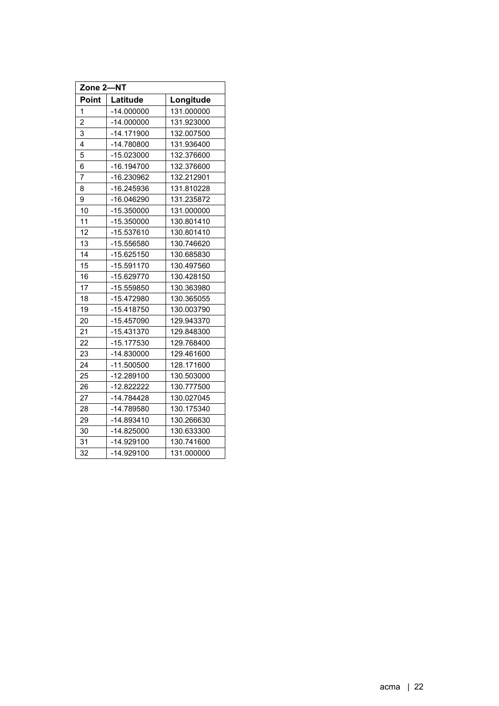| Zone 2-NT      |              |            |
|----------------|--------------|------------|
| Point          | Latitude     | Longitude  |
| 1              | $-14.000000$ | 131.000000 |
| $\overline{2}$ | $-14.000000$ | 131.923000 |
| 3              | $-14.171900$ | 132.007500 |
| 4              | -14.780800   | 131.936400 |
| 5              | -15.023000   | 132.376600 |
| 6              | -16.194700   | 132.376600 |
| 7              | -16.230962   | 132.212901 |
| 8              | -16.245936   | 131.810228 |
| 9              | -16.046290   | 131.235872 |
| 10             | -15.350000   | 131.000000 |
| 11             | -15.350000   | 130.801410 |
| 12             | -15.537610   | 130.801410 |
| 13             | -15.556580   | 130.746620 |
| 14             | $-15.625150$ | 130.685830 |
| 15             | $-15.591170$ | 130.497560 |
| 16             | -15.629770   | 130.428150 |
| 17             | -15.559850   | 130.363980 |
| 18             | -15.472980   | 130.365055 |
| 19             | -15.418750   | 130.003790 |
| 20             | $-15.457090$ | 129.943370 |
| 21             | $-15.431370$ | 129.848300 |
| 22             | -15.177530   | 129.768400 |
| 23             | $-14.830000$ | 129.461600 |
| 24             | $-11.500500$ | 128.171600 |
| 25             | -12.289100   | 130.503000 |
| 26             | $-12.822222$ | 130.777500 |
| 27             | -14.784428   | 130.027045 |
| 28             | -14.789580   | 130.175340 |
| 29             | -14.893410   | 130.266630 |
| 30             | $-14.825000$ | 130.633300 |
| 31             | $-14.929100$ | 130.741600 |
| 32             | $-14.929100$ | 131.000000 |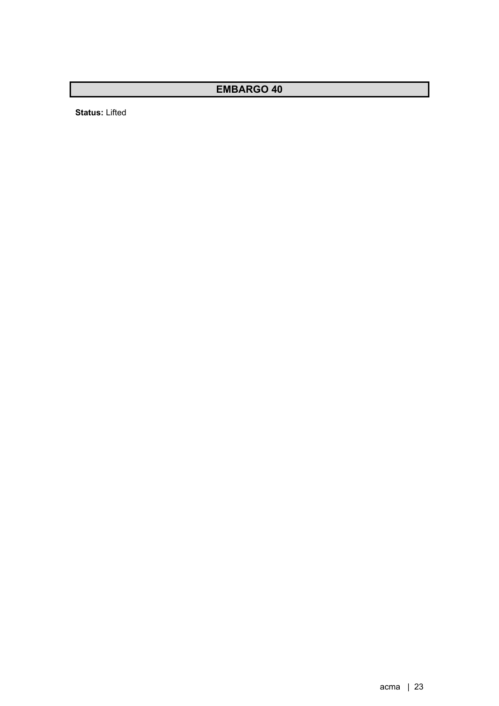**Status:** Lifted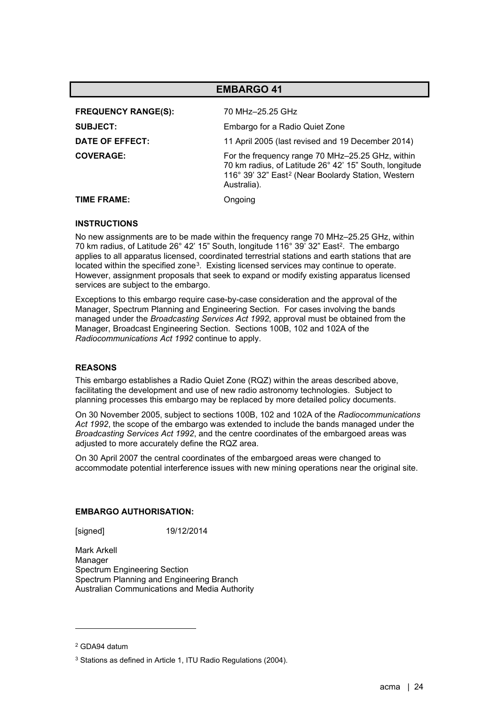| <b>EMBARGO 41</b>                                                |                                                                                                                                                                                             |  |
|------------------------------------------------------------------|---------------------------------------------------------------------------------------------------------------------------------------------------------------------------------------------|--|
| <b>FREQUENCY RANGE(S):</b><br><b>SUBJECT:</b><br>DATE OF EFFECT: | 70 MHz-25.25 GHz<br>Embargo for a Radio Quiet Zone<br>11 April 2005 (last revised and 19 December 2014)                                                                                     |  |
| <b>COVERAGE:</b>                                                 | For the frequency range 70 MHz-25.25 GHz, within<br>70 km radius, of Latitude 26° 42' 15" South, longitude<br>116° 39' 32" East <sup>2</sup> (Near Boolardy Station, Western<br>Australia). |  |
| TIME FRAME:                                                      | Ongoing                                                                                                                                                                                     |  |

<span id="page-23-0"></span>No new assignments are to be made within the frequency range 70 MHz–25.25 GHz, within 70 km radius, of Latitude 26° 42' 15" South, longitude 116° 39' 32" Eas[t2.](#page-23-0) The embargo applies to all apparatus licensed, coordinated terrestrial stations and earth stations that are located within the specified zone<sup>3</sup>. Existing licensed services may continue to operate. However, assignment proposals that seek to expand or modify existing apparatus licensed services are subject to the embargo.

Exceptions to this embargo require case-by-case consideration and the approval of the Manager, Spectrum Planning and Engineering Section. For cases involving the bands managed under the *Broadcasting Services Act 1992*, approval must be obtained from the Manager, Broadcast Engineering Section. Sections 100B, 102 and 102A of the *Radiocommunications Act 1992* continue to apply.

## **REASONS**

This embargo establishes a Radio Quiet Zone (RQZ) within the areas described above, facilitating the development and use of new radio astronomy technologies. Subject to planning processes this embargo may be replaced by more detailed policy documents.

On 30 November 2005, subject to sections 100B, 102 and 102A of the *Radiocommunications Act 1992*, the scope of the embargo was extended to include the bands managed under the *Broadcasting Services Act 1992*, and the centre coordinates of the embargoed areas was adjusted to more accurately define the RQZ area.

On 30 April 2007 the central coordinates of the embargoed areas were changed to accommodate potential interference issues with new mining operations near the original site.

## **EMBARGO AUTHORISATION:**

[signed] 19/12/2014

Mark Arkell Manager Spectrum Engineering Section Spectrum Planning and Engineering Branch Australian Communications and Media Authority

<span id="page-23-1"></span><sup>2</sup> GDA94 datum

<span id="page-23-2"></span><sup>3</sup> Stations as defined in Article 1, ITU Radio Regulations (2004).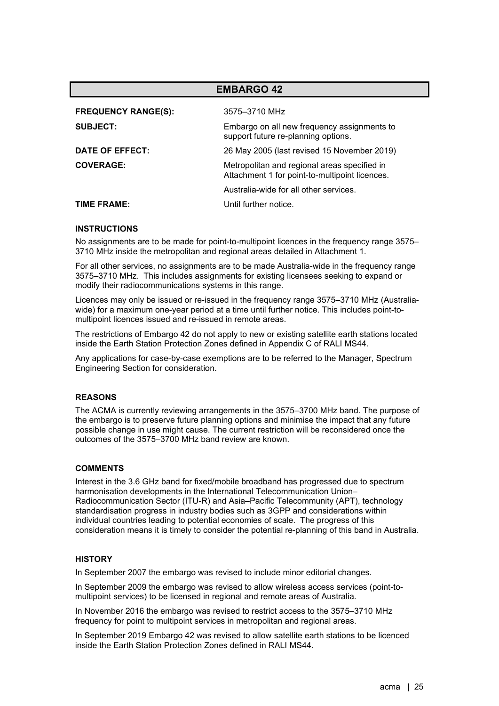| <b>EMBARGO 42</b>          |                                                                                                |  |
|----------------------------|------------------------------------------------------------------------------------------------|--|
| <b>FREQUENCY RANGE(S):</b> | 3575-3710 MHz                                                                                  |  |
| <b>SUBJECT:</b>            | Embargo on all new frequency assignments to<br>support future re-planning options.             |  |
| DATE OF EFFECT:            | 26 May 2005 (last revised 15 November 2019)                                                    |  |
| <b>COVERAGE:</b>           | Metropolitan and regional areas specified in<br>Attachment 1 for point-to-multipoint licences. |  |
|                            | Australia-wide for all other services.                                                         |  |
| TIME FRAME:                | Until further notice.                                                                          |  |

No assignments are to be made for point-to-multipoint licences in the frequency range 3575– 3710 MHz inside the metropolitan and regional areas detailed in Attachment 1.

For all other services, no assignments are to be made Australia-wide in the frequency range 3575–3710 MHz. This includes assignments for existing licensees seeking to expand or modify their radiocommunications systems in this range.

Licences may only be issued or re-issued in the frequency range 3575–3710 MHz (Australiawide) for a maximum one-year period at a time until further notice. This includes point-tomultipoint licences issued and re-issued in remote areas.

The restrictions of Embargo 42 do not apply to new or existing satellite earth stations located inside the Earth Station Protection Zones defined in Appendix C of RALI MS44.

Any applications for case-by-case exemptions are to be referred to the Manager, Spectrum Engineering Section for consideration.

## **REASONS**

The ACMA is currently reviewing arrangements in the 3575–3700 MHz band. The purpose of the embargo is to preserve future planning options and minimise the impact that any future possible change in use might cause. The current restriction will be reconsidered once the outcomes of the 3575–3700 MHz band review are known.

## **COMMENTS**

Interest in the 3.6 GHz band for fixed/mobile broadband has progressed due to spectrum harmonisation developments in the International Telecommunication Union– Radiocommunication Sector (ITU-R) and Asia–Pacific Telecommunity (APT), technology standardisation progress in industry bodies such as 3GPP and considerations within individual countries leading to potential economies of scale. The progress of this consideration means it is timely to consider the potential re-planning of this band in Australia.

# **HISTORY**

In September 2007 the embargo was revised to include minor editorial changes.

In September 2009 the embargo was revised to allow wireless access services (point-tomultipoint services) to be licensed in regional and remote areas of Australia.

In November 2016 the embargo was revised to restrict access to the 3575–3710 MHz frequency for point to multipoint services in metropolitan and regional areas.

In September 2019 Embargo 42 was revised to allow satellite earth stations to be licenced inside the Earth Station Protection Zones defined in RALI MS44.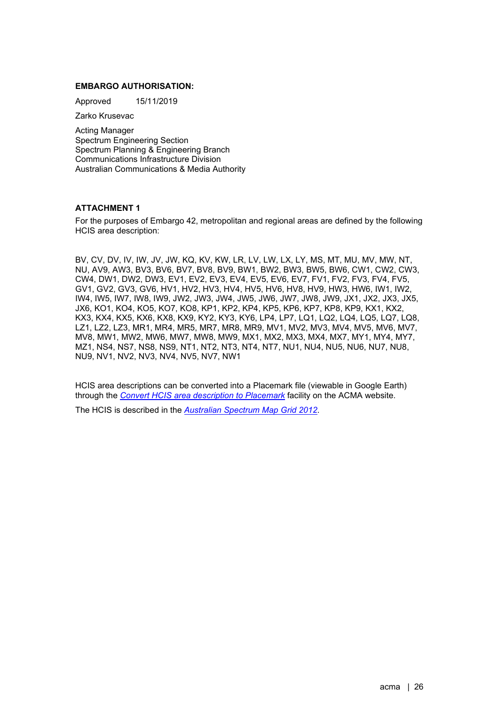## **EMBARGO AUTHORISATION:**

Approved 15/11/2019

Zarko Krusevac

Acting Manager Spectrum Engineering Section Spectrum Planning & Engineering Branch Communications Infrastructure Division Australian Communications & Media Authority

# **ATTACHMENT 1**

For the purposes of Embargo 42, metropolitan and regional areas are defined by the following HCIS area description:

BV, CV, DV, IV, IW, JV, JW, KQ, KV, KW, LR, LV, LW, LX, LY, MS, MT, MU, MV, MW, NT, NU, AV9, AW3, BV3, BV6, BV7, BV8, BV9, BW1, BW2, BW3, BW5, BW6, CW1, CW2, CW3, CW4, DW1, DW2, DW3, EV1, EV2, EV3, EV4, EV5, EV6, EV7, FV1, FV2, FV3, FV4, FV5, GV1, GV2, GV3, GV6, HV1, HV2, HV3, HV4, HV5, HV6, HV8, HV9, HW3, HW6, IW1, IW2, IW4, IW5, IW7, IW8, IW9, JW2, JW3, JW4, JW5, JW6, JW7, JW8, JW9, JX1, JX2, JX3, JX5, JX6, KO1, KO4, KO5, KO7, KO8, KP1, KP2, KP4, KP5, KP6, KP7, KP8, KP9, KX1, KX2, KX3, KX4, KX5, KX6, KX8, KX9, KY2, KY3, KY6, LP4, LP7, LQ1, LQ2, LQ4, LQ5, LQ7, LQ8, LZ1, LZ2, LZ3, MR1, MR4, MR5, MR7, MR8, MR9, MV1, MV2, MV3, MV4, MV5, MV6, MV7, MV8, MW1, MW2, MW6, MW7, MW8, MW9, MX1, MX2, MX3, MX4, MX7, MY1, MY4, MY7, MZ1, NS4, NS7, NS8, NS9, NT1, NT2, NT3, NT4, NT7, NU1, NU4, NU5, NU6, NU7, NU8, NU9, NV1, NV2, NV3, NV4, NV5, NV7, NW1

HCIS area descriptions can be converted into a Placemark file (viewable in Google Earth) through the *[Convert HCIS area description to Placemark](https://www.acma.gov.au/convert-hcis-area-description-placemark-0)* facility on the ACMA website.

The HCIS is described in the *[Australian Spectrum Map Grid 2012](https://www.acma.gov.au/sites/default/files/2019-10/The%20Australian%20spectrum%20map%20grid%202012.PDF)*.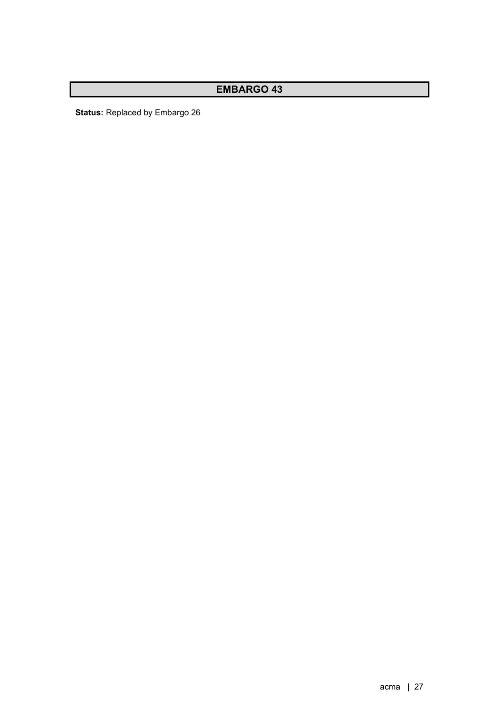**Status:** Replaced by Embargo 26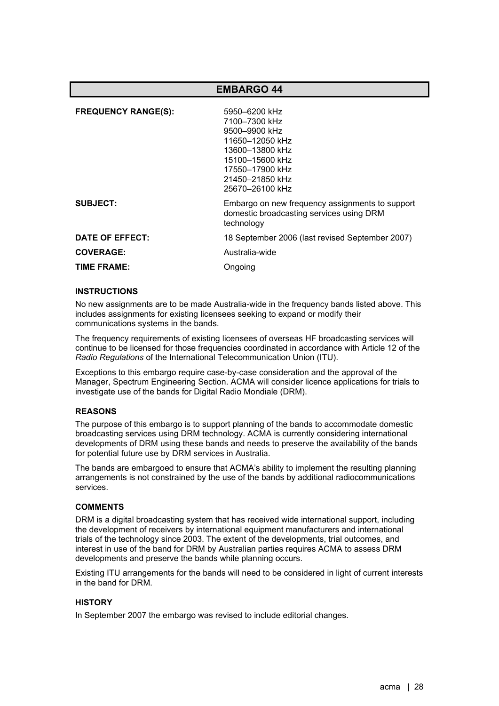| <b>FREQUENCY RANGE(S):</b> | 5950-6200 kHz<br>7100-7300 kHz<br>9500-9900 kHz<br>11650-12050 kHz<br>13600-13800 kHz<br>15100-15600 kHz<br>17550–17900 kHz<br>21450-21850 kHz<br>25670-26100 kHz |
|----------------------------|-------------------------------------------------------------------------------------------------------------------------------------------------------------------|
| SUBJECT:                   | Embargo on new frequency assignments to support<br>domestic broadcasting services using DRM<br>technology                                                         |
| DATE OF EFFECT:            | 18 September 2006 (last revised September 2007)                                                                                                                   |
| <b>COVERAGE:</b>           | Australia-wide                                                                                                                                                    |
| TIME FRAME:                | Ongoing                                                                                                                                                           |

# **INSTRUCTIONS**

No new assignments are to be made Australia-wide in the frequency bands listed above. This includes assignments for existing licensees seeking to expand or modify their communications systems in the bands.

The frequency requirements of existing licensees of overseas HF broadcasting services will continue to be licensed for those frequencies coordinated in accordance with Article 12 of the *Radio Regulations* of the International Telecommunication Union (ITU).

Exceptions to this embargo require case-by-case consideration and the approval of the Manager, Spectrum Engineering Section. ACMA will consider licence applications for trials to investigate use of the bands for Digital Radio Mondiale (DRM).

## **REASONS**

The purpose of this embargo is to support planning of the bands to accommodate domestic broadcasting services using DRM technology. ACMA is currently considering international developments of DRM using these bands and needs to preserve the availability of the bands for potential future use by DRM services in Australia.

The bands are embargoed to ensure that ACMA's ability to implement the resulting planning arrangements is not constrained by the use of the bands by additional radiocommunications services.

## **COMMENTS**

DRM is a digital broadcasting system that has received wide international support, including the development of receivers by international equipment manufacturers and international trials of the technology since 2003. The extent of the developments, trial outcomes, and interest in use of the band for DRM by Australian parties requires ACMA to assess DRM developments and preserve the bands while planning occurs.

Existing ITU arrangements for the bands will need to be considered in light of current interests in the band for DRM.

# **HISTORY**

In September 2007 the embargo was revised to include editorial changes.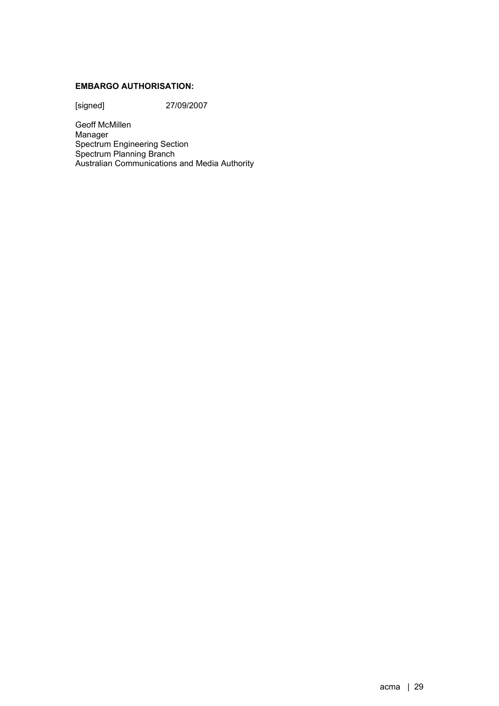# **EMBARGO AUTHORISATION:**

[signed] 27/09/2007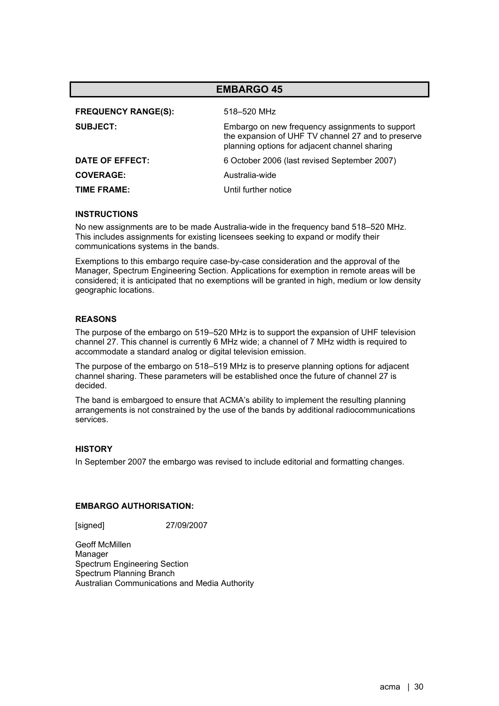| <b>EMBARGO 45</b>          |                                                                                                                                                        |  |
|----------------------------|--------------------------------------------------------------------------------------------------------------------------------------------------------|--|
| <b>FREQUENCY RANGE(S):</b> | 518–520 MHz                                                                                                                                            |  |
| <b>SUBJECT:</b>            | Embargo on new frequency assignments to support<br>the expansion of UHF TV channel 27 and to preserve<br>planning options for adjacent channel sharing |  |
| DATE OF EFFECT:            | 6 October 2006 (last revised September 2007)                                                                                                           |  |
| <b>COVERAGE:</b>           | Australia-wide                                                                                                                                         |  |
| TIME FRAME:                | Until further notice                                                                                                                                   |  |

No new assignments are to be made Australia-wide in the frequency band 518–520 MHz. This includes assignments for existing licensees seeking to expand or modify their communications systems in the bands.

Exemptions to this embargo require case-by-case consideration and the approval of the Manager, Spectrum Engineering Section. Applications for exemption in remote areas will be considered; it is anticipated that no exemptions will be granted in high, medium or low density geographic locations.

# **REASONS**

The purpose of the embargo on 519–520 MHz is to support the expansion of UHF television channel 27. This channel is currently 6 MHz wide; a channel of 7 MHz width is required to accommodate a standard analog or digital television emission.

The purpose of the embargo on 518–519 MHz is to preserve planning options for adjacent channel sharing. These parameters will be established once the future of channel 27 is decided.

The band is embargoed to ensure that ACMA's ability to implement the resulting planning arrangements is not constrained by the use of the bands by additional radiocommunications services.

## **HISTORY**

In September 2007 the embargo was revised to include editorial and formatting changes.

## **EMBARGO AUTHORISATION:**

[signed] 27/09/2007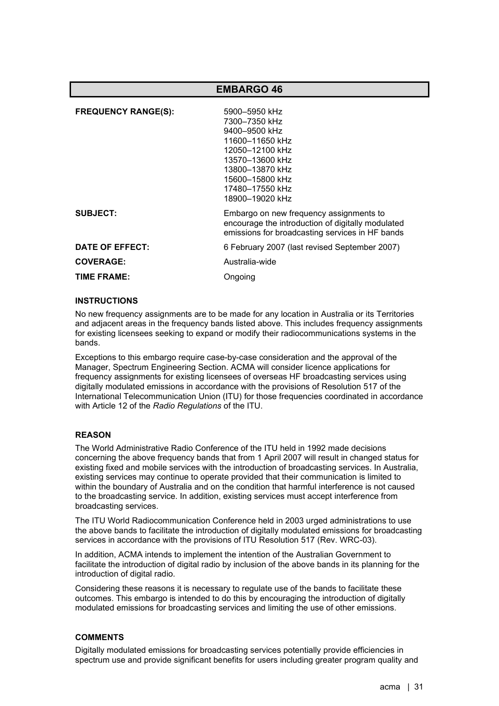| <b>FREQUENCY RANGE(S):</b> | 5900-5950 kHz<br>7300-7350 kHz<br>9400-9500 kHz<br>11600-11650 kHz<br>12050-12100 kHz<br>13570-13600 kHz<br>13800-13870 kHz<br>15600-15800 kHz<br>17480-17550 kHz<br>18900-19020 kHz |
|----------------------------|--------------------------------------------------------------------------------------------------------------------------------------------------------------------------------------|
| <b>SUBJECT:</b>            | Embargo on new frequency assignments to<br>encourage the introduction of digitally modulated<br>emissions for broadcasting services in HF bands                                      |
| DATE OF EFFECT:            | 6 February 2007 (last revised September 2007)                                                                                                                                        |
| <b>COVERAGE:</b>           | Australia-wide                                                                                                                                                                       |
| TIME FRAME:                | Ongoing                                                                                                                                                                              |

# **INSTRUCTIONS**

No new frequency assignments are to be made for any location in Australia or its Territories and adjacent areas in the frequency bands listed above. This includes frequency assignments for existing licensees seeking to expand or modify their radiocommunications systems in the bands.

Exceptions to this embargo require case-by-case consideration and the approval of the Manager, Spectrum Engineering Section. ACMA will consider licence applications for frequency assignments for existing licensees of overseas HF broadcasting services using digitally modulated emissions in accordance with the provisions of Resolution 517 of the International Telecommunication Union (ITU) for those frequencies coordinated in accordance with Article 12 of the *Radio Regulations* of the ITU.

## **REASON**

The World Administrative Radio Conference of the ITU held in 1992 made decisions concerning the above frequency bands that from 1 April 2007 will result in changed status for existing fixed and mobile services with the introduction of broadcasting services. In Australia, existing services may continue to operate provided that their communication is limited to within the boundary of Australia and on the condition that harmful interference is not caused to the broadcasting service. In addition, existing services must accept interference from broadcasting services.

The ITU World Radiocommunication Conference held in 2003 urged administrations to use the above bands to facilitate the introduction of digitally modulated emissions for broadcasting services in accordance with the provisions of ITU Resolution 517 (Rev. WRC-03).

In addition, ACMA intends to implement the intention of the Australian Government to facilitate the introduction of digital radio by inclusion of the above bands in its planning for the introduction of digital radio.

Considering these reasons it is necessary to regulate use of the bands to facilitate these outcomes. This embargo is intended to do this by encouraging the introduction of digitally modulated emissions for broadcasting services and limiting the use of other emissions.

# **COMMENTS**

Digitally modulated emissions for broadcasting services potentially provide efficiencies in spectrum use and provide significant benefits for users including greater program quality and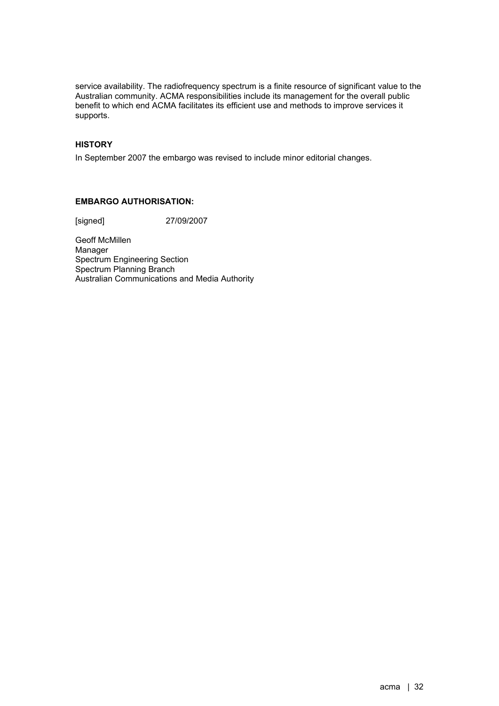service availability. The radiofrequency spectrum is a finite resource of significant value to the Australian community. ACMA responsibilities include its management for the overall public benefit to which end ACMA facilitates its efficient use and methods to improve services it supports.

# **HISTORY**

In September 2007 the embargo was revised to include minor editorial changes.

# **EMBARGO AUTHORISATION:**

[signed] 27/09/2007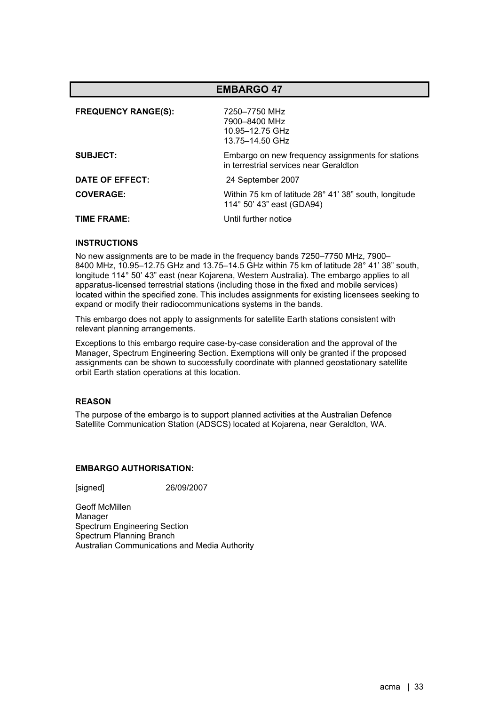| <b>EMBARGO 47</b>          |                                                                                             |
|----------------------------|---------------------------------------------------------------------------------------------|
| <b>FREQUENCY RANGE(S):</b> | 7250-7750 MHz<br>7900-8400 MHz<br>10.95-12.75 GHz<br>13.75-14.50 GHz                        |
| <b>SUBJECT:</b>            | Embargo on new frequency assignments for stations<br>in terrestrial services near Geraldton |
| DATE OF EFFECT:            | 24 September 2007                                                                           |
| <b>COVERAGE:</b>           | Within 75 km of latitude 28° 41' 38" south, longitude<br>114° 50' 43" east (GDA94)          |
| <b>TIME FRAME:</b>         | Until further notice                                                                        |

No new assignments are to be made in the frequency bands 7250–7750 MHz, 7900– 8400 MHz, 10.95–12.75 GHz and 13.75–14.5 GHz within 75 km of latitude 28° 41' 38" south, longitude 114° 50' 43" east (near Kojarena, Western Australia). The embargo applies to all apparatus-licensed terrestrial stations (including those in the fixed and mobile services) located within the specified zone. This includes assignments for existing licensees seeking to expand or modify their radiocommunications systems in the bands.

This embargo does not apply to assignments for satellite Earth stations consistent with relevant planning arrangements.

Exceptions to this embargo require case-by-case consideration and the approval of the Manager, Spectrum Engineering Section. Exemptions will only be granted if the proposed assignments can be shown to successfully coordinate with planned geostationary satellite orbit Earth station operations at this location.

# **REASON**

The purpose of the embargo is to support planned activities at the Australian Defence Satellite Communication Station (ADSCS) located at Kojarena, near Geraldton, WA.

# **EMBARGO AUTHORISATION:**

[signed] 26/09/2007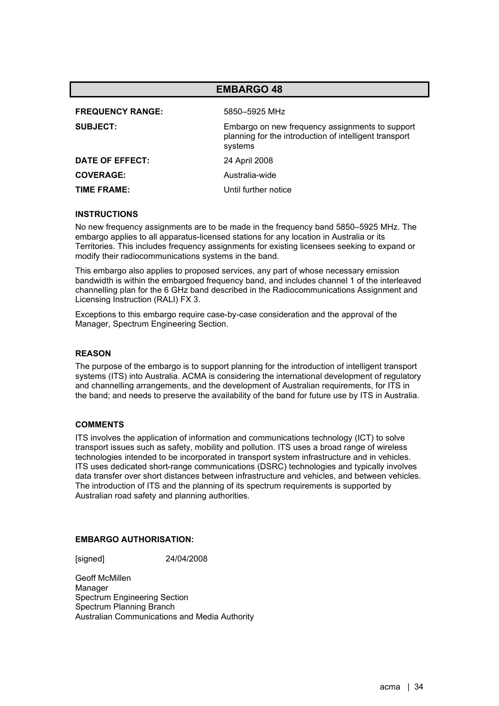| <b>EMBARGO 48</b>                                                                                                    |  |
|----------------------------------------------------------------------------------------------------------------------|--|
| 5850-5925 MHz                                                                                                        |  |
| Embargo on new frequency assignments to support<br>planning for the introduction of intelligent transport<br>systems |  |
| 24 April 2008                                                                                                        |  |
| Australia-wide                                                                                                       |  |
| Until further notice                                                                                                 |  |
|                                                                                                                      |  |

No new frequency assignments are to be made in the frequency band 5850–5925 MHz. The embargo applies to all apparatus-licensed stations for any location in Australia or its Territories. This includes frequency assignments for existing licensees seeking to expand or modify their radiocommunications systems in the band.

This embargo also applies to proposed services, any part of whose necessary emission bandwidth is within the embargoed frequency band, and includes channel 1 of the interleaved channelling plan for the 6 GHz band described in the Radiocommunications Assignment and Licensing Instruction (RALI) FX 3.

Exceptions to this embargo require case-by-case consideration and the approval of the Manager, Spectrum Engineering Section.

# **REASON**

The purpose of the embargo is to support planning for the introduction of intelligent transport systems (ITS) into Australia. ACMA is considering the international development of regulatory and channelling arrangements, and the development of Australian requirements, for ITS in the band; and needs to preserve the availability of the band for future use by ITS in Australia.

## **COMMENTS**

ITS involves the application of information and communications technology (ICT) to solve transport issues such as safety, mobility and pollution. ITS uses a broad range of wireless technologies intended to be incorporated in transport system infrastructure and in vehicles. ITS uses dedicated short-range communications (DSRC) technologies and typically involves data transfer over short distances between infrastructure and vehicles, and between vehicles. The introduction of ITS and the planning of its spectrum requirements is supported by Australian road safety and planning authorities.

## **EMBARGO AUTHORISATION:**

[signed] 24/04/2008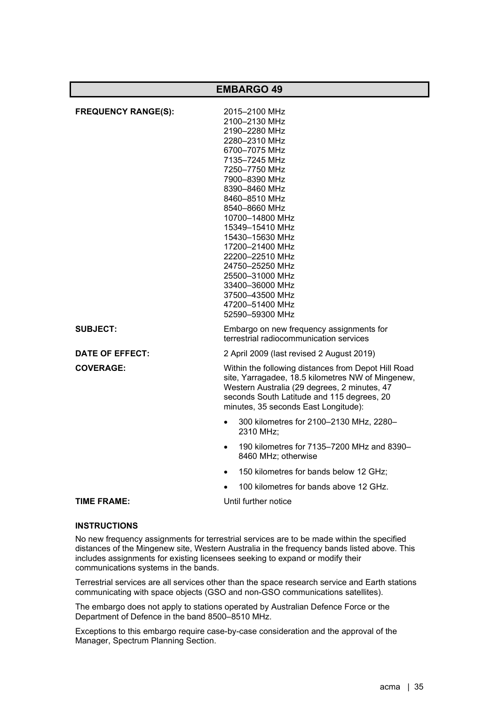| <b>EMBARGO 49</b>          |                                                                                                                                                                                                                                                                                                                                                                                                          |
|----------------------------|----------------------------------------------------------------------------------------------------------------------------------------------------------------------------------------------------------------------------------------------------------------------------------------------------------------------------------------------------------------------------------------------------------|
| <b>FREQUENCY RANGE(S):</b> | 2015-2100 MHz<br>2100-2130 MHz<br>2190-2280 MHz<br>2280-2310 MHz<br>6700-7075 MHz<br>7135-7245 MHz<br>7250-7750 MHz<br>7900-8390 MHz<br>8390-8460 MHz<br>8460-8510 MHz<br>8540-8660 MHz<br>10700-14800 MHz<br>15349-15410 MHz<br>15430–15630 MHz<br>17200-21400 MHz<br>22200-22510 MHz<br>24750-25250 MHz<br>25500-31000 MHz<br>33400-36000 MHz<br>37500-43500 MHz<br>47200-51400 MHz<br>52590-59300 MHz |
| <b>SUBJECT:</b>            | Embargo on new frequency assignments for<br>terrestrial radiocommunication services                                                                                                                                                                                                                                                                                                                      |
| DATE OF EFFECT:            | 2 April 2009 (last revised 2 August 2019)                                                                                                                                                                                                                                                                                                                                                                |
| <b>COVERAGE:</b>           | Within the following distances from Depot Hill Road<br>site, Yarragadee, 18.5 kilometres NW of Mingenew,<br>Western Australia (29 degrees, 2 minutes, 47<br>seconds South Latitude and 115 degrees, 20<br>minutes, 35 seconds East Longitude):                                                                                                                                                           |
|                            | 300 kilometres for 2100-2130 MHz, 2280-<br>2310 MHz;                                                                                                                                                                                                                                                                                                                                                     |
|                            | 190 kilometres for 7135-7200 MHz and 8390-<br>8460 MHz; otherwise                                                                                                                                                                                                                                                                                                                                        |
|                            | 150 kilometres for bands below 12 GHz;<br>$\bullet$                                                                                                                                                                                                                                                                                                                                                      |
|                            | 100 kilometres for bands above 12 GHz.                                                                                                                                                                                                                                                                                                                                                                   |
| TIME FRAME:                | Until further notice                                                                                                                                                                                                                                                                                                                                                                                     |

No new frequency assignments for terrestrial services are to be made within the specified distances of the Mingenew site, Western Australia in the frequency bands listed above. This includes assignments for existing licensees seeking to expand or modify their communications systems in the bands.

Terrestrial services are all services other than the space research service and Earth stations communicating with space objects (GSO and non-GSO communications satellites).

The embargo does not apply to stations operated by Australian Defence Force or the Department of Defence in the band 8500–8510 MHz.

Exceptions to this embargo require case-by-case consideration and the approval of the Manager, Spectrum Planning Section.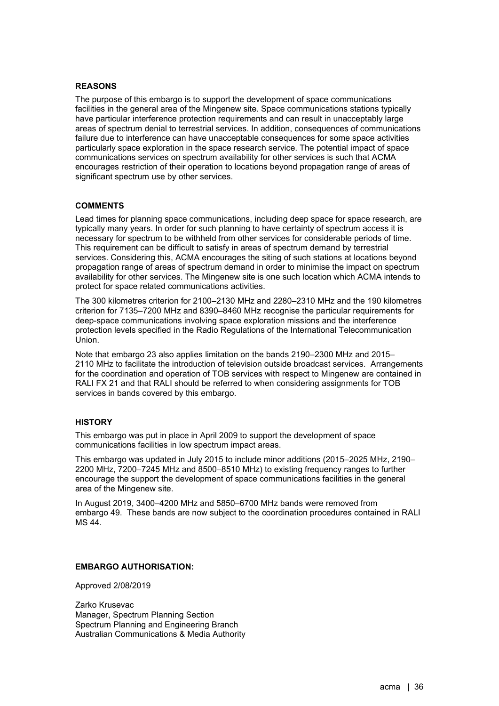# **REASONS**

The purpose of this embargo is to support the development of space communications facilities in the general area of the Mingenew site. Space communications stations typically have particular interference protection requirements and can result in unacceptably large areas of spectrum denial to terrestrial services. In addition, consequences of communications failure due to interference can have unacceptable consequences for some space activities particularly space exploration in the space research service. The potential impact of space communications services on spectrum availability for other services is such that ACMA encourages restriction of their operation to locations beyond propagation range of areas of significant spectrum use by other services.

## **COMMENTS**

Lead times for planning space communications, including deep space for space research, are typically many years. In order for such planning to have certainty of spectrum access it is necessary for spectrum to be withheld from other services for considerable periods of time. This requirement can be difficult to satisfy in areas of spectrum demand by terrestrial services. Considering this, ACMA encourages the siting of such stations at locations beyond propagation range of areas of spectrum demand in order to minimise the impact on spectrum availability for other services. The Mingenew site is one such location which ACMA intends to protect for space related communications activities.

The 300 kilometres criterion for 2100–2130 MHz and 2280–2310 MHz and the 190 kilometres criterion for 7135–7200 MHz and 8390–8460 MHz recognise the particular requirements for deep-space communications involving space exploration missions and the interference protection levels specified in the Radio Regulations of the International Telecommunication Union.

Note that embargo 23 also applies limitation on the bands 2190–2300 MHz and 2015– 2110 MHz to facilitate the introduction of television outside broadcast services. Arrangements for the coordination and operation of TOB services with respect to Mingenew are contained in RALI FX 21 and that RALI should be referred to when considering assignments for TOB services in bands covered by this embargo.

# **HISTORY**

This embargo was put in place in April 2009 to support the development of space communications facilities in low spectrum impact areas.

This embargo was updated in July 2015 to include minor additions (2015–2025 MHz, 2190– 2200 MHz, 7200–7245 MHz and 8500–8510 MHz) to existing frequency ranges to further encourage the support the development of space communications facilities in the general area of the Mingenew site.

In August 2019, 3400–4200 MHz and 5850–6700 MHz bands were removed from embargo 49. These bands are now subject to the coordination procedures contained in RALI MS 44.

## **EMBARGO AUTHORISATION:**

Approved 2/08/2019

Zarko Krusevac Manager, Spectrum Planning Section Spectrum Planning and Engineering Branch Australian Communications & Media Authority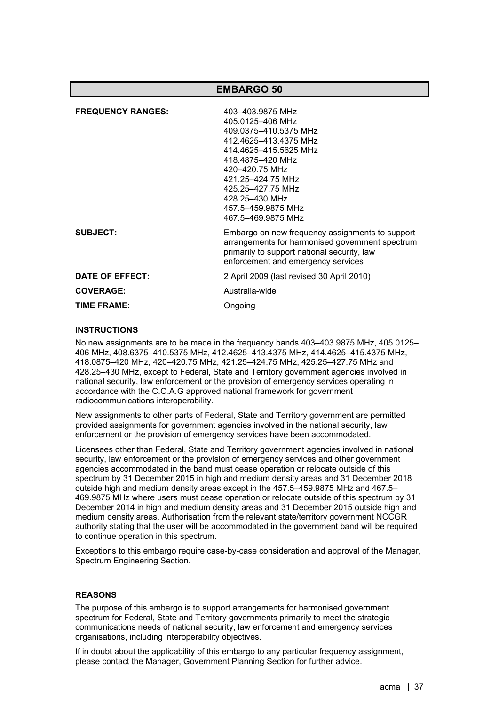| <b>EMBARGO 50</b>        |                                                                                                                                                                                                                                                               |  |
|--------------------------|---------------------------------------------------------------------------------------------------------------------------------------------------------------------------------------------------------------------------------------------------------------|--|
| <b>FREQUENCY RANGES:</b> | 403-403.9875 MHz<br>405.0125-406 MHz<br>409.0375-410.5375 MHz<br>412.4625-413.4375 MHz<br>414.4625-415.5625 MHz<br>418.4875-420 MHz<br>420-420.75 MHz<br>421.25-424.75 MHz<br>425.25-427.75 MHz<br>428.25-430 MHz<br>457.5-459.9875 MHz<br>467.5-469.9875 MHz |  |
| <b>SUBJECT:</b>          | Embargo on new frequency assignments to support<br>arrangements for harmonised government spectrum<br>primarily to support national security, law<br>enforcement and emergency services                                                                       |  |
| DATE OF EFFECT:          | 2 April 2009 (last revised 30 April 2010)                                                                                                                                                                                                                     |  |
| <b>COVERAGE:</b>         | Australia-wide                                                                                                                                                                                                                                                |  |
| <b>TIME FRAME:</b>       | Ongoing                                                                                                                                                                                                                                                       |  |
|                          |                                                                                                                                                                                                                                                               |  |

No new assignments are to be made in the frequency bands 403–403.9875 MHz, 405.0125– 406 MHz, 408.6375–410.5375 MHz, 412.4625–413.4375 MHz, 414.4625–415.4375 MHz, 418.0875–420 MHz, 420–420.75 MHz, 421.25–424.75 MHz, 425.25–427.75 MHz and 428.25–430 MHz, except to Federal, State and Territory government agencies involved in national security, law enforcement or the provision of emergency services operating in accordance with the C.O.A.G approved national framework for government radiocommunications interoperability.

New assignments to other parts of Federal, State and Territory government are permitted provided assignments for government agencies involved in the national security, law enforcement or the provision of emergency services have been accommodated.

Licensees other than Federal, State and Territory government agencies involved in national security, law enforcement or the provision of emergency services and other government agencies accommodated in the band must cease operation or relocate outside of this spectrum by 31 December 2015 in high and medium density areas and 31 December 2018 outside high and medium density areas except in the 457.5–459.9875 MHz and 467.5– 469.9875 MHz where users must cease operation or relocate outside of this spectrum by 31 December 2014 in high and medium density areas and 31 December 2015 outside high and medium density areas. Authorisation from the relevant state/territory government NCCGR authority stating that the user will be accommodated in the government band will be required to continue operation in this spectrum.

Exceptions to this embargo require case-by-case consideration and approval of the Manager, Spectrum Engineering Section.

#### **REASONS**

The purpose of this embargo is to support arrangements for harmonised government spectrum for Federal, State and Territory governments primarily to meet the strategic communications needs of national security, law enforcement and emergency services organisations, including interoperability objectives.

If in doubt about the applicability of this embargo to any particular frequency assignment, please contact the Manager, Government Planning Section for further advice.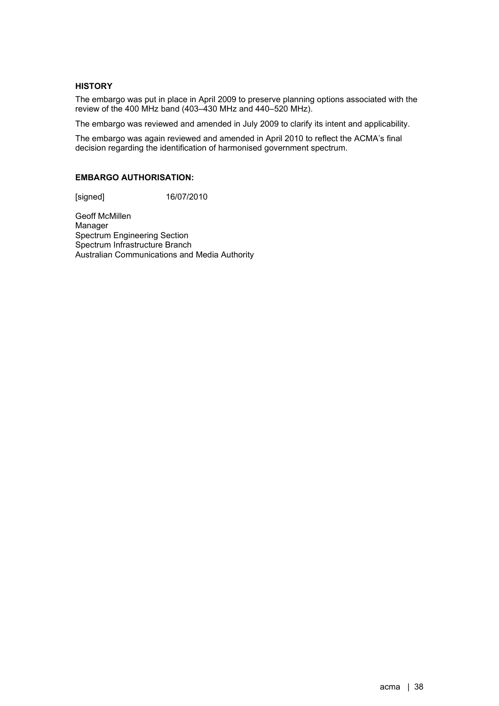## **HISTORY**

The embargo was put in place in April 2009 to preserve planning options associated with the review of the 400 MHz band (403–430 MHz and 440–520 MHz).

The embargo was reviewed and amended in July 2009 to clarify its intent and applicability.

The embargo was again reviewed and amended in April 2010 to reflect the ACMA's final decision regarding the identification of harmonised government spectrum.

## **EMBARGO AUTHORISATION:**

[signed] 16/07/2010

Geoff McMillen Manager Spectrum Engineering Section Spectrum Infrastructure Branch Australian Communications and Media Authority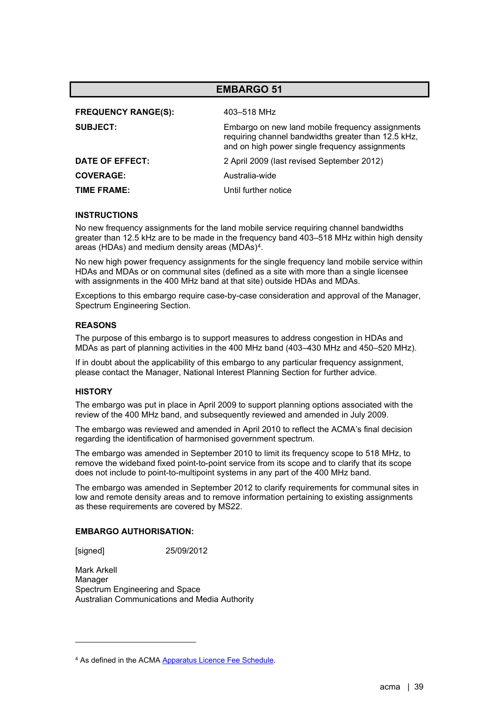| <b>EMBARGO 51</b>          |                                                                                                                                                           |  |
|----------------------------|-----------------------------------------------------------------------------------------------------------------------------------------------------------|--|
| <b>FREQUENCY RANGE(S):</b> | 403–518 MHz                                                                                                                                               |  |
| <b>SUBJECT:</b>            | Embargo on new land mobile frequency assignments<br>requiring channel bandwidths greater than 12.5 kHz,<br>and on high power single frequency assignments |  |
| DATE OF EFFECT:            | 2 April 2009 (last revised September 2012)                                                                                                                |  |
| <b>COVERAGE:</b>           | Australia-wide                                                                                                                                            |  |
| <b>TIME FRAME:</b>         | Until further notice                                                                                                                                      |  |

No new frequency assignments for the land mobile service requiring channel bandwidths greater than 12.5 kHz are to be made in the frequency band 403–518 MHz within high density areas (HDAs) and medium density areas (MDAs)[4](#page-38-0).

No new high power frequency assignments for the single frequency land mobile service within HDAs and MDAs or on communal sites (defined as a site with more than a single licensee with assignments in the 400 MHz band at that site) outside HDAs and MDAs.

Exceptions to this embargo require case-by-case consideration and approval of the Manager, Spectrum Engineering Section.

## **REASONS**

The purpose of this embargo is to support measures to address congestion in HDAs and MDAs as part of planning activities in the 400 MHz band (403–430 MHz and 450–520 MHz).

If in doubt about the applicability of this embargo to any particular frequency assignment, please contact the Manager, National Interest Planning Section for further advice.

#### **HISTORY**

The embargo was put in place in April 2009 to support planning options associated with the review of the 400 MHz band, and subsequently reviewed and amended in July 2009.

The embargo was reviewed and amended in April 2010 to reflect the ACMA's final decision regarding the identification of harmonised government spectrum.

The embargo was amended in September 2010 to limit its frequency scope to 518 MHz, to remove the wideband fixed point-to-point service from its scope and to clarify that its scope does not include to point-to-multipoint systems in any part of the 400 MHz band.

The embargo was amended in September 2012 to clarify requirements for communal sites in low and remote density areas and to remove information pertaining to existing assignments as these requirements are covered by MS22.

## **EMBARGO AUTHORISATION:**

[signed] 25/09/2012

Mark Arkell Manager Spectrum Engineering and Space Australian Communications and Media Authority

<span id="page-38-0"></span><sup>&</sup>lt;sup>4</sup> As defined in the ACMA **Apparatus Licence Fee Schedule**.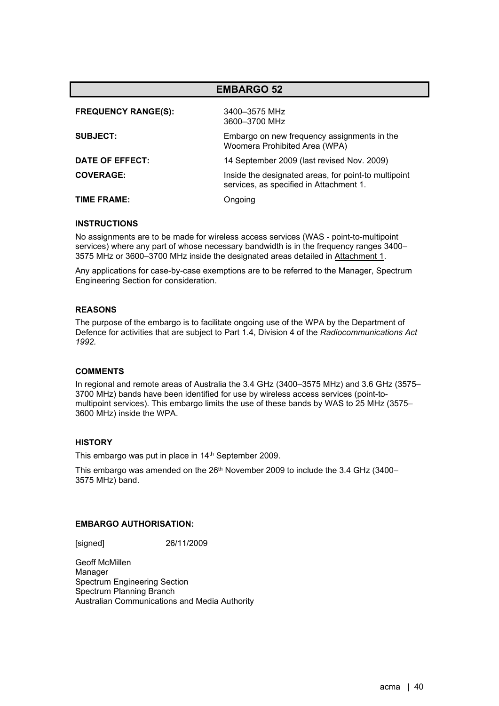| <b>EMBARGO 52</b>          |                                                                                                 |  |
|----------------------------|-------------------------------------------------------------------------------------------------|--|
| <b>FREQUENCY RANGE(S):</b> | 3400-3575 MHz<br>3600-3700 MHz                                                                  |  |
| <b>SUBJECT:</b>            | Embargo on new frequency assignments in the<br>Woomera Prohibited Area (WPA)                    |  |
| DATE OF EFFECT:            | 14 September 2009 (last revised Nov. 2009)                                                      |  |
| <b>COVERAGE:</b>           | Inside the designated areas, for point-to multipoint<br>services, as specified in Attachment 1. |  |
| TIME FRAME:                | Ongoing                                                                                         |  |

No assignments are to be made for wireless access services (WAS - point-to-multipoint services) where any part of whose necessary bandwidth is in the frequency ranges 3400– 3575 MHz or 3600–3700 MHz inside the designated areas detailed in Attachment 1.

Any applications for case-by-case exemptions are to be referred to the Manager, Spectrum Engineering Section for consideration.

## **REASONS**

The purpose of the embargo is to facilitate ongoing use of the WPA by the Department of Defence for activities that are subject to Part 1.4, Division 4 of the *Radiocommunications Act 1992.*

### **COMMENTS**

In regional and remote areas of Australia the 3.4 GHz (3400–3575 MHz) and 3.6 GHz (3575– 3700 MHz) bands have been identified for use by wireless access services (point-tomultipoint services). This embargo limits the use of these bands by WAS to 25 MHz (3575– 3600 MHz) inside the WPA.

#### **HISTORY**

This embargo was put in place in 14<sup>th</sup> September 2009.

This embargo was amended on the 26<sup>th</sup> November 2009 to include the 3.4 GHz (3400-3575 MHz) band.

### **EMBARGO AUTHORISATION:**

[signed] 26/11/2009

Geoff McMillen Manager Spectrum Engineering Section Spectrum Planning Branch Australian Communications and Media Authority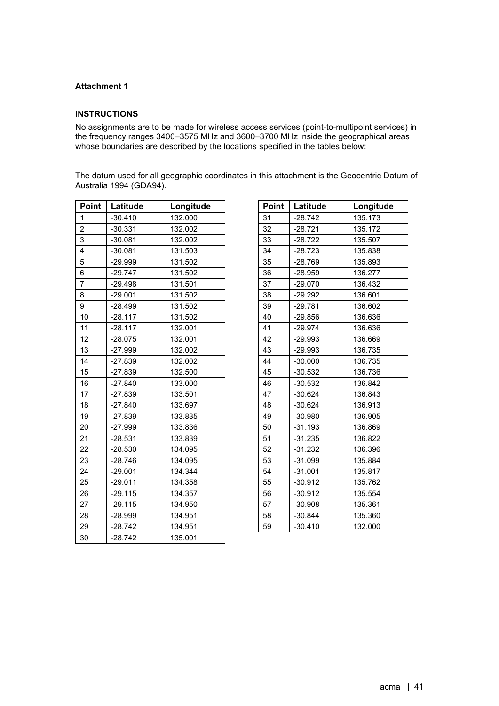## **Attachment 1**

### **INSTRUCTIONS**

No assignments are to be made for wireless access services (point-to-multipoint services) in the frequency ranges 3400–3575 MHz and 3600–3700 MHz inside the geographical areas whose boundaries are described by the locations specified in the tables below:

The datum used for all geographic coordinates in this attachment is the Geocentric Datum of Australia 1994 (GDA94).

| Point           | Latitude  | Longitude | Point | Latitude  | Longitude |
|-----------------|-----------|-----------|-------|-----------|-----------|
| $\mathbf{1}$    | $-30.410$ | 132.000   | 31    | $-28.742$ | 135.173   |
| $\overline{c}$  | $-30.331$ | 132.002   | 32    | $-28.721$ | 135.172   |
| 3               | $-30.081$ | 132.002   | 33    | $-28.722$ | 135.507   |
| 4               | $-30.081$ | 131.503   | 34    | $-28.723$ | 135.838   |
| 5               | $-29.999$ | 131.502   | 35    | $-28.769$ | 135.893   |
| 6               | $-29.747$ | 131.502   | 36    | $-28.959$ | 136.277   |
| $\overline{7}$  | $-29.498$ | 131.501   | 37    | $-29.070$ | 136.432   |
| 8               | $-29.001$ | 131.502   | 38    | $-29.292$ | 136.601   |
| 9               | $-28.499$ | 131.502   | 39    | $-29.781$ | 136.602   |
| 10              | $-28.117$ | 131.502   | 40    | $-29.856$ | 136.636   |
| 11              | $-28.117$ | 132.001   | 41    | $-29.974$ | 136.636   |
| 12 <sup>2</sup> | $-28.075$ | 132.001   | 42    | $-29.993$ | 136.669   |
| 13              | $-27.999$ | 132.002   | 43    | $-29.993$ | 136.735   |
| 14              | $-27.839$ | 132.002   | 44    | $-30.000$ | 136.735   |
| 15              | $-27.839$ | 132.500   | 45    | $-30.532$ | 136.736   |
| 16              | $-27.840$ | 133.000   | 46    | $-30.532$ | 136.842   |
| 17              | $-27.839$ | 133.501   | 47    | $-30.624$ | 136.843   |
| 18              | $-27.840$ | 133.697   | 48    | $-30.624$ | 136.913   |
| 19              | $-27.839$ | 133.835   | 49    | $-30.980$ | 136.905   |
| 20              | $-27.999$ | 133.836   | 50    | $-31.193$ | 136.869   |
| 21              | $-28.531$ | 133.839   | 51    | $-31.235$ | 136.822   |
| 22              | $-28.530$ | 134.095   | 52    | $-31.232$ | 136.396   |
| 23              | $-28.746$ | 134.095   | 53    | $-31.099$ | 135.884   |
| 24              | $-29.001$ | 134.344   | 54    | $-31.001$ | 135.817   |
| 25              | $-29.011$ | 134.358   | 55    | $-30.912$ | 135.762   |
| 26              | $-29.115$ | 134.357   | 56    | $-30.912$ | 135.554   |
| 27              | $-29.115$ | 134.950   | 57    | $-30.908$ | 135.361   |
| 28              | $-28.999$ | 134.951   | 58    | $-30.844$ | 135.360   |
| 29              | $-28.742$ | 134.951   | 59    | $-30.410$ | 132.000   |
| 30              | $-28.742$ | 135.001   |       |           |           |

| Point | Latitude  | Longitude |
|-------|-----------|-----------|
| 31    | $-28.742$ | 135.173   |
| 32    | $-28.721$ | 135.172   |
| 33    | $-28.722$ | 135.507   |
| 34    | $-28.723$ | 135.838   |
| 35    | $-28.769$ | 135.893   |
| 36    | -28.959   | 136.277   |
| 37    | $-29.070$ | 136.432   |
| 38    | $-29.292$ | 136.601   |
| 39    | $-29.781$ | 136.602   |
| 40    | $-29.856$ | 136.636   |
| 41    | $-29.974$ | 136.636   |
| 42    | -29.993   | 136.669   |
| 43    | $-29.993$ | 136.735   |
| 44    | $-30.000$ | 136.735   |
| 45    | $-30.532$ | 136.736   |
| 46    | $-30.532$ | 136.842   |
| 47    | $-30.624$ | 136.843   |
| 48    | $-30.624$ | 136.913   |
| 49    | $-30.980$ | 136.905   |
| 50    | $-31.193$ | 136.869   |
| 51    | $-31.235$ | 136.822   |
| 52    | $-31.232$ | 136.396   |
| 53    | $-31.099$ | 135.884   |
| 54    | $-31.001$ | 135.817   |
| 55    | $-30.912$ | 135.762   |
| 56    | $-30.912$ | 135.554   |
| 57    | $-30.908$ | 135.361   |
| 58    | $-30.844$ | 135.360   |
| 59    | $-30.410$ | 132.000   |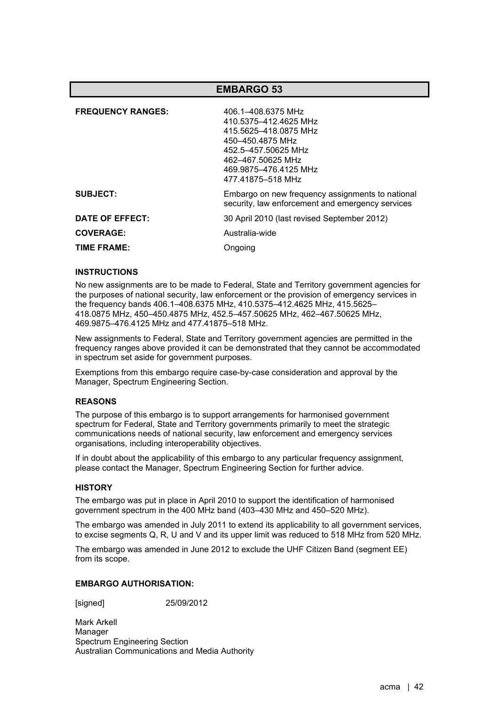| <b>FREQUENCY RANGES:</b> | 406.1-408.6375 MHz<br>410 5375-412 4625 MHz<br>415.5625-418.0875 MHz<br>450-450.4875 MHz<br>452.5-457.50625 MHz<br>462-467 50625 MHz<br>469.9875-476.4125 MHz<br>477.41875-518 MHz |
|--------------------------|------------------------------------------------------------------------------------------------------------------------------------------------------------------------------------|
| <b>SUBJECT:</b>          | Embargo on new frequency assignments to national<br>security, law enforcement and emergency services                                                                               |
| DATE OF EFFECT:          | 30 April 2010 (last revised September 2012)                                                                                                                                        |
| <b>COVERAGE:</b>         | Australia-wide                                                                                                                                                                     |
| TIME FRAME:              | Ongoing                                                                                                                                                                            |

## **INSTRUCTIONS**

No new assignments are to be made to Federal, State and Territory government agencies for the purposes of national security, law enforcement or the provision of emergency services in the frequency bands 406.1–408.6375 MHz, 410.5375–412.4625 MHz, 415.5625– 418.0875 MHz, 450–450.4875 MHz, 452.5–457.50625 MHz, 462–467.50625 MHz, 469.9875–476.4125 MHz and 477.41875–518 MHz.

New assignments to Federal, State and Territory government agencies are permitted in the frequency ranges above provided it can be demonstrated that they cannot be accommodated in spectrum set aside for government purposes.

Exemptions from this embargo require case-by-case consideration and approval by the Manager, Spectrum Engineering Section.

## **REASONS**

The purpose of this embargo is to support arrangements for harmonised government spectrum for Federal, State and Territory governments primarily to meet the strategic communications needs of national security, law enforcement and emergency services organisations, including interoperability objectives.

If in doubt about the applicability of this embargo to any particular frequency assignment, please contact the Manager, Spectrum Engineering Section for further advice.

#### **HISTORY**

The embargo was put in place in April 2010 to support the identification of harmonised government spectrum in the 400 MHz band (403–430 MHz and 450–520 MHz).

The embargo was amended in July 2011 to extend its applicability to all government services, to excise segments Q, R, U and V and its upper limit was reduced to 518 MHz from 520 MHz.

The embargo was amended in June 2012 to exclude the UHF Citizen Band (segment EE) from its scope.

#### **EMBARGO AUTHORISATION:**

[signed] 25/09/2012

Mark Arkell Manager Spectrum Engineering Section Australian Communications and Media Authority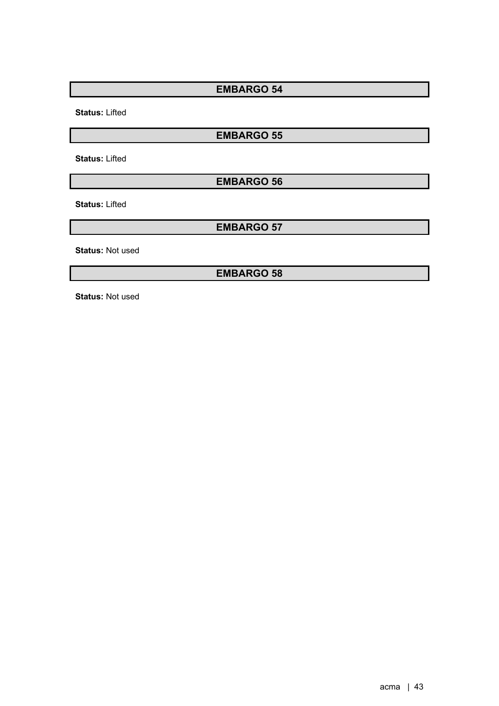**Status:** Lifted

**EMBARGO 55**

**Status:** Lifted

**EMBARGO 56**

**Status:** Lifted

**EMBARGO 57**

**Status:** Not used

**EMBARGO 58**

**Status:** Not used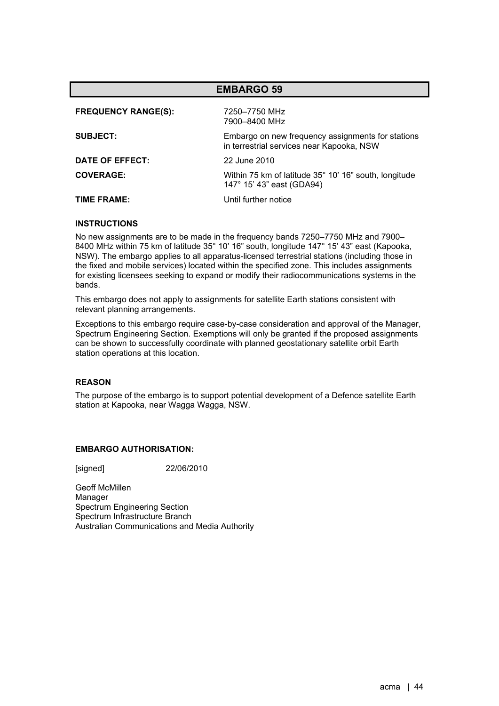| <b>EMBARGO 59</b>          |                                                                                                |  |
|----------------------------|------------------------------------------------------------------------------------------------|--|
| <b>FREQUENCY RANGE(S):</b> | 7250–7750 MHz<br>7900-8400 MHz                                                                 |  |
| <b>SUBJECT:</b>            | Embargo on new frequency assignments for stations<br>in terrestrial services near Kapooka, NSW |  |
| DATE OF EFFECT:            | 22 June 2010                                                                                   |  |
| <b>COVERAGE:</b>           | Within 75 km of latitude 35° 10' 16" south, longitude<br>147° 15' 43" east (GDA94)             |  |
| TIME FRAME:                | Until further notice                                                                           |  |

No new assignments are to be made in the frequency bands 7250–7750 MHz and 7900– 8400 MHz within 75 km of latitude 35° 10' 16" south, longitude 147° 15' 43" east (Kapooka, NSW). The embargo applies to all apparatus-licensed terrestrial stations (including those in the fixed and mobile services) located within the specified zone. This includes assignments for existing licensees seeking to expand or modify their radiocommunications systems in the bands.

This embargo does not apply to assignments for satellite Earth stations consistent with relevant planning arrangements.

Exceptions to this embargo require case-by-case consideration and approval of the Manager, Spectrum Engineering Section. Exemptions will only be granted if the proposed assignments can be shown to successfully coordinate with planned geostationary satellite orbit Earth station operations at this location.

#### **REASON**

The purpose of the embargo is to support potential development of a Defence satellite Earth station at Kapooka, near Wagga Wagga, NSW.

### **EMBARGO AUTHORISATION:**

[signed] 22/06/2010

Geoff McMillen Manager Spectrum Engineering Section Spectrum Infrastructure Branch Australian Communications and Media Authority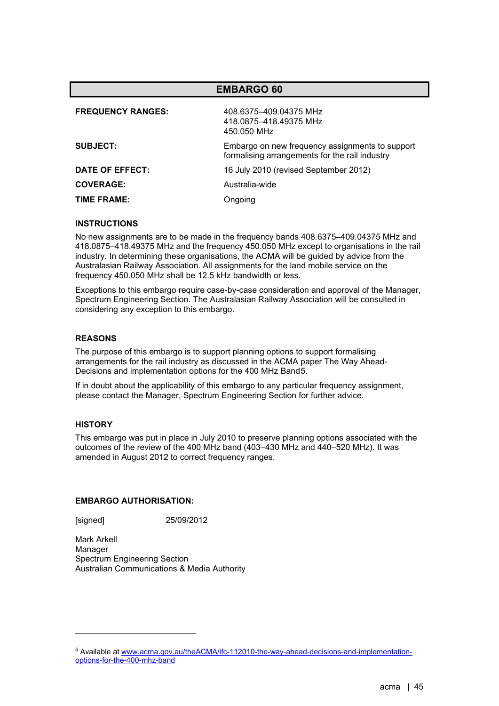| <b>EMBARGO 60</b>        |                                                                                                   |  |
|--------------------------|---------------------------------------------------------------------------------------------------|--|
| <b>FREQUENCY RANGES:</b> | 408.6375-409.04375 MHz<br>418.0875-418.49375 MHz<br>450.050 MHz                                   |  |
| <b>SUBJECT:</b>          | Embargo on new frequency assignments to support<br>formalising arrangements for the rail industry |  |
| DATE OF EFFECT:          | 16 July 2010 (revised September 2012)                                                             |  |
| <b>COVERAGE:</b>         | Australia-wide                                                                                    |  |
| TIME FRAME:              | Ongoing                                                                                           |  |

No new assignments are to be made in the frequency bands 408.6375–409.04375 MHz and 418.0875–418.49375 MHz and the frequency 450.050 MHz except to organisations in the rail industry. In determining these organisations, the ACMA will be guided by advice from the Australasian Railway Association. All assignments for the land mobile service on the frequency 450.050 MHz shall be 12.5 kHz bandwidth or less.

Exceptions to this embargo require case-by-case consideration and approval of the Manager, Spectrum Engineering Section. The Australasian Railway Association will be consulted in considering any exception to this embargo.

## **REASONS**

The purpose of this embargo is to support planning options to support formalising arrangements for the rail industry as discussed in the ACMA paper The Way Ahead-Decisions and implementation options for the 400 MHz Band[5](#page-44-0).

If in doubt about the applicability of this embargo to any particular frequency assignment, please contact the Manager, Spectrum Engineering Section for further advice.

### **HISTORY**

This embargo was put in place in July 2010 to preserve planning options associated with the outcomes of the review of the 400 MHz band (403–430 MHz and 440–520 MHz). It was amended in August 2012 to correct frequency ranges.

#### **EMBARGO AUTHORISATION:**

[signed] 25/09/2012

Mark Arkell Manager Spectrum Engineering Section Australian Communications & Media Authority

<span id="page-44-0"></span><sup>5</sup> Available a[t www.acma.gov.au/theACMA/ifc-112010-the-way-ahead-decisions-and-implementation](http://www.acma.gov.au/theACMA/ifc-112010-the-way-ahead-decisions-and-implementation-options-for-the-400-mhz-band)[options-for-the-400-mhz-band](http://www.acma.gov.au/theACMA/ifc-112010-the-way-ahead-decisions-and-implementation-options-for-the-400-mhz-band)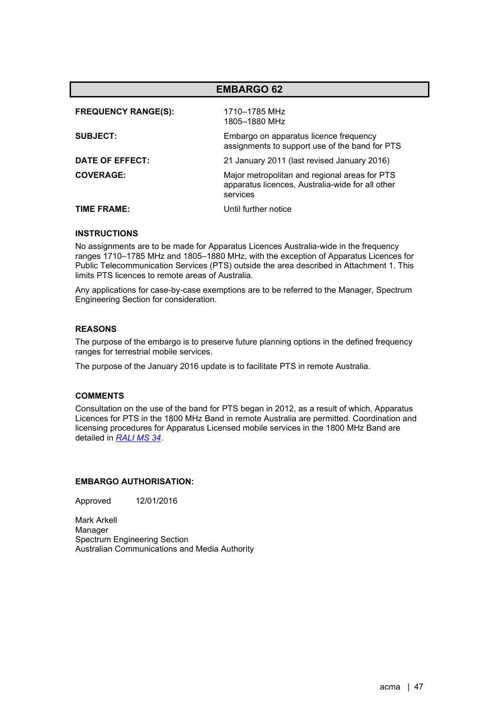| <b>EMBARGO 62</b>          |                                                                                                               |  |
|----------------------------|---------------------------------------------------------------------------------------------------------------|--|
| <b>FREQUENCY RANGE(S):</b> | 1710-1785 MHz<br>1805-1880 MHz                                                                                |  |
| <b>SUBJECT:</b>            | Embargo on apparatus licence frequency<br>assignments to support use of the band for PTS                      |  |
| DATE OF EFFECT:            | 21 January 2011 (last revised January 2016)                                                                   |  |
| <b>COVERAGE:</b>           | Major metropolitan and regional areas for PTS<br>apparatus licences, Australia-wide for all other<br>services |  |
| TIME FRAME:                | Until further notice                                                                                          |  |

No assignments are to be made for Apparatus Licences Australia-wide in the frequency ranges 1710–1785 MHz and 1805–1880 MHz, with the exception of Apparatus Licences for Public Telecommunication Services (PTS) outside the area described in Attachment 1. This limits PTS licences to remote areas of Australia.

Any applications for case-by-case exemptions are to be referred to the Manager, Spectrum Engineering Section for consideration.

## **REASONS**

The purpose of the embargo is to preserve future planning options in the defined frequency ranges for terrestrial mobile services.

The purpose of the January 2016 update is to facilitate PTS in remote Australia.

## **COMMENTS**

Consultation on the use of the band for PTS began in 2012, as a result of which, Apparatus Licences for PTS in the 1800 MHz Band in remote Australia are permitted. Coordination and licensing procedures for Apparatus Licensed mobile services in the 1800 MHz Band are detailed in *[RALI](https://www.acma.gov.au/ralis-frequency-coordination) MS 34*.

#### **EMBARGO AUTHORISATION:**

Approved 12/01/2016

Mark Arkell Manager Spectrum Engineering Section Australian Communications and Media Authority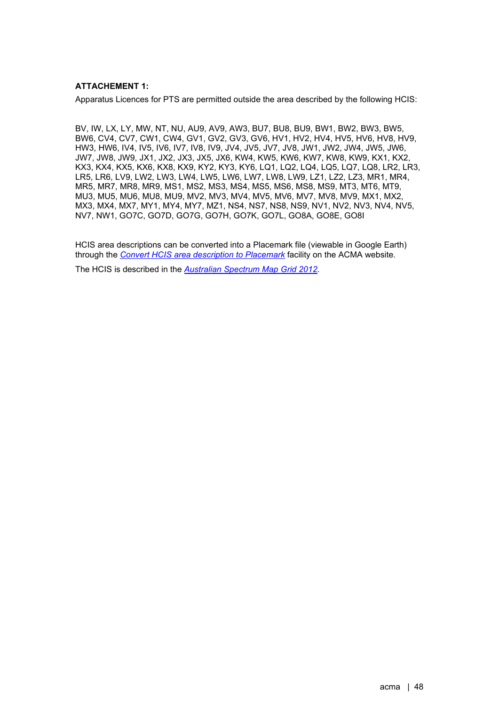## **ATTACHEMENT 1:**

Apparatus Licences for PTS are permitted outside the area described by the following HCIS:

BV, IW, LX, LY, MW, NT, NU, AU9, AV9, AW3, BU7, BU8, BU9, BW1, BW2, BW3, BW5, BW6, CV4, CV7, CW1, CW4, GV1, GV2, GV3, GV6, HV1, HV2, HV4, HV5, HV6, HV8, HV9, HW3, HW6, IV4, IV5, IV6, IV7, IV8, IV9, JV4, JV5, JV7, JV8, JW1, JW2, JW4, JW5, JW6, JW7, JW8, JW9, JX1, JX2, JX3, JX5, JX6, KW4, KW5, KW6, KW7, KW8, KW9, KX1, KX2, KX3, KX4, KX5, KX6, KX8, KX9, KY2, KY3, KY6, LQ1, LQ2, LQ4, LQ5, LQ7, LQ8, LR2, LR3, LR5, LR6, LV9, LW2, LW3, LW4, LW5, LW6, LW7, LW8, LW9, LZ1, LZ2, LZ3, MR1, MR4, MR5, MR7, MR8, MR9, MS1, MS2, MS3, MS4, MS5, MS6, MS8, MS9, MT3, MT6, MT9, MU3, MU5, MU6, MU8, MU9, MV2, MV3, MV4, MV5, MV6, MV7, MV8, MV9, MX1, MX2, MX3, MX4, MX7, MY1, MY4, MY7, MZ1, NS4, NS7, NS8, NS9, NV1, NV2, NV3, NV4, NV5, NV7, NW1, GO7C, GO7D, GO7G, GO7H, GO7K, GO7L, GO8A, GO8E, GO8I

HCIS area descriptions can be converted into a Placemark file (viewable in Google Earth) through the *[Convert HCIS area description to Placemark](https://www.acma.gov.au/convert-hcis-area-description-placemark-0)* facility on the ACMA website.

The HCIS is described in the *[Australian Spectrum Map Grid 2012](https://www.acma.gov.au/sites/default/files/2019-10/The%20Australian%20spectrum%20map%20grid%202012.PDF)*.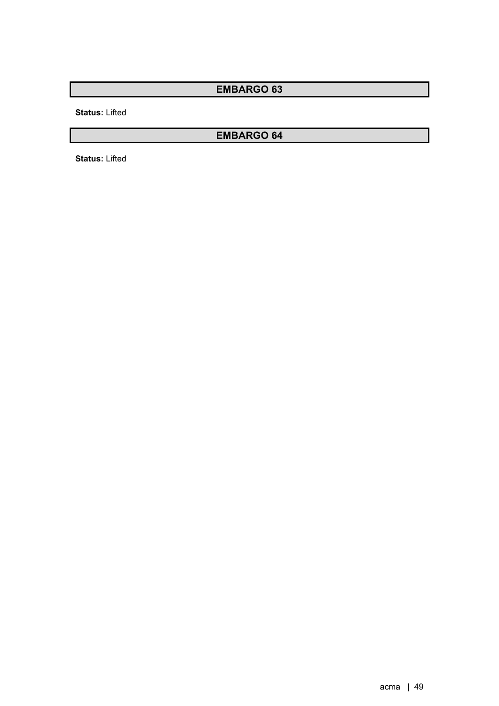**Status:** Lifted

# **EMBARGO 64**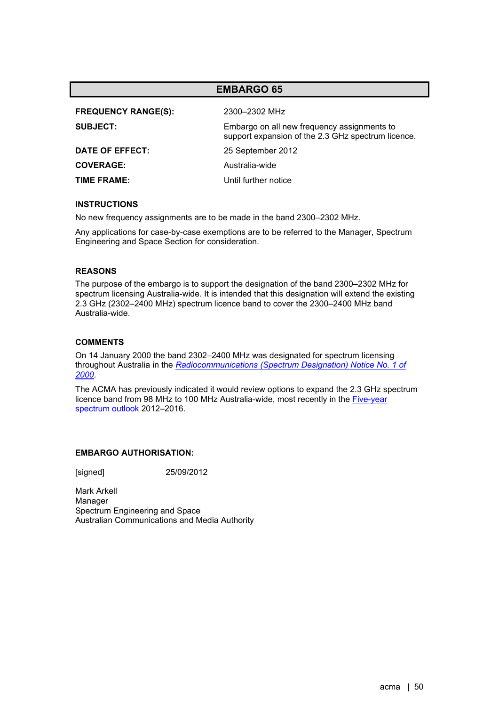| <b>FREQUENCY RANGE(S):</b> | 2300-2302 MHz                                                                                     |
|----------------------------|---------------------------------------------------------------------------------------------------|
| <b>SUBJECT:</b>            | Embargo on all new frequency assignments to<br>support expansion of the 2.3 GHz spectrum licence. |
| DATE OF EFFECT:            | 25 September 2012                                                                                 |
| <b>COVERAGE:</b>           | Australia-wide                                                                                    |
| TIME FRAME:                | Until further notice                                                                              |

#### **INSTRUCTIONS**

No new frequency assignments are to be made in the band 2300–2302 MHz.

Any applications for case-by-case exemptions are to be referred to the Manager, Spectrum Engineering and Space Section for consideration.

### **REASONS**

The purpose of the embargo is to support the designation of the band 2300–2302 MHz for spectrum licensing Australia-wide. It is intended that this designation will extend the existing 2.3 GHz (2302–2400 MHz) spectrum licence band to cover the 2300–2400 MHz band Australia-wide.

### **COMMENTS**

On 14 January 2000 the band 2302–2400 MHz was designated for spectrum licensing throughout Australia in the *[Radiocommunications \(Spectrum Designation\) Notice No. 1 of](http://www.comlaw.gov.au/Details/F2004B00494)  [2000](http://www.comlaw.gov.au/Details/F2004B00494)*.

The ACMA has previously indicated it would review options to expand the 2.3 GHz spectrum licence band from 98 MHz to 100 MHz Australia-wide, most recently in the [Five-year](https://www.acma.gov.au/five-year-spectrum-outlook)  [spectrum outlook](https://www.acma.gov.au/five-year-spectrum-outlook) 2012–2016.

#### **EMBARGO AUTHORISATION:**

[signed] 25/09/2012

Mark Arkell Manager Spectrum Engineering and Space Australian Communications and Media Authority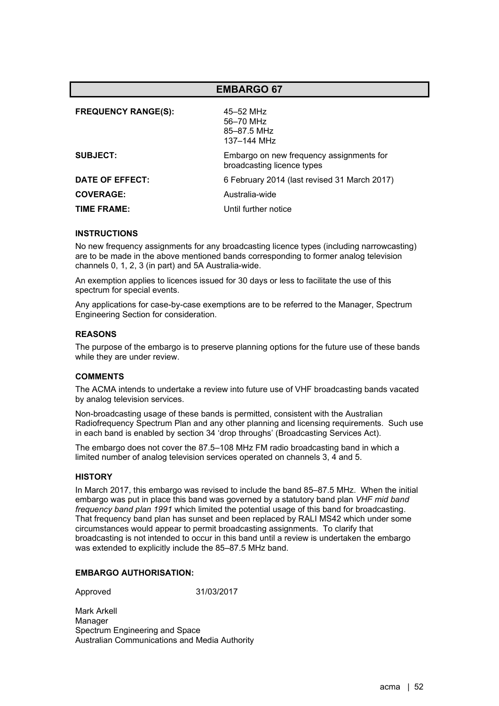| <b>FREQUENCY RANGE(S):</b> | 45-52 MHz<br>56-70 MHz<br>85-87.5 MHz<br>137–144 MHz                   |
|----------------------------|------------------------------------------------------------------------|
| <b>SUBJECT:</b>            | Embargo on new frequency assignments for<br>broadcasting licence types |
| DATE OF EFFECT:            | 6 February 2014 (last revised 31 March 2017)                           |
| <b>COVERAGE:</b>           | Australia-wide                                                         |
| TIME FRAME:                | Until further notice                                                   |

#### **INSTRUCTIONS**

No new frequency assignments for any broadcasting licence types (including narrowcasting) are to be made in the above mentioned bands corresponding to former analog television channels 0, 1, 2, 3 (in part) and 5A Australia-wide.

An exemption applies to licences issued for 30 days or less to facilitate the use of this spectrum for special events.

Any applications for case-by-case exemptions are to be referred to the Manager, Spectrum Engineering Section for consideration.

#### **REASONS**

The purpose of the embargo is to preserve planning options for the future use of these bands while they are under review.

#### **COMMENTS**

The ACMA intends to undertake a review into future use of VHF broadcasting bands vacated by analog television services.

Non-broadcasting usage of these bands is permitted, consistent with the Australian Radiofrequency Spectrum Plan and any other planning and licensing requirements. Such use in each band is enabled by section 34 'drop throughs' (Broadcasting Services Act).

The embargo does not cover the 87.5–108 MHz FM radio broadcasting band in which a limited number of analog television services operated on channels 3, 4 and 5.

## **HISTORY**

In March 2017, this embargo was revised to include the band 85–87.5 MHz. When the initial embargo was put in place this band was governed by a statutory band plan *VHF mid band frequency band plan 1991* which limited the potential usage of this band for broadcasting. That frequency band plan has sunset and been replaced by RALI MS42 which under some circumstances would appear to permit broadcasting assignments. To clarify that broadcasting is not intended to occur in this band until a review is undertaken the embargo was extended to explicitly include the 85–87.5 MHz band.

## **EMBARGO AUTHORISATION:**

Approved 31/03/2017

Mark Arkell Manager Spectrum Engineering and Space Australian Communications and Media Authority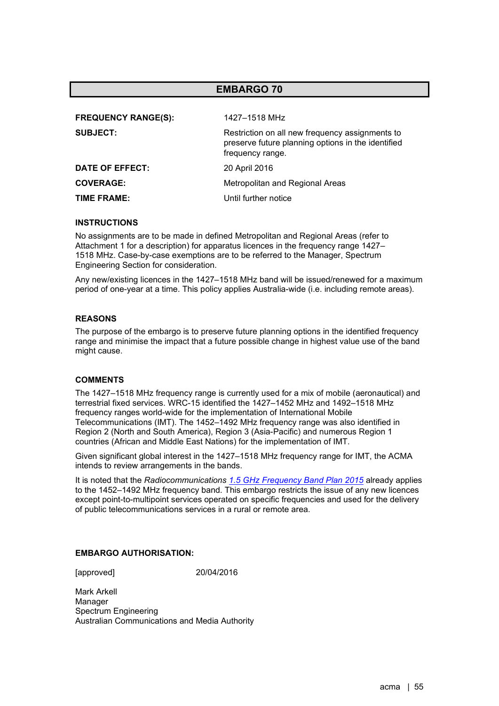| <b>FREQUENCY RANGE(S):</b> | 1427-1518 MHz                                                                                                             |
|----------------------------|---------------------------------------------------------------------------------------------------------------------------|
| <b>SUBJECT:</b>            | Restriction on all new frequency assignments to<br>preserve future planning options in the identified<br>frequency range. |
| DATE OF EFFECT:            | 20 April 2016                                                                                                             |
| <b>COVERAGE:</b>           | Metropolitan and Regional Areas                                                                                           |
| TIME FRAME:                | Until further notice                                                                                                      |

#### **INSTRUCTIONS**

No assignments are to be made in defined Metropolitan and Regional Areas (refer to Attachment 1 for a description) for apparatus licences in the frequency range 1427– 1518 MHz. Case-by-case exemptions are to be referred to the Manager, Spectrum Engineering Section for consideration.

Any new/existing licences in the 1427–1518 MHz band will be issued/renewed for a maximum period of one-year at a time. This policy applies Australia-wide (i.e. including remote areas).

## **REASONS**

The purpose of the embargo is to preserve future planning options in the identified frequency range and minimise the impact that a future possible change in highest value use of the band might cause.

#### **COMMENTS**

The 1427–1518 MHz frequency range is currently used for a mix of mobile (aeronautical) and terrestrial fixed services. WRC-15 identified the 1427–1452 MHz and 1492–1518 MHz frequency ranges world-wide for the implementation of International Mobile Telecommunications (IMT). The 1452–1492 MHz frequency range was also identified in Region 2 (North and South America), Region 3 (Asia-Pacific) and numerous Region 1 countries (African and Middle East Nations) for the implementation of IMT.

Given significant global interest in the 1427–1518 MHz frequency range for IMT, the ACMA intends to review arrangements in the bands.

It is noted that the *Radiocommunications 1.5 [GHz Frequency Band Plan 2015](https://www.legislation.gov.au/Details/F2015L01271)* already applies to the 1452–1492 MHz frequency band. This embargo restricts the issue of any new licences except point-to-multipoint services operated on specific frequencies and used for the delivery of public telecommunications services in a rural or remote area.

#### **EMBARGO AUTHORISATION:**

[approved] 20/04/2016

Mark Arkell Manager Spectrum Engineering Australian Communications and Media Authority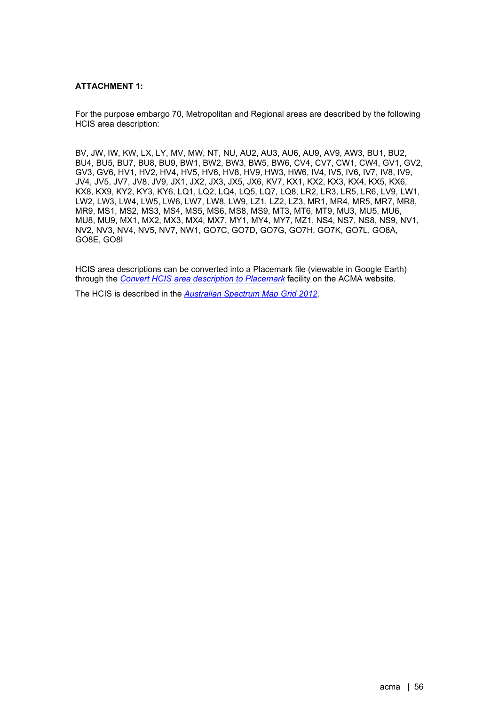## **ATTACHMENT 1:**

For the purpose embargo 70, Metropolitan and Regional areas are described by the following HCIS area description:

BV, JW, IW, KW, LX, LY, MV, MW, NT, NU, AU2, AU3, AU6, AU9, AV9, AW3, BU1, BU2, BU4, BU5, BU7, BU8, BU9, BW1, BW2, BW3, BW5, BW6, CV4, CV7, CW1, CW4, GV1, GV2, GV3, GV6, HV1, HV2, HV4, HV5, HV6, HV8, HV9, HW3, HW6, IV4, IV5, IV6, IV7, IV8, IV9, JV4, JV5, JV7, JV8, JV9, JX1, JX2, JX3, JX5, JX6, KV7, KX1, KX2, KX3, KX4, KX5, KX6, KX8, KX9, KY2, KY3, KY6, LQ1, LQ2, LQ4, LQ5, LQ7, LQ8, LR2, LR3, LR5, LR6, LV9, LW1, LW2, LW3, LW4, LW5, LW6, LW7, LW8, LW9, LZ1, LZ2, LZ3, MR1, MR4, MR5, MR7, MR8, MR9, MS1, MS2, MS3, MS4, MS5, MS6, MS8, MS9, MT3, MT6, MT9, MU3, MU5, MU6, MU8, MU9, MX1, MX2, MX3, MX4, MX7, MY1, MY4, MY7, MZ1, NS4, NS7, NS8, NS9, NV1, NV2, NV3, NV4, NV5, NV7, NW1, GO7C, GO7D, GO7G, GO7H, GO7K, GO7L, GO8A, GO8E, GO8I

HCIS area descriptions can be converted into a Placemark file (viewable in Google Earth) through the *[Convert HCIS area description to Placemark](https://www.acma.gov.au/convert-hcis-area-description-placemark-0)* facility on the ACMA website.

The HCIS is described in the *[Australian Spectrum Map Grid 2012](https://www.acma.gov.au/sites/default/files/2019-10/The%20Australian%20spectrum%20map%20grid%202012.PDF)*.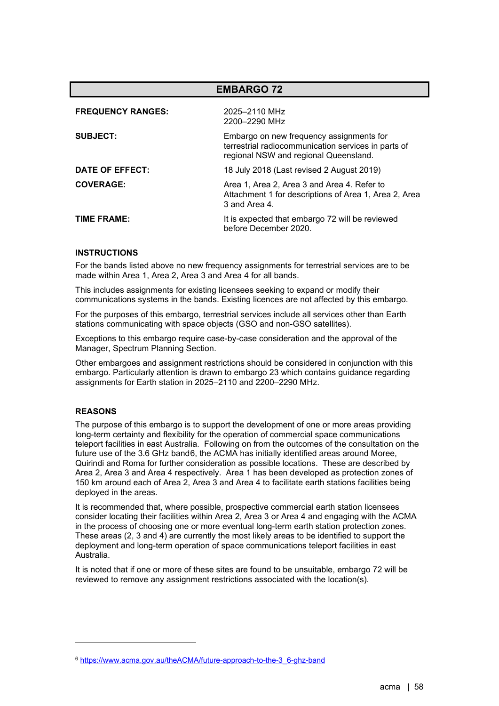| <b>EMBARGO 72</b>        |                                                                                                                                          |
|--------------------------|------------------------------------------------------------------------------------------------------------------------------------------|
| <b>FREQUENCY RANGES:</b> | 2025-2110 MHz<br>2200-2290 MHz                                                                                                           |
| <b>SUBJECT:</b>          | Embargo on new frequency assignments for<br>terrestrial radiocommunication services in parts of<br>regional NSW and regional Queensland. |
| DATE OF EFFECT:          | 18 July 2018 (Last revised 2 August 2019)                                                                                                |
| <b>COVERAGE:</b>         | Area 1, Area 2, Area 3 and Area 4. Refer to<br>Attachment 1 for descriptions of Area 1, Area 2, Area<br>3 and Area 4.                    |
| TIME FRAME:              | It is expected that embargo 72 will be reviewed<br>before December 2020.                                                                 |

For the bands listed above no new frequency assignments for terrestrial services are to be made within Area 1, Area 2, Area 3 and Area 4 for all bands.

This includes assignments for existing licensees seeking to expand or modify their communications systems in the bands. Existing licences are not affected by this embargo.

For the purposes of this embargo, terrestrial services include all services other than Earth stations communicating with space objects (GSO and non-GSO satellites).

Exceptions to this embargo require case-by-case consideration and the approval of the Manager, Spectrum Planning Section.

Other embargoes and assignment restrictions should be considered in conjunction with this embargo. Particularly attention is drawn to embargo 23 which contains guidance regarding assignments for Earth station in 2025–2110 and 2200–2290 MHz.

#### **REASONS**

The purpose of this embargo is to support the development of one or more areas providing long-term certainty and flexibility for the operation of commercial space communications teleport facilities in east Australia. Following on from the outcomes of the consultation on the future use of the 3.6 GHz band[6,](#page-57-0) the ACMA has initially identified areas around Moree, Quirindi and Roma for further consideration as possible locations. These are described by Area 2, Area 3 and Area 4 respectively. Area 1 has been developed as protection zones of 150 km around each of Area 2, Area 3 and Area 4 to facilitate earth stations facilities being deployed in the areas.

It is recommended that, where possible, prospective commercial earth station licensees consider locating their facilities within Area 2, Area 3 or Area 4 and engaging with the ACMA in the process of choosing one or more eventual long-term earth station protection zones. These areas (2, 3 and 4) are currently the most likely areas to be identified to support the deployment and long-term operation of space communications teleport facilities in east Australia.

It is noted that if one or more of these sites are found to be unsuitable, embargo 72 will be reviewed to remove any assignment restrictions associated with the location(s).

<span id="page-57-0"></span><sup>6</sup> [https://www.acma.gov.au/theACMA/future-approach-to-the-3\\_6-ghz-band](https://www.acma.gov.au/theACMA/future-approach-to-the-3_6-ghz-band)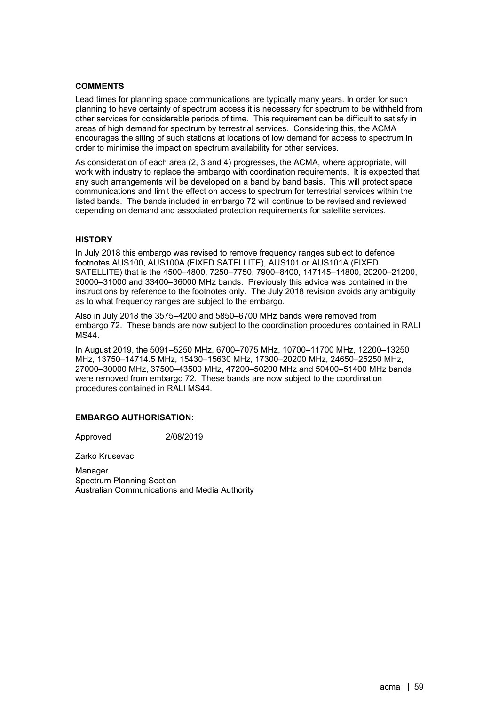## **COMMENTS**

Lead times for planning space communications are typically many years. In order for such planning to have certainty of spectrum access it is necessary for spectrum to be withheld from other services for considerable periods of time. This requirement can be difficult to satisfy in areas of high demand for spectrum by terrestrial services. Considering this, the ACMA encourages the siting of such stations at locations of low demand for access to spectrum in order to minimise the impact on spectrum availability for other services.

As consideration of each area (2, 3 and 4) progresses, the ACMA, where appropriate, will work with industry to replace the embargo with coordination requirements. It is expected that any such arrangements will be developed on a band by band basis. This will protect space communications and limit the effect on access to spectrum for terrestrial services within the listed bands. The bands included in embargo 72 will continue to be revised and reviewed depending on demand and associated protection requirements for satellite services.

## **HISTORY**

In July 2018 this embargo was revised to remove frequency ranges subject to defence footnotes AUS100, AUS100A (FIXED SATELLITE), AUS101 or AUS101A (FIXED SATELLITE) that is the 4500–4800, 7250–7750, 7900–8400, 147145–14800, 20200–21200, 30000–31000 and 33400–36000 MHz bands. Previously this advice was contained in the instructions by reference to the footnotes only. The July 2018 revision avoids any ambiguity as to what frequency ranges are subject to the embargo.

Also in July 2018 the 3575–4200 and 5850–6700 MHz bands were removed from embargo 72. These bands are now subject to the coordination procedures contained in RALI MS44.

In August 2019, the 5091–5250 MHz, 6700–7075 MHz, 10700–11700 MHz, 12200–13250 MHz, 13750–14714.5 MHz, 15430–15630 MHz, 17300–20200 MHz, 24650–25250 MHz, 27000–30000 MHz, 37500–43500 MHz, 47200–50200 MHz and 50400–51400 MHz bands were removed from embargo 72. These bands are now subject to the coordination procedures contained in RALI MS44.

## **EMBARGO AUTHORISATION:**

Approved 2/08/2019

Zarko Krusevac

Manager Spectrum Planning Section Australian Communications and Media Authority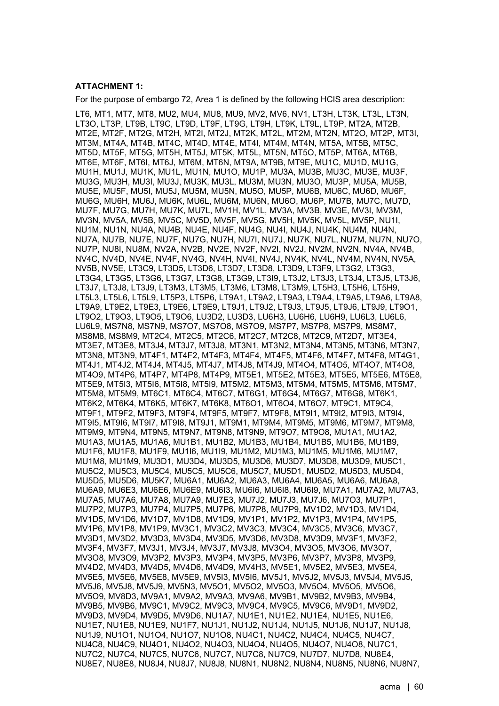#### **ATTACHMENT 1:**

For the purpose of embargo 72, Area 1 is defined by the following HCIS area description:

LT6, MT1, MT7, MT8, MU2, MU4, MU8, MU9, MV2, MV6, NV1, LT3H, LT3K, LT3L, LT3N, LT3O, LT3P, LT9B, LT9C, LT9D, LT9F, LT9G, LT9H, LT9K, LT9L, LT9P, MT2A, MT2B, MT2E, MT2F, MT2G, MT2H, MT2I, MT2J, MT2K, MT2L, MT2M, MT2N, MT2O, MT2P, MT3I, MT3M, MT4A, MT4B, MT4C, MT4D, MT4E, MT4I, MT4M, MT4N, MT5A, MT5B, MT5C, MT5D, MT5F, MT5G, MT5H, MT5J, MT5K, MT5L, MT5N, MT5O, MT5P, MT6A, MT6B, MT6E, MT6F, MT6I, MT6J, MT6M, MT6N, MT9A, MT9B, MT9E, MU1C, MU1D, MU1G, MU1H, MU1J, MU1K, MU1L, MU1N, MU1O, MU1P, MU3A, MU3B, MU3C, MU3E, MU3F, MU3G, MU3H, MU3I, MU3J, MU3K, MU3L, MU3M, MU3N, MU3O, MU3P, MU5A, MU5B, MU5E, MU5F, MU5I, MU5J, MU5M, MU5N, MU5O, MU5P, MU6B, MU6C, MU6D, MU6F, MU6G, MU6H, MU6J, MU6K, MU6L, MU6M, MU6N, MU6O, MU6P, MU7B, MU7C, MU7D, MU7F, MU7G, MU7H, MU7K, MU7L, MV1H, MV1L, MV3A, MV3B, MV3E, MV3I, MV3M, MV3N, MV5A, MV5B, MV5C, MV5D, MV5F, MV5G, MV5H, MV5K, MV5L, MV5P, NU1I, NU1M, NU1N, NU4A, NU4B, NU4E, NU4F, NU4G, NU4I, NU4J, NU4K, NU4M, NU4N, NU7A, NU7B, NU7E, NU7F, NU7G, NU7H, NU7I, NU7J, NU7K, NU7L, NU7M, NU7N, NU7O, NU7P, NU8I, NU8M, NV2A, NV2B, NV2E, NV2F, NV2I, NV2J, NV2M, NV2N, NV4A, NV4B, NV4C, NV4D, NV4E, NV4F, NV4G, NV4H, NV4I, NV4J, NV4K, NV4L, NV4M, NV4N, NV5A, NV5B, NV5E, LT3C9, LT3D5, LT3D6, LT3D7, LT3D8, LT3D9, LT3F9, LT3G2, LT3G3, LT3G4, LT3G5, LT3G6, LT3G7, LT3G8, LT3G9, LT3I9, LT3J2, LT3J3, LT3J4, LT3J5, LT3J6, LT3J7, LT3J8, LT3J9, LT3M3, LT3M5, LT3M6, LT3M8, LT3M9, LT5H3, LT5H6, LT5H9, LT5L3, LT5L6, LT5L9, LT5P3, LT5P6, LT9A1, LT9A2, LT9A3, LT9A4, LT9A5, LT9A6, LT9A8, LT9A9, LT9E2, LT9E3, LT9E6, LT9E9, LT9J1, LT9J2, LT9J3, LT9J5, LT9J6, LT9J9, LT9O1, LT9O2, LT9O3, LT9O5, LT9O6, LU3D2, LU3D3, LU6H3, LU6H6, LU6H9, LU6L3, LU6L6, LU6L9, MS7N8, MS7N9, MS7O7, MS7O8, MS7O9, MS7P7, MS7P8, MS7P9, MS8M7, MS8M8, MS8M9, MT2C4, MT2C5, MT2C6, MT2C7, MT2C8, MT2C9, MT2D7, MT3E4, MT3E7, MT3E8, MT3J4, MT3J7, MT3J8, MT3N1, MT3N2, MT3N4, MT3N5, MT3N6, MT3N7, MT3N8, MT3N9, MT4F1, MT4F2, MT4F3, MT4F4, MT4F5, MT4F6, MT4F7, MT4F8, MT4G1, MT4J1, MT4J2, MT4J4, MT4J5, MT4J7, MT4J8, MT4J9, MT4O4, MT4O5, MT4O7, MT4O8, MT4O9, MT4P6, MT4P7, MT4P8, MT4P9, MT5E1, MT5E2, MT5E3, MT5E5, MT5E6, MT5E8, MT5E9, MT5I3, MT5I6, MT5I8, MT5I9, MT5M2, MT5M3, MT5M4, MT5M5, MT5M6, MT5M7, MT5M8, MT5M9, MT6C1, MT6C4, MT6C7, MT6G1, MT6G4, MT6G7, MT6G8, MT6K1, MT6K2, MT6K4, MT6K5, MT6K7, MT6K8, MT6O1, MT6O4, MT6O7, MT9C1, MT9C4, MT9F1, MT9F2, MT9F3, MT9F4, MT9F5, MT9F7, MT9F8, MT9I1, MT9I2, MT9I3, MT9I4, MT9I5, MT9I6, MT9I7, MT9I8, MT9J1, MT9M1, MT9M4, MT9M5, MT9M6, MT9M7, MT9M8, MT9M9, MT9N4, MT9N5, MT9N7, MT9N8, MT9N9, MT9O7, MT9O8, MU1A1, MU1A2, MU1A3, MU1A5, MU1A6, MU1B1, MU1B2, MU1B3, MU1B4, MU1B5, MU1B6, MU1B9, MU1F6, MU1F8, MU1F9, MU1I6, MU1I9, MU1M2, MU1M3, MU1M5, MU1M6, MU1M7, MU1M8, MU1M9, MU3D1, MU3D4, MU3D5, MU3D6, MU3D7, MU3D8, MU3D9, MU5C1, MU5C2, MU5C3, MU5C4, MU5C5, MU5C6, MU5C7, MU5D1, MU5D2, MU5D3, MU5D4, MU5D5, MU5D6, MU5K7, MU6A1, MU6A2, MU6A3, MU6A4, MU6A5, MU6A6, MU6A8, MU6A9, MU6E3, MU6E6, MU6E9, MU6I3, MU6I6, MU6I8, MU6I9, MU7A1, MU7A2, MU7A3, MU7A5, MU7A6, MU7A8, MU7A9, MU7E3, MU7J2, MU7J3, MU7J6, MU7O3, MU7P1, MU7P2, MU7P3, MU7P4, MU7P5, MU7P6, MU7P8, MU7P9, MV1D2, MV1D3, MV1D4, MV1D5, MV1D6, MV1D7, MV1D8, MV1D9, MV1P1, MV1P2, MV1P3, MV1P4, MV1P5, MV1P6, MV1P8, MV1P9, MV3C1, MV3C2, MV3C3, MV3C4, MV3C5, MV3C6, MV3C7, MV3D1, MV3D2, MV3D3, MV3D4, MV3D5, MV3D6, MV3D8, MV3D9, MV3F1, MV3F2, MV3F4, MV3F7, MV3J1, MV3J4, MV3J7, MV3J8, MV3O4, MV3O5, MV3O6, MV3O7, MV3O8, MV3O9, MV3P2, MV3P3, MV3P4, MV3P5, MV3P6, MV3P7, MV3P8, MV3P9, MV4D2, MV4D3, MV4D5, MV4D6, MV4D9, MV4H3, MV5E1, MV5E2, MV5E3, MV5E4, MV5E5, MV5E6, MV5E8, MV5E9, MV5I3, MV5I6, MV5J1, MV5J2, MV5J3, MV5J4, MV5J5, MV5J6, MV5J8, MV5J9, MV5N3, MV5O1, MV5O2, MV5O3, MV5O4, MV5O5, MV5O6, MV5O9, MV8D3, MV9A1, MV9A2, MV9A3, MV9A6, MV9B1, MV9B2, MV9B3, MV9B4, MV9B5, MV9B6, MV9C1, MV9C2, MV9C3, MV9C4, MV9C5, MV9C6, MV9D1, MV9D2, MV9D3, MV9D4, MV9D5, MV9D6, NU1A7, NU1E1, NU1E2, NU1E4, NU1E5, NU1E6, NU1E7, NU1E8, NU1E9, NU1F7, NU1J1, NU1J2, NU1J4, NU1J5, NU1J6, NU1J7, NU1J8, NU1J9, NU1O1, NU1O4, NU1O7, NU1O8, NU4C1, NU4C2, NU4C4, NU4C5, NU4C7, NU4C8, NU4C9, NU4O1, NU4O2, NU4O3, NU4O4, NU4O5, NU4O7, NU4O8, NU7C1, NU7C2, NU7C4, NU7C5, NU7C6, NU7C7, NU7C8, NU7C9, NU7D7, NU7D8, NU8E4, NU8E7, NU8E8, NU8J4, NU8J7, NU8J8, NU8N1, NU8N2, NU8N4, NU8N5, NU8N6, NU8N7,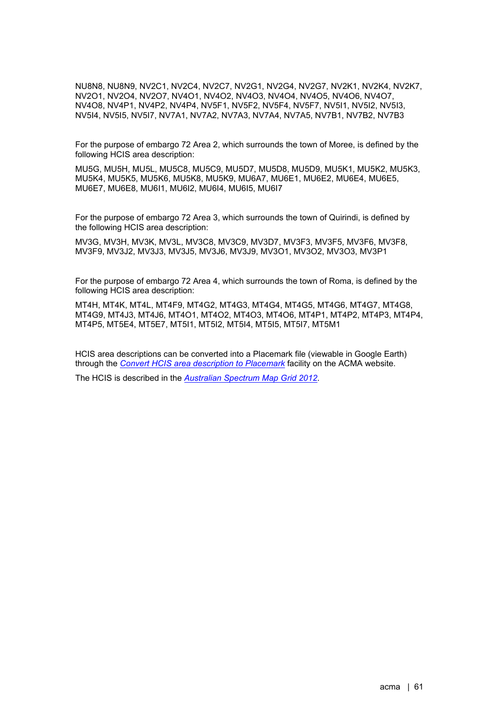NU8N8, NU8N9, NV2C1, NV2C4, NV2C7, NV2G1, NV2G4, NV2G7, NV2K1, NV2K4, NV2K7, NV2O1, NV2O4, NV2O7, NV4O1, NV4O2, NV4O3, NV4O4, NV4O5, NV4O6, NV4O7, NV4O8, NV4P1, NV4P2, NV4P4, NV5F1, NV5F2, NV5F4, NV5F7, NV5I1, NV5I2, NV5I3, NV5I4, NV5I5, NV5I7, NV7A1, NV7A2, NV7A3, NV7A4, NV7A5, NV7B1, NV7B2, NV7B3

For the purpose of embargo 72 Area 2, which surrounds the town of Moree, is defined by the following HCIS area description:

MU5G, MU5H, MU5L, MU5C8, MU5C9, MU5D7, MU5D8, MU5D9, MU5K1, MU5K2, MU5K3, MU5K4, MU5K5, MU5K6, MU5K8, MU5K9, MU6A7, MU6E1, MU6E2, MU6E4, MU6E5, MU6E7, MU6E8, MU6I1, MU6I2, MU6I4, MU6I5, MU6I7

For the purpose of embargo 72 Area 3, which surrounds the town of Quirindi, is defined by the following HCIS area description:

MV3G, MV3H, MV3K, MV3L, MV3C8, MV3C9, MV3D7, MV3F3, MV3F5, MV3F6, MV3F8, MV3F9, MV3J2, MV3J3, MV3J5, MV3J6, MV3J9, MV3O1, MV3O2, MV3O3, MV3P1

For the purpose of embargo 72 Area 4, which surrounds the town of Roma, is defined by the following HCIS area description:

MT4H, MT4K, MT4L, MT4F9, MT4G2, MT4G3, MT4G4, MT4G5, MT4G6, MT4G7, MT4G8, MT4G9, MT4J3, MT4J6, MT4O1, MT4O2, MT4O3, MT4O6, MT4P1, MT4P2, MT4P3, MT4P4, MT4P5, MT5E4, MT5E7, MT5I1, MT5I2, MT5I4, MT5I5, MT5I7, MT5M1

HCIS area descriptions can be converted into a Placemark file (viewable in Google Earth) through the *[Convert HCIS area description to Placemark](https://www.acma.gov.au/convert-hcis-area-description-placemark-0)* facility on the ACMA website.

The HCIS is described in the *[Australian Spectrum Map Grid 2012](https://www.acma.gov.au/sites/default/files/2019-10/The%20Australian%20spectrum%20map%20grid%202012.PDF)*.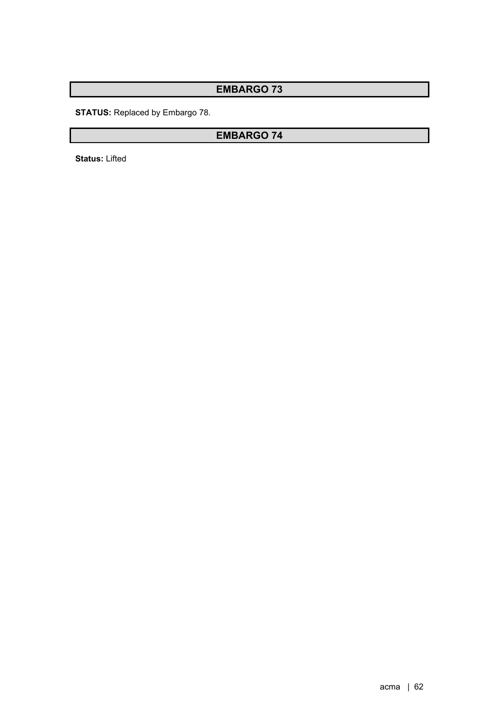**STATUS:** Replaced by Embargo 78.

# **EMBARGO 74**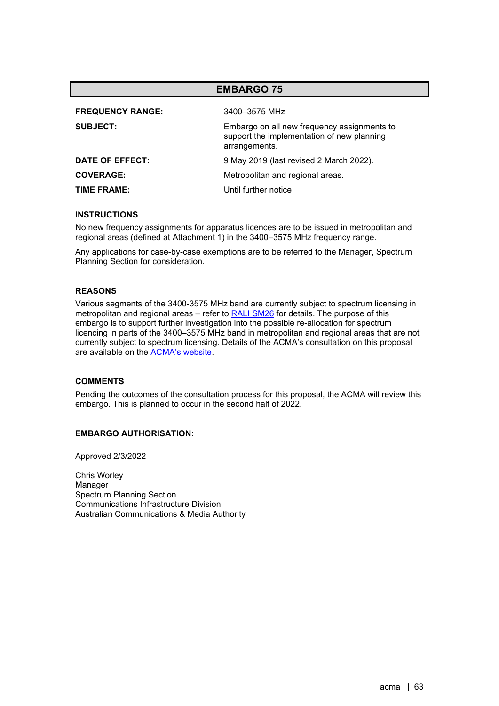| <b>EMBARGO 75</b>                                                                                          |  |
|------------------------------------------------------------------------------------------------------------|--|
| 3400–3575 MHz                                                                                              |  |
| Embargo on all new frequency assignments to<br>support the implementation of new planning<br>arrangements. |  |
| 9 May 2019 (last revised 2 March 2022).                                                                    |  |
| Metropolitan and regional areas.                                                                           |  |
| Until further notice                                                                                       |  |
|                                                                                                            |  |

No new frequency assignments for apparatus licences are to be issued in metropolitan and regional areas (defined at Attachment 1) in the 3400–3575 MHz frequency range.

Any applications for case-by-case exemptions are to be referred to the Manager, Spectrum Planning Section for consideration.

## **REASONS**

Various segments of the 3400-3575 MHz band are currently subject to spectrum licensing in metropolitan and regional areas – refer to **RALI SM26** for details. The purpose of this embargo is to support further investigation into the possible re-allocation for spectrum licencing in parts of the 3400–3575 MHz band in metropolitan and regional areas that are not currently subject to spectrum licensing. Details of the ACMA's consultation on this proposal are available on the [ACMA's website.](https://www.acma.gov.au/consultations/2022-03/proposed-spectrum-re-allocation-declaration-34-ghz-and-37-ghz-bands)

## **COMMENTS**

Pending the outcomes of the consultation process for this proposal, the ACMA will review this embargo. This is planned to occur in the second half of 2022.

#### **EMBARGO AUTHORISATION:**

Approved 2/3/2022

Chris Worley Manager Spectrum Planning Section Communications Infrastructure Division Australian Communications & Media Authority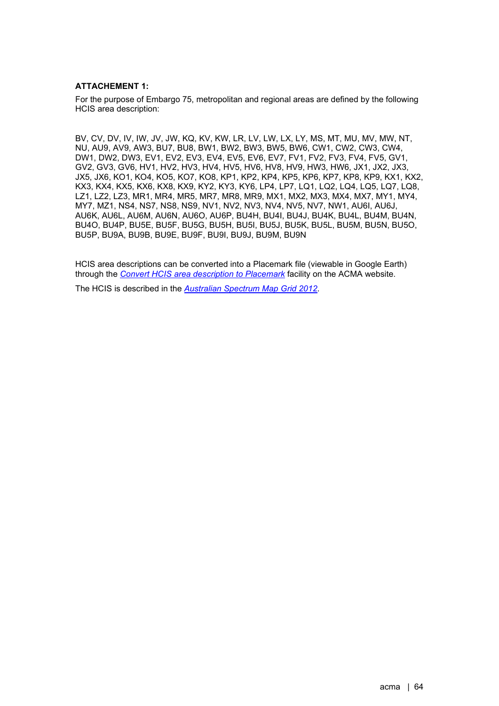## **ATTACHEMENT 1:**

For the purpose of Embargo 75, metropolitan and regional areas are defined by the following HCIS area description:

BV, CV, DV, IV, IW, JV, JW, KQ, KV, KW, LR, LV, LW, LX, LY, MS, MT, MU, MV, MW, NT, NU, AU9, AV9, AW3, BU7, BU8, BW1, BW2, BW3, BW5, BW6, CW1, CW2, CW3, CW4, DW1, DW2, DW3, EV1, EV2, EV3, EV4, EV5, EV6, EV7, FV1, FV2, FV3, FV4, FV5, GV1, GV2, GV3, GV6, HV1, HV2, HV3, HV4, HV5, HV6, HV8, HV9, HW3, HW6, JX1, JX2, JX3, JX5, JX6, KO1, KO4, KO5, KO7, KO8, KP1, KP2, KP4, KP5, KP6, KP7, KP8, KP9, KX1, KX2, KX3, KX4, KX5, KX6, KX8, KX9, KY2, KY3, KY6, LP4, LP7, LQ1, LQ2, LQ4, LQ5, LQ7, LQ8, LZ1, LZ2, LZ3, MR1, MR4, MR5, MR7, MR8, MR9, MX1, MX2, MX3, MX4, MX7, MY1, MY4, MY7, MZ1, NS4, NS7, NS8, NS9, NV1, NV2, NV3, NV4, NV5, NV7, NW1, AU6I, AU6J, AU6K, AU6L, AU6M, AU6N, AU6O, AU6P, BU4H, BU4I, BU4J, BU4K, BU4L, BU4M, BU4N, BU4O, BU4P, BU5E, BU5F, BU5G, BU5H, BU5I, BU5J, BU5K, BU5L, BU5M, BU5N, BU5O, BU5P, BU9A, BU9B, BU9E, BU9F, BU9I, BU9J, BU9M, BU9N

HCIS area descriptions can be converted into a Placemark file (viewable in Google Earth) through the *[Convert HCIS area description to Placemark](https://www.acma.gov.au/convert-hcis-area-description-placemark-0)* facility on the ACMA website.

The HCIS is described in the *[Australian Spectrum Map Grid 2012](https://www.acma.gov.au/sites/default/files/2019-10/The%20Australian%20spectrum%20map%20grid%202012.PDF)*.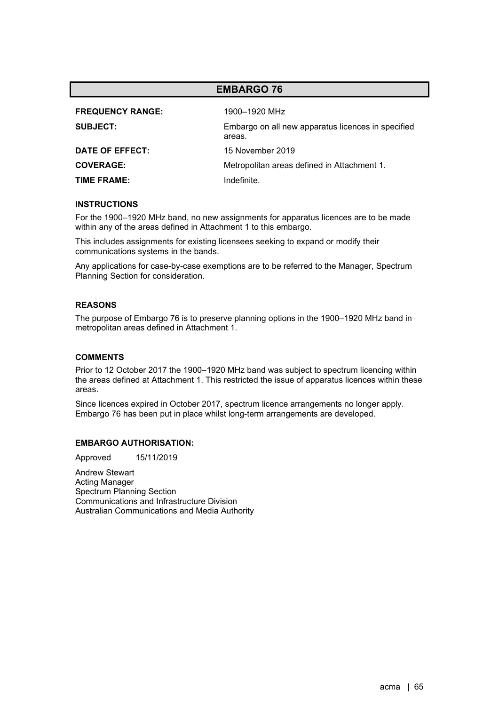| <b>FREQUENCY RANGE:</b> | 1900-1920 MHz                                                |
|-------------------------|--------------------------------------------------------------|
| <b>SUBJECT:</b>         | Embargo on all new apparatus licences in specified<br>areas. |
| DATE OF EFFECT:         | 15 November 2019                                             |
| <b>COVERAGE:</b>        | Metropolitan areas defined in Attachment 1.                  |
| TIME FRAME:             | Indefinite.                                                  |

#### **INSTRUCTIONS**

For the 1900–1920 MHz band, no new assignments for apparatus licences are to be made within any of the areas defined in Attachment 1 to this embargo.

This includes assignments for existing licensees seeking to expand or modify their communications systems in the bands.

Any applications for case-by-case exemptions are to be referred to the Manager, Spectrum Planning Section for consideration.

### **REASONS**

The purpose of Embargo 76 is to preserve planning options in the 1900–1920 MHz band in metropolitan areas defined in Attachment 1.

#### **COMMENTS**

Prior to 12 October 2017 the 1900–1920 MHz band was subject to spectrum licencing within the areas defined at Attachment 1. This restricted the issue of apparatus licences within these areas.

Since licences expired in October 2017, spectrum licence arrangements no longer apply. Embargo 76 has been put in place whilst long-term arrangements are developed.

#### **EMBARGO AUTHORISATION:**

Approved 15/11/2019

Andrew Stewart Acting Manager Spectrum Planning Section Communications and Infrastructure Division Australian Communications and Media Authority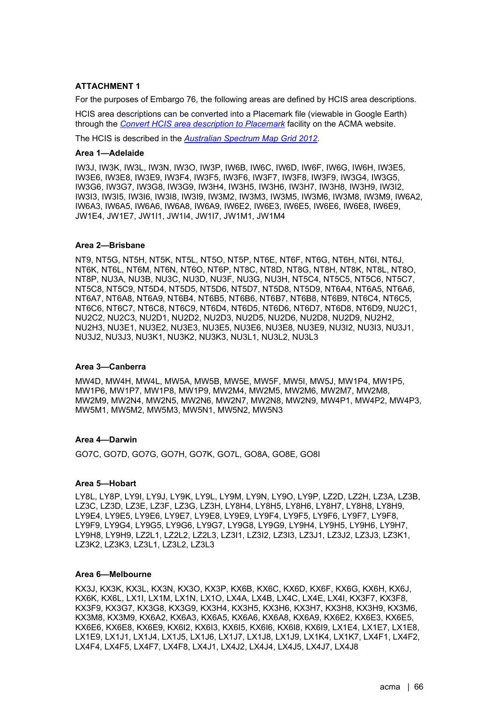## **ATTACHMENT 1**

For the purposes of Embargo 76, the following areas are defined by HCIS area descriptions.

HCIS area descriptions can be converted into a Placemark file (viewable in Google Earth) through the *[Convert HCIS area description to Placemark](https://www.acma.gov.au/convert-hcis-area-description-placemark-0)* facility on the ACMA website.

The HCIS is described in the *[Australian Spectrum Map Grid 2012](https://www.acma.gov.au/sites/default/files/2019-10/The%20Australian%20spectrum%20map%20grid%202012.PDF)*.

#### **Area 1—Adelaide**

IW3J, IW3K, IW3L, IW3N, IW3O, IW3P, IW6B, IW6C, IW6D, IW6F, IW6G, IW6H, IW3E5, IW3E6, IW3E8, IW3E9, IW3F4, IW3F5, IW3F6, IW3F7, IW3F8, IW3F9, IW3G4, IW3G5, IW3G6, IW3G7, IW3G8, IW3G9, IW3H4, IW3H5, IW3H6, IW3H7, IW3H8, IW3H9, IW3I2, IW3I3, IW3I5, IW3I6, IW3I8, IW3I9, IW3M2, IW3M3, IW3M5, IW3M6, IW3M8, IW3M9, IW6A2, IW6A3, IW6A5, IW6A6, IW6A8, IW6A9, IW6E2, IW6E3, IW6E5, IW6E6, IW6E8, IW6E9, JW1E4, JW1E7, JW1I1, JW1I4, JW1I7, JW1M1, JW1M4

#### **Area 2—Brisbane**

NT9, NT5G, NT5H, NT5K, NT5L, NT5O, NT5P, NT6E, NT6F, NT6G, NT6H, NT6I, NT6J, NT6K, NT6L, NT6M, NT6N, NT6O, NT6P, NT8C, NT8D, NT8G, NT8H, NT8K, NT8L, NT8O, NT8P, NU3A, NU3B, NU3C, NU3D, NU3F, NU3G, NU3H, NT5C4, NT5C5, NT5C6, NT5C7, NT5C8, NT5C9, NT5D4, NT5D5, NT5D6, NT5D7, NT5D8, NT5D9, NT6A4, NT6A5, NT6A6, NT6A7, NT6A8, NT6A9, NT6B4, NT6B5, NT6B6, NT6B7, NT6B8, NT6B9, NT6C4, NT6C5, NT6C6, NT6C7, NT6C8, NT6C9, NT6D4, NT6D5, NT6D6, NT6D7, NT6D8, NT6D9, NU2C1, NU2C2, NU2C3, NU2D1, NU2D2, NU2D3, NU2D5, NU2D6, NU2D8, NU2D9, NU2H2, NU2H3, NU3E1, NU3E2, NU3E3, NU3E5, NU3E6, NU3E8, NU3E9, NU3I2, NU3I3, NU3J1, NU3J2, NU3J3, NU3K1, NU3K2, NU3K3, NU3L1, NU3L2, NU3L3

#### **Area 3—Canberra**

MW4D, MW4H, MW4L, MW5A, MW5B, MW5E, MW5F, MW5I, MW5J, MW1P4, MW1P5, MW1P6, MW1P7, MW1P8, MW1P9, MW2M4, MW2M5, MW2M6, MW2M7, MW2M8, MW2M9, MW2N4, MW2N5, MW2N6, MW2N7, MW2N8, MW2N9, MW4P1, MW4P2, MW4P3, MW5M1, MW5M2, MW5M3, MW5N1, MW5N2, MW5N3

#### **Area 4—Darwin**

GO7C, GO7D, GO7G, GO7H, GO7K, GO7L, GO8A, GO8E, GO8I

#### **Area 5—Hobart**

LY8L, LY8P, LY9I, LY9J, LY9K, LY9L, LY9M, LY9N, LY9O, LY9P, LZ2D, LZ2H, LZ3A, LZ3B, LZ3C, LZ3D, LZ3E, LZ3F, LZ3G, LZ3H, LY8H4, LY8H5, LY8H6, LY8H7, LY8H8, LY8H9, LY9E4, LY9E5, LY9E6, LY9E7, LY9E8, LY9E9, LY9F4, LY9F5, LY9F6, LY9F7, LY9F8, LY9F9, LY9G4, LY9G5, LY9G6, LY9G7, LY9G8, LY9G9, LY9H4, LY9H5, LY9H6, LY9H7, LY9H8, LY9H9, LZ2L1, LZ2L2, LZ2L3, LZ3I1, LZ3I2, LZ3I3, LZ3J1, LZ3J2, LZ3J3, LZ3K1, LZ3K2, LZ3K3, LZ3L1, LZ3L2, LZ3L3

#### **Area 6—Melbourne**

KX3J, KX3K, KX3L, KX3N, KX3O, KX3P, KX6B, KX6C, KX6D, KX6F, KX6G, KX6H, KX6J, KX6K, KX6L, LX1I, LX1M, LX1N, LX1O, LX4A, LX4B, LX4C, LX4E, LX4I, KX3F7, KX3F8, KX3F9, KX3G7, KX3G8, KX3G9, KX3H4, KX3H5, KX3H6, KX3H7, KX3H8, KX3H9, KX3M6, KX3M8, KX3M9, KX6A2, KX6A3, KX6A5, KX6A6, KX6A8, KX6A9, KX6E2, KX6E3, KX6E5, KX6E6, KX6E8, KX6E9, KX6I2, KX6I3, KX6I5, KX6I6, KX6I8, KX6I9, LX1E4, LX1E7, LX1E8, LX1E9, LX1J1, LX1J4, LX1J5, LX1J6, LX1J7, LX1J8, LX1J9, LX1K4, LX1K7, LX4F1, LX4F2, LX4F4, LX4F5, LX4F7, LX4F8, LX4J1, LX4J2, LX4J4, LX4J5, LX4J7, LX4J8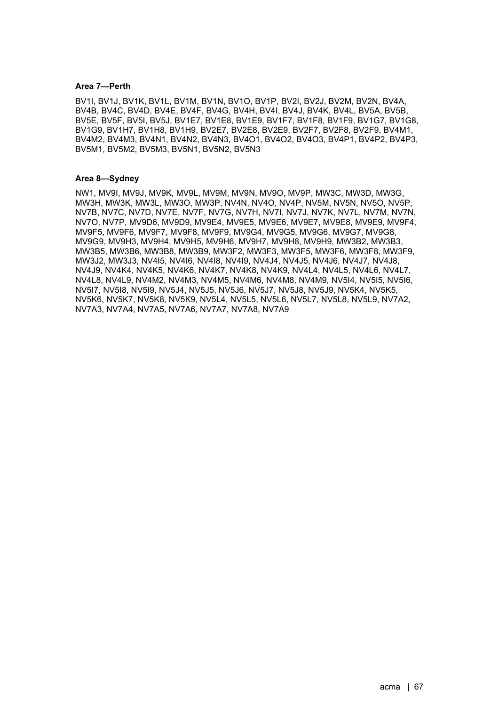#### **Area 7—Perth**

BV1I, BV1J, BV1K, BV1L, BV1M, BV1N, BV1O, BV1P, BV2I, BV2J, BV2M, BV2N, BV4A, BV4B, BV4C, BV4D, BV4E, BV4F, BV4G, BV4H, BV4I, BV4J, BV4K, BV4L, BV5A, BV5B, BV5E, BV5F, BV5I, BV5J, BV1E7, BV1E8, BV1E9, BV1F7, BV1F8, BV1F9, BV1G7, BV1G8, BV1G9, BV1H7, BV1H8, BV1H9, BV2E7, BV2E8, BV2E9, BV2F7, BV2F8, BV2F9, BV4M1, BV4M2, BV4M3, BV4N1, BV4N2, BV4N3, BV4O1, BV4O2, BV4O3, BV4P1, BV4P2, BV4P3, BV5M1, BV5M2, BV5M3, BV5N1, BV5N2, BV5N3

#### **Area 8—Sydney**

NW1, MV9I, MV9J, MV9K, MV9L, MV9M, MV9N, MV9O, MV9P, MW3C, MW3D, MW3G, MW3H, MW3K, MW3L, MW3O, MW3P, NV4N, NV4O, NV4P, NV5M, NV5N, NV5O, NV5P, NV7B, NV7C, NV7D, NV7E, NV7F, NV7G, NV7H, NV7I, NV7J, NV7K, NV7L, NV7M, NV7N, NV7O, NV7P, MV9D6, MV9D9, MV9E4, MV9E5, MV9E6, MV9E7, MV9E8, MV9E9, MV9F4, MV9F5, MV9F6, MV9F7, MV9F8, MV9F9, MV9G4, MV9G5, MV9G6, MV9G7, MV9G8, MV9G9, MV9H3, MV9H4, MV9H5, MV9H6, MV9H7, MV9H8, MV9H9, MW3B2, MW3B3, MW3B5, MW3B6, MW3B8, MW3B9, MW3F2, MW3F3, MW3F5, MW3F6, MW3F8, MW3F9, MW3J2, MW3J3, NV4I5, NV4I6, NV4I8, NV4I9, NV4J4, NV4J5, NV4J6, NV4J7, NV4J8, NV4J9, NV4K4, NV4K5, NV4K6, NV4K7, NV4K8, NV4K9, NV4L4, NV4L5, NV4L6, NV4L7, NV4L8, NV4L9, NV4M2, NV4M3, NV4M5, NV4M6, NV4M8, NV4M9, NV5I4, NV5I5, NV5I6, NV5I7, NV5I8, NV5I9, NV5J4, NV5J5, NV5J6, NV5J7, NV5J8, NV5J9, NV5K4, NV5K5, NV5K6, NV5K7, NV5K8, NV5K9, NV5L4, NV5L5, NV5L6, NV5L7, NV5L8, NV5L9, NV7A2, NV7A3, NV7A4, NV7A5, NV7A6, NV7A7, NV7A8, NV7A9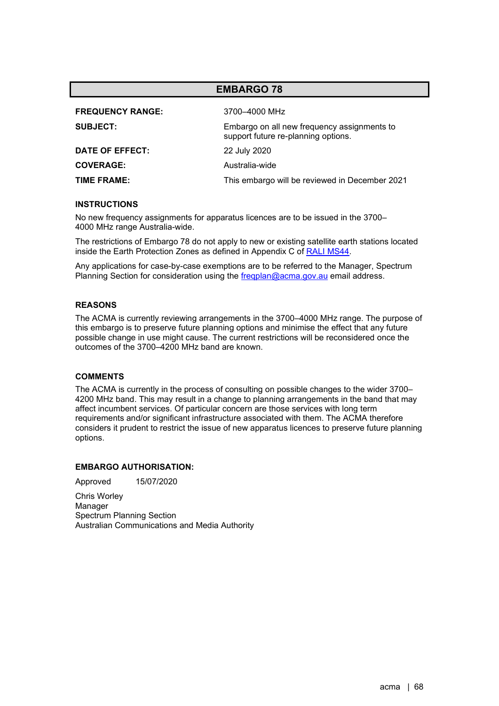| <b>FREQUENCY RANGE:</b> | 3700-4000 MHz                                                                      |
|-------------------------|------------------------------------------------------------------------------------|
| <b>SUBJECT:</b>         | Embargo on all new frequency assignments to<br>support future re-planning options. |
| DATE OF EFFECT:         | 22 July 2020                                                                       |
| <b>COVERAGE:</b>        | Australia-wide                                                                     |
| TIME FRAME:             | This embargo will be reviewed in December 2021                                     |

#### **INSTRUCTIONS**

No new frequency assignments for apparatus licences are to be issued in the 3700– 4000 MHz range Australia-wide.

The restrictions of Embargo 78 do not apply to new or existing satellite earth stations located inside the Earth Protection Zones as defined in Appendix C of [RALI MS44.](https://www.acma.gov.au/ralis-frequency-coordination)

Any applications for case-by-case exemptions are to be referred to the Manager, Spectrum Planning Section for consideration using the fregplan@acma.gov.au email address.

## **REASONS**

The ACMA is currently reviewing arrangements in the 3700–4000 MHz range. The purpose of this embargo is to preserve future planning options and minimise the effect that any future possible change in use might cause. The current restrictions will be reconsidered once the outcomes of the 3700–4200 MHz band are known.

#### **COMMENTS**

The ACMA is currently in the process of consulting on possible changes to the wider 3700– 4200 MHz band. This may result in a change to planning arrangements in the band that may affect incumbent services. Of particular concern are those services with long term requirements and/or significant infrastructure associated with them. The ACMA therefore considers it prudent to restrict the issue of new apparatus licences to preserve future planning options.

## **EMBARGO AUTHORISATION:**

Approved 15/07/2020

Chris Worley Manager Spectrum Planning Section Australian Communications and Media Authority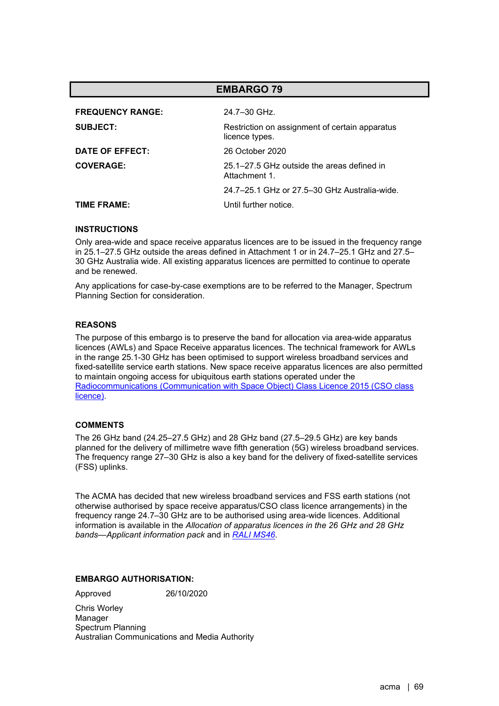|                         | <b>EMBARGO 79</b>                                                |
|-------------------------|------------------------------------------------------------------|
| <b>FREQUENCY RANGE:</b> | 24.7-30 GHz.                                                     |
| <b>SUBJECT:</b>         | Restriction on assignment of certain apparatus<br>licence types. |
| DATE OF EFFECT:         | 26 October 2020                                                  |
| <b>COVERAGE:</b>        | 25.1–27.5 GHz outside the areas defined in<br>Attachment 1       |
|                         | 24.7–25.1 GHz or 27.5–30 GHz Australia-wide.                     |
| TIME FRAME:             | Until further notice                                             |

Only area-wide and space receive apparatus licences are to be issued in the frequency range in 25.1–27.5 GHz outside the areas defined in Attachment 1 or in 24.7–25.1 GHz and 27.5– 30 GHz Australia wide. All existing apparatus licences are permitted to continue to operate and be renewed.

Any applications for case-by-case exemptions are to be referred to the Manager, Spectrum Planning Section for consideration.

## **REASONS**

The purpose of this embargo is to preserve the band for allocation via area-wide apparatus licences (AWLs) and Space Receive apparatus licences. The technical framework for AWLs in the range 25.1-30 GHz has been optimised to support wireless broadband services and fixed-satellite service earth stations. New space receive apparatus licences are also permitted to maintain ongoing access for ubiquitous earth stations operated under the [Radiocommunications \(Communication with Space Object\) Class Licence 2015 \(CSO class](https://www.legislation.gov.au/Details/F2021C00630)  [licence\).](https://www.legislation.gov.au/Details/F2021C00630)

## **COMMENTS**

The 26 GHz band (24.25–27.5 GHz) and 28 GHz band (27.5–29.5 GHz) are key bands planned for the delivery of millimetre wave fifth generation (5G) wireless broadband services. The frequency range 27–30 GHz is also a key band for the delivery of fixed-satellite services (FSS) uplinks.

The ACMA has decided that new wireless broadband services and FSS earth stations (not otherwise authorised by space receive apparatus/CSO class licence arrangements) in the frequency range 24.7–30 GHz are to be authorised using area-wide licences. Additional information is available in the *Allocation of apparatus licences in the 26 GHz and 28 GHz bands—Applicant information pack* and in *[RALI MS46](https://www.acma.gov.au/ralis-frequency-coordination)*.

## **EMBARGO AUTHORISATION:**

Approved 26/10/2020

Chris Worley Manager Spectrum Planning Australian Communications and Media Authority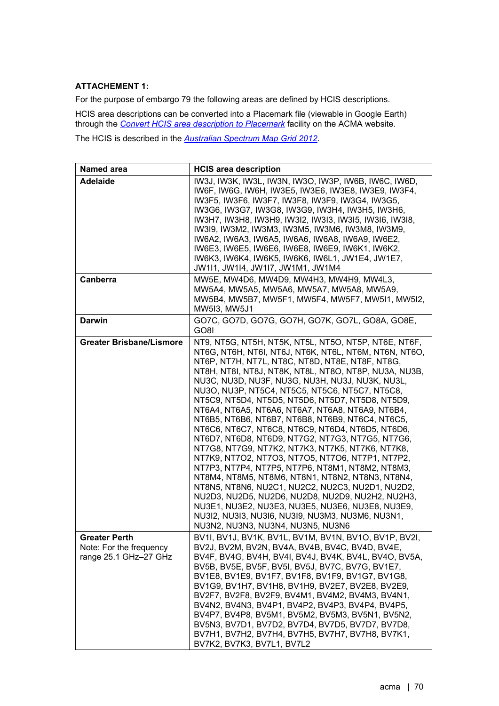## **ATTACHEMENT 1:**

For the purpose of embargo 79 the following areas are defined by HCIS descriptions.

HCIS area descriptions can be converted into a Placemark file (viewable in Google Earth) through the *Convert [HCIS area description to Placemark](https://www.acma.gov.au/convert-hcis-area-description-placemark-0)* facility on the ACMA website.

The HCIS is described in the *[Australian Spectrum Map Grid 2012](https://www.acma.gov.au/sites/default/files/2019-10/The%20Australian%20spectrum%20map%20grid%202012.PDF)*.

| Named area                                                               | <b>HCIS area description</b>                                                                                                                                                                                                                                                                                                                                                                                                                                                                                                                                                                                                                                                                                                                                                                                                                                                                                                                                                                                                                                            |
|--------------------------------------------------------------------------|-------------------------------------------------------------------------------------------------------------------------------------------------------------------------------------------------------------------------------------------------------------------------------------------------------------------------------------------------------------------------------------------------------------------------------------------------------------------------------------------------------------------------------------------------------------------------------------------------------------------------------------------------------------------------------------------------------------------------------------------------------------------------------------------------------------------------------------------------------------------------------------------------------------------------------------------------------------------------------------------------------------------------------------------------------------------------|
| <b>Adelaide</b>                                                          | IW3J, IW3K, IW3L, IW3N, IW3O, IW3P, IW6B, IW6C, IW6D,<br>IW6F, IW6G, IW6H, IW3E5, IW3E6, IW3E8, IW3E9, IW3F4,<br>IW3F5, IW3F6, IW3F7, IW3F8, IW3F9, IW3G4, IW3G5,<br>IW3G6, IW3G7, IW3G8, IW3G9, IW3H4, IW3H5, IW3H6,<br>IW3H7, IW3H8, IW3H9, IW3I2, IW3I3, IW3I5, IW3I6, IW3I8,<br>IW3I9, IW3M2, IW3M3, IW3M5, IW3M6, IW3M8, IW3M9,<br>IW6A2, IW6A3, IW6A5, IW6A6, IW6A8, IW6A9, IW6E2,<br>IW6E3, IW6E5, IW6E6, IW6E8, IW6E9, IW6K1, IW6K2,<br>IW6K3, IW6K4, IW6K5, IW6K6, IW6L1, JW1E4, JW1E7,<br>JW111, JW114, JW117, JW1M1, JW1M4                                                                                                                                                                                                                                                                                                                                                                                                                                                                                                                                   |
| Canberra                                                                 | MW5E, MW4D6, MW4D9, MW4H3, MW4H9, MW4L3,<br>MW5A4, MW5A5, MW5A6, MW5A7, MW5A8, MW5A9,<br>MW5B4, MW5B7, MW5F1, MW5F4, MW5F7, MW5I1, MW5I2,<br>MW5I3, MW5J1                                                                                                                                                                                                                                                                                                                                                                                                                                                                                                                                                                                                                                                                                                                                                                                                                                                                                                               |
| <b>Darwin</b>                                                            | GO7C, GO7D, GO7G, GO7H, GO7K, GO7L, GO8A, GO8E,<br>GO8I                                                                                                                                                                                                                                                                                                                                                                                                                                                                                                                                                                                                                                                                                                                                                                                                                                                                                                                                                                                                                 |
| <b>Greater Brisbane/Lismore</b>                                          | NT9, NT5G, NT5H, NT5K, NT5L, NT5O, NT5P, NT6E, NT6F,<br>NT6G, NT6H, NT6I, NT6J, NT6K, NT6L, NT6M, NT6N, NT6O,<br>NT6P, NT7H, NT7L, NT8C, NT8D, NT8E, NT8F, NT8G,<br>NT8H, NT8I, NT8J, NT8K, NT8L, NT8O, NT8P, NU3A, NU3B,<br>NU3C, NU3D, NU3F, NU3G, NU3H, NU3J, NU3K, NU3L,<br>NU3O, NU3P, NT5C4, NT5C5, NT5C6, NT5C7, NT5C8,<br>NT5C9, NT5D4, NT5D5, NT5D6, NT5D7, NT5D8, NT5D9,<br>NT6A4, NT6A5, NT6A6, NT6A7, NT6A8, NT6A9, NT6B4,<br>NT6B5, NT6B6, NT6B7, NT6B8, NT6B9, NT6C4, NT6C5,<br>NT6C6, NT6C7, NT6C8, NT6C9, NT6D4, NT6D5, NT6D6,<br>NT6D7, NT6D8, NT6D9, NT7G2, NT7G3, NT7G5, NT7G6,<br>NT7G8, NT7G9, NT7K2, NT7K3, NT7K5, NT7K6, NT7K8,<br>NT7K9, NT7O2, NT7O3, NT7O5, NT7O6, NT7P1, NT7P2,<br>NT7P3, NT7P4, NT7P5, NT7P6, NT8M1, NT8M2, NT8M3,<br>NT8M4, NT8M5, NT8M6, NT8N1, NT8N2, NT8N3, NT8N4,<br>NT8N5, NT8N6, NU2C1, NU2C2, NU2C3, NU2D1, NU2D2,<br>NU2D3, NU2D5, NU2D6, NU2D8, NU2D9, NU2H2, NU2H3,<br>NU3E1, NU3E2, NU3E3, NU3E5, NU3E6, NU3E8, NU3E9,<br>NU3I2, NU3I3, NU3I6, NU3I9, NU3M3, NU3M6, NU3N1,<br>NU3N2, NU3N3, NU3N4, NU3N5, NU3N6 |
| <b>Greater Perth</b><br>Note: For the frequency<br>range 25.1 GHz-27 GHz | BV1I, BV1J, BV1K, BV1L, BV1M, BV1N, BV1O, BV1P, BV2I,<br>BV2J, BV2M, BV2N, BV4A, BV4B, BV4C, BV4D, BV4E,<br>BV4F, BV4G, BV4H, BV4I, BV4J, BV4K, BV4L, BV4O, BV5A,<br>BV5B, BV5E, BV5F, BV5I, BV5J, BV7C, BV7G, BV1E7,<br>BV1E8, BV1E9, BV1F7, BV1F8, BV1F9, BV1G7, BV1G8,<br>BV1G9, BV1H7, BV1H8, BV1H9, BV2E7, BV2E8, BV2E9,<br>BV2F7, BV2F8, BV2F9, BV4M1, BV4M2, BV4M3, BV4N1,<br>BV4N2, BV4N3, BV4P1, BV4P2, BV4P3, BV4P4, BV4P5,<br>BV4P7, BV4P8, BV5M1, BV5M2, BV5M3, BV5N1, BV5N2,<br>BV5N3, BV7D1, BV7D2, BV7D4, BV7D5, BV7D7, BV7D8,<br>BV7H1, BV7H2, BV7H4, BV7H5, BV7H7, BV7H8, BV7K1,<br>BV7K2, BV7K3, BV7L1, BV7L2                                                                                                                                                                                                                                                                                                                                                                                                                                         |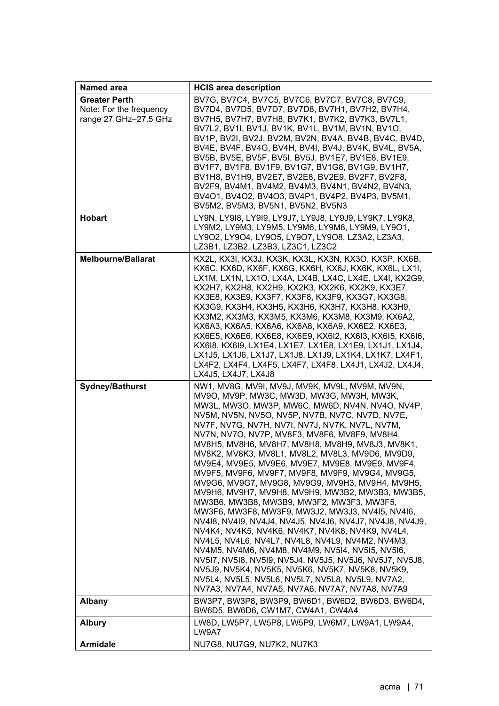| Named area                                                               | <b>HCIS area description</b>                                                                                                                                                                                                                                                                                                                                                                                                                                                                                                                                                                                                                                                                                                                                                                                                                                                                                                                                                                                                                                                                                                                                                |
|--------------------------------------------------------------------------|-----------------------------------------------------------------------------------------------------------------------------------------------------------------------------------------------------------------------------------------------------------------------------------------------------------------------------------------------------------------------------------------------------------------------------------------------------------------------------------------------------------------------------------------------------------------------------------------------------------------------------------------------------------------------------------------------------------------------------------------------------------------------------------------------------------------------------------------------------------------------------------------------------------------------------------------------------------------------------------------------------------------------------------------------------------------------------------------------------------------------------------------------------------------------------|
| <b>Greater Perth</b><br>Note: For the frequency<br>range 27 GHz-27.5 GHz | BV7G, BV7C4, BV7C5, BV7C6, BV7C7, BV7C8, BV7C9,<br>BV7D4, BV7D5, BV7D7, BV7D8, BV7H1, BV7H2, BV7H4,<br>BV7H5, BV7H7, BV7H8, BV7K1, BV7K2, BV7K3, BV7L1,<br>BV7L2, BV1I, BV1J, BV1K, BV1L, BV1M, BV1N, BV1O,<br>BV1P, BV2I, BV2J, BV2M, BV2N, BV4A, BV4B, BV4C, BV4D,<br>BV4E, BV4F, BV4G, BV4H, BV4I, BV4J, BV4K, BV4L, BV5A,<br>BV5B, BV5E, BV5F, BV5I, BV5J, BV1E7, BV1E8, BV1E9,<br>BV1F7, BV1F8, BV1F9, BV1G7, BV1G8, BV1G9, BV1H7,<br>BV1H8, BV1H9, BV2E7, BV2E8, BV2E9, BV2F7, BV2F8,<br>BV2F9, BV4M1, BV4M2, BV4M3, BV4N1, BV4N2, BV4N3,<br>BV4O1, BV4O2, BV4O3, BV4P1, BV4P2, BV4P3, BV5M1,<br>BV5M2, BV5M3, BV5N1, BV5N2, BV5N3                                                                                                                                                                                                                                                                                                                                                                                                                                                                                                                                    |
| <b>Hobart</b>                                                            | LY9N, LY9I8, LY9I9, LY9J7, LY9J8, LY9J9, LY9K7, LY9K8,<br>LY9M2, LY9M3, LY9M5, LY9M6, LY9M8, LY9M9, LY9O1,<br>LY9O2, LY9O4, LY9O5, LY9O7, LY9O8, LZ3A2, LZ3A3,<br>LZ3B1, LZ3B2, LZ3B3, LZ3C1, LZ3C2                                                                                                                                                                                                                                                                                                                                                                                                                                                                                                                                                                                                                                                                                                                                                                                                                                                                                                                                                                         |
| <b>Melbourne/Ballarat</b>                                                | KX2L, KX3I, KX3J, KX3K, KX3L, KX3N, KX3O, KX3P, KX6B,<br>KX6C, KX6D, KX6F, KX6G, KX6H, KX6J, KX6K, KX6L, LX1I,<br>LX1M, LX1N, LX1O, LX4A, LX4B, LX4C, LX4E, LX4I, KX2G9,<br>KX2H7, KX2H8, KX2H9, KX2K3, KX2K6, KX2K9, KX3E7,<br>KX3E8, KX3E9, KX3F7, KX3F8, KX3F9, KX3G7, KX3G8,<br>KX3G9, KX3H4, KX3H5, KX3H6, KX3H7, KX3H8, KX3H9,<br>KX3M2, KX3M3, KX3M5, KX3M6, KX3M8, KX3M9, KX6A2,<br>KX6A3, KX6A5, KX6A6, KX6A8, KX6A9, KX6E2, KX6E3,<br>KX6E5, KX6E6, KX6E8, KX6E9, KX6I2, KX6I3, KX6I5, KX6I6,<br>KX618, KX619, LX1E4, LX1E7, LX1E8, LX1E9, LX1J1, LX1J4,<br>LX1J5, LX1J6, LX1J7, LX1J8, LX1J9, LX1K4, LX1K7, LX4F1,<br>LX4F2, LX4F4, LX4F5, LX4F7, LX4F8, LX4J1, LX4J2, LX4J4,<br>LX4J5, LX4J7, LX4J8                                                                                                                                                                                                                                                                                                                                                                                                                                                             |
| <b>Sydney/Bathurst</b>                                                   | NW1, MV8G, MV9I, MV9J, MV9K, MV9L, MV9M, MV9N,<br>MV9O, MV9P, MW3C, MW3D, MW3G, MW3H, MW3K,<br>MW3L, MW3O, MW3P, MW6C, MW6D, NV4N, NV4O, NV4P,<br>NV5M, NV5N, NV5O, NV5P, NV7B, NV7C, NV7D, NV7E,<br>NV7F, NV7G, NV7H, NV7I, NV7J, NV7K, NV7L, NV7M,<br>NV7N, NV7O, NV7P, MV8F3, MV8F6, MV8F9, MV8H4,<br>MV8H5, MV8H6, MV8H7, MV8H8, MV8H9, MV8J3, MV8K1,<br>MV8K2, MV8K3, MV8L1, MV8L2, MV8L3, MV9D6, MV9D9,<br>MV9E4, MV9E5, MV9E6, MV9E7, MV9E8, MV9E9, MV9F4,<br>MV9F5, MV9F6, MV9F7, MV9F8, MV9F9, MV9G4, MV9G5,<br>MV9G6, MV9G7, MV9G8, MV9G9, MV9H3, MV9H4, MV9H5,<br>MV9H6, MV9H7, MV9H8, MV9H9, MW3B2, MW3B3, MW3B5,<br>MW3B6, MW3B8, MW3B9, MW3F2, MW3F3, MW3F5,<br>MW3F6, MW3F8, MW3F9, MW3J2, MW3J3, NV4I5, NV4I6,<br>NV418, NV419, NV4J4, NV4J5, NV4J6, NV4J7, NV4J8, NV4J9,<br>NV4K4, NV4K5, NV4K6, NV4K7, NV4K8, NV4K9, NV4L4,<br>NV4L5, NV4L6, NV4L7, NV4L8, NV4L9, NV4M2, NV4M3,<br>NV4M5, NV4M6, NV4M8, NV4M9, NV5I4, NV5I5, NV5I6,<br>NV517, NV518, NV519, NV5J4, NV5J5, NV5J6, NV5J7, NV5J8,<br>NV5J9, NV5K4, NV5K5, NV5K6, NV5K7, NV5K8, NV5K9,<br>NV5L4, NV5L5, NV5L6, NV5L7, NV5L8, NV5L9, NV7A2,<br>NV7A3, NV7A4, NV7A5, NV7A6, NV7A7, NV7A8, NV7A9 |
| <b>Albany</b>                                                            | BW3P7, BW3P8, BW3P9, BW6D1, BW6D2, BW6D3, BW6D4,<br>BW6D5, BW6D6, CW1M7, CW4A1, CW4A4                                                                                                                                                                                                                                                                                                                                                                                                                                                                                                                                                                                                                                                                                                                                                                                                                                                                                                                                                                                                                                                                                       |
| <b>Albury</b>                                                            | LW8D, LW5P7, LW5P8, LW5P9, LW6M7, LW9A1, LW9A4,<br>LW9A7                                                                                                                                                                                                                                                                                                                                                                                                                                                                                                                                                                                                                                                                                                                                                                                                                                                                                                                                                                                                                                                                                                                    |
| <b>Armidale</b>                                                          | NU7G8, NU7G9, NU7K2, NU7K3                                                                                                                                                                                                                                                                                                                                                                                                                                                                                                                                                                                                                                                                                                                                                                                                                                                                                                                                                                                                                                                                                                                                                  |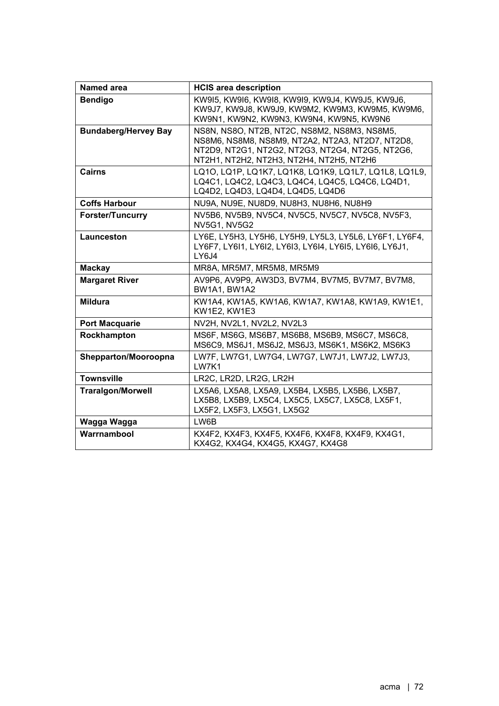| <b>Named area</b>           | <b>HCIS area description</b>                                                                                                                                                                     |
|-----------------------------|--------------------------------------------------------------------------------------------------------------------------------------------------------------------------------------------------|
| <b>Bendigo</b>              | KW915, KW916, KW918, KW919, KW9J4, KW9J5, KW9J6,<br>KW9J7, KW9J8, KW9J9, KW9M2, KW9M3, KW9M5, KW9M6,<br>KW9N1, KW9N2, KW9N3, KW9N4, KW9N5, KW9N6                                                 |
| <b>Bundaberg/Hervey Bay</b> | NS8N, NS8O, NT2B, NT2C, NS8M2, NS8M3, NS8M5,<br>NS8M6, NS8M8, NS8M9, NT2A2, NT2A3, NT2D7, NT2D8,<br>NT2D9, NT2G1, NT2G2, NT2G3, NT2G4, NT2G5, NT2G6,<br>NT2H1, NT2H2, NT2H3, NT2H4, NT2H5, NT2H6 |
| <b>Cairns</b>               | LQ10, LQ1P, LQ1K7, LQ1K8, LQ1K9, LQ1L7, LQ1L8, LQ1L9,<br>LQ4C1, LQ4C2, LQ4C3, LQ4C4, LQ4C5, LQ4C6, LQ4D1,<br>LQ4D2, LQ4D3, LQ4D4, LQ4D5, LQ4D6                                                   |
| <b>Coffs Harbour</b>        | NU9A, NU9E, NU8D9, NU8H3, NU8H6, NU8H9                                                                                                                                                           |
| <b>Forster/Tuncurry</b>     | NV5B6, NV5B9, NV5C4, NV5C5, NV5C7, NV5C8, NV5F3,<br><b>NV5G1, NV5G2</b>                                                                                                                          |
| Launceston                  | LY6E, LY5H3, LY5H6, LY5H9, LY5L3, LY5L6, LY6F1, LY6F4,<br>LY6F7, LY6I1, LY6I2, LY6I3, LY6I4, LY6I5, LY6I6, LY6J1,<br>LY6J4                                                                       |
| <b>Mackay</b>               | MR8A, MR5M7, MR5M8, MR5M9                                                                                                                                                                        |
| <b>Margaret River</b>       | AV9P6, AV9P9, AW3D3, BV7M4, BV7M5, BV7M7, BV7M8,<br>BW1A1, BW1A2                                                                                                                                 |
| <b>Mildura</b>              | KW1A4, KW1A5, KW1A6, KW1A7, KW1A8, KW1A9, KW1E1,<br><b>KW1E2, KW1E3</b>                                                                                                                          |
| <b>Port Macquarie</b>       | NV2H, NV2L1, NV2L2, NV2L3                                                                                                                                                                        |
| Rockhampton                 | MS6F, MS6G, MS6B7, MS6B8, MS6B9, MS6C7, MS6C8,<br>MS6C9, MS6J1, MS6J2, MS6J3, MS6K1, MS6K2, MS6K3                                                                                                |
| Shepparton/Mooroopna        | LW7F, LW7G1, LW7G4, LW7G7, LW7J1, LW7J2, LW7J3,<br>LW7K1                                                                                                                                         |
| <b>Townsville</b>           | LR2C, LR2D, LR2G, LR2H                                                                                                                                                                           |
| <b>Traralgon/Morwell</b>    | LX5A6, LX5A8, LX5A9, LX5B4, LX5B5, LX5B6, LX5B7,<br>LX5B8, LX5B9, LX5C4, LX5C5, LX5C7, LX5C8, LX5F1,<br>LX5F2, LX5F3, LX5G1, LX5G2                                                               |
| Wagga Wagga                 | LW6B                                                                                                                                                                                             |
| Warrnambool                 | KX4F2, KX4F3, KX4F5, KX4F6, KX4F8, KX4F9, KX4G1,<br>KX4G2, KX4G4, KX4G5, KX4G7, KX4G8                                                                                                            |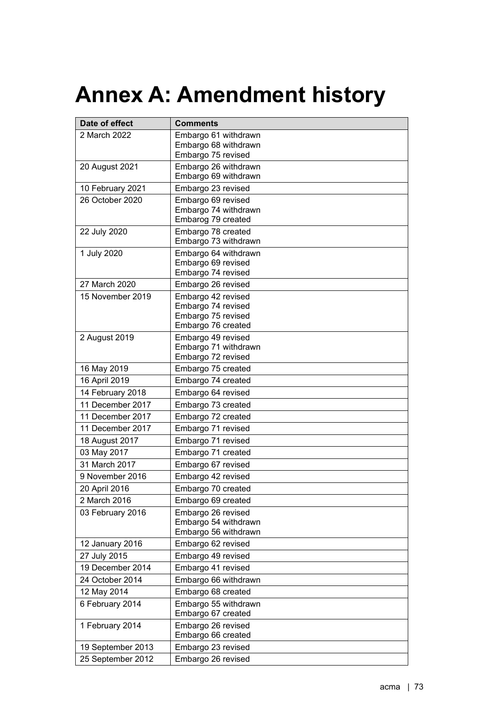## **Annex A: Amendment history**

| Date of effect    | <b>Comments</b>                              |
|-------------------|----------------------------------------------|
| 2 March 2022      | Embargo 61 withdrawn                         |
|                   | Embargo 68 withdrawn                         |
|                   | Embargo 75 revised                           |
| 20 August 2021    | Embargo 26 withdrawn<br>Embargo 69 withdrawn |
| 10 February 2021  | Embargo 23 revised                           |
| 26 October 2020   | Embargo 69 revised                           |
|                   | Embargo 74 withdrawn                         |
|                   | Embarog 79 created                           |
| 22 July 2020      | Embargo 78 created<br>Embargo 73 withdrawn   |
| 1 July 2020       | Embargo 64 withdrawn                         |
|                   | Embargo 69 revised                           |
|                   | Embargo 74 revised                           |
| 27 March 2020     | Embargo 26 revised                           |
| 15 November 2019  | Embargo 42 revised                           |
|                   | Embargo 74 revised                           |
|                   | Embargo 75 revised<br>Embargo 76 created     |
| 2 August 2019     | Embargo 49 revised                           |
|                   | Embargo 71 withdrawn                         |
|                   | Embargo 72 revised                           |
| 16 May 2019       | Embargo 75 created                           |
| 16 April 2019     | Embargo 74 created                           |
| 14 February 2018  | Embargo 64 revised                           |
| 11 December 2017  | Embargo 73 created                           |
| 11 December 2017  | Embargo 72 created                           |
| 11 December 2017  | Embargo 71 revised                           |
| 18 August 2017    | Embargo 71 revised                           |
| 03 May 2017       | Embargo 71 created                           |
| 31 March 2017     | Embargo 67 revised                           |
| 9 November 2016   | Embargo 42 revised                           |
| 20 April 2016     | Embargo 70 created                           |
| 2 March 2016      | Embargo 69 created                           |
| 03 February 2016  | Embargo 26 revised                           |
|                   | Embargo 54 withdrawn<br>Embargo 56 withdrawn |
| 12 January 2016   | Embargo 62 revised                           |
| 27 July 2015      | Embargo 49 revised                           |
| 19 December 2014  | Embargo 41 revised                           |
| 24 October 2014   | Embargo 66 withdrawn                         |
| 12 May 2014       | Embargo 68 created                           |
| 6 February 2014   | Embargo 55 withdrawn                         |
|                   | Embargo 67 created                           |
| 1 February 2014   | Embargo 26 revised                           |
|                   | Embargo 66 created                           |
| 19 September 2013 | Embargo 23 revised                           |
| 25 September 2012 | Embargo 26 revised                           |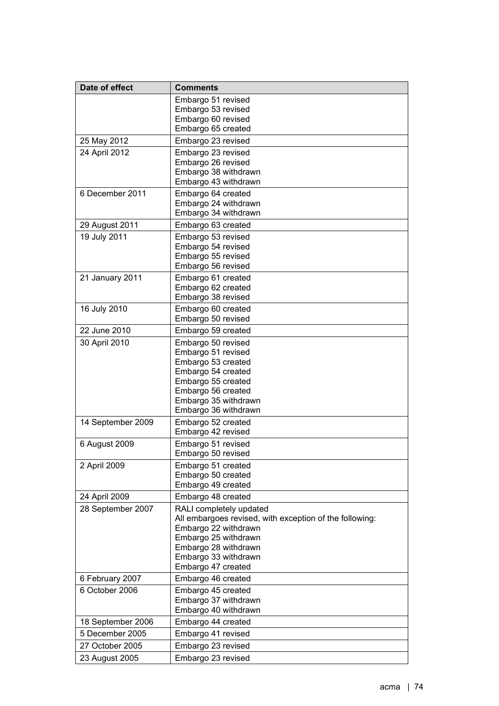| Date of effect    | <b>Comments</b>                                                                                                                                                                                          |
|-------------------|----------------------------------------------------------------------------------------------------------------------------------------------------------------------------------------------------------|
|                   | Embargo 51 revised<br>Embargo 53 revised<br>Embargo 60 revised                                                                                                                                           |
|                   | Embargo 65 created                                                                                                                                                                                       |
| 25 May 2012       | Embargo 23 revised                                                                                                                                                                                       |
| 24 April 2012     | Embargo 23 revised<br>Embargo 26 revised<br>Embargo 38 withdrawn<br>Embargo 43 withdrawn                                                                                                                 |
| 6 December 2011   | Embargo 64 created<br>Embargo 24 withdrawn<br>Embargo 34 withdrawn                                                                                                                                       |
| 29 August 2011    | Embargo 63 created                                                                                                                                                                                       |
| 19 July 2011      | Embargo 53 revised<br>Embargo 54 revised<br>Embargo 55 revised<br>Embargo 56 revised                                                                                                                     |
| 21 January 2011   | Embargo 61 created<br>Embargo 62 created<br>Embargo 38 revised                                                                                                                                           |
| 16 July 2010      | Embargo 60 created<br>Embargo 50 revised                                                                                                                                                                 |
| 22 June 2010      | Embargo 59 created                                                                                                                                                                                       |
| 30 April 2010     | Embargo 50 revised<br>Embargo 51 revised<br>Embargo 53 created<br>Embargo 54 created<br>Embargo 55 created<br>Embargo 56 created<br>Embargo 35 withdrawn<br>Embargo 36 withdrawn                         |
| 14 September 2009 | Embargo 52 created<br>Embargo 42 revised                                                                                                                                                                 |
| 6 August 2009     | Embargo 51 revised<br>Embargo 50 revised                                                                                                                                                                 |
| 2 April 2009      | Embargo 51 created<br>Embargo 50 created<br>Embargo 49 created                                                                                                                                           |
| 24 April 2009     | Embargo 48 created                                                                                                                                                                                       |
| 28 September 2007 | RALI completely updated<br>All embargoes revised, with exception of the following:<br>Embargo 22 withdrawn<br>Embargo 25 withdrawn<br>Embargo 28 withdrawn<br>Embargo 33 withdrawn<br>Embargo 47 created |
| 6 February 2007   | Embargo 46 created                                                                                                                                                                                       |
| 6 October 2006    | Embargo 45 created<br>Embargo 37 withdrawn<br>Embargo 40 withdrawn                                                                                                                                       |
| 18 September 2006 | Embargo 44 created                                                                                                                                                                                       |
| 5 December 2005   | Embargo 41 revised                                                                                                                                                                                       |
| 27 October 2005   | Embargo 23 revised                                                                                                                                                                                       |
| 23 August 2005    | Embargo 23 revised                                                                                                                                                                                       |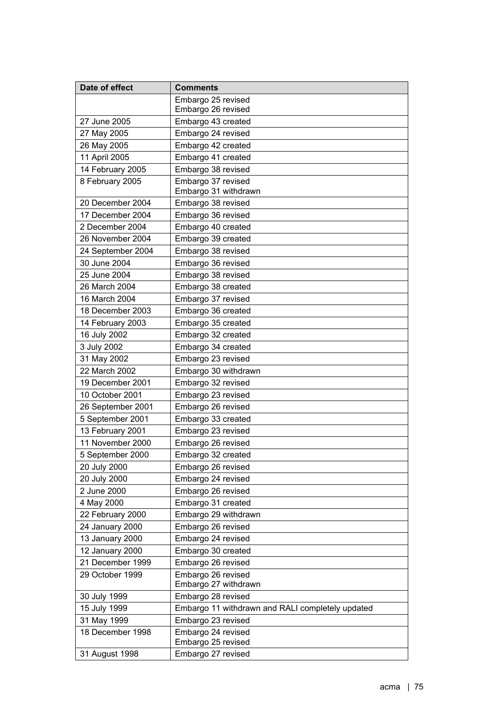| Date of effect    | <b>Comments</b>                                  |
|-------------------|--------------------------------------------------|
|                   | Embargo 25 revised                               |
|                   | Embargo 26 revised                               |
| 27 June 2005      | Embargo 43 created                               |
| 27 May 2005       | Embargo 24 revised                               |
| 26 May 2005       | Embargo 42 created                               |
| 11 April 2005     | Embargo 41 created                               |
| 14 February 2005  | Embargo 38 revised                               |
| 8 February 2005   | Embargo 37 revised<br>Embargo 31 withdrawn       |
| 20 December 2004  | Embargo 38 revised                               |
| 17 December 2004  | Embargo 36 revised                               |
| 2 December 2004   | Embargo 40 created                               |
| 26 November 2004  | Embargo 39 created                               |
| 24 September 2004 | Embargo 38 revised                               |
| 30 June 2004      | Embargo 36 revised                               |
| 25 June 2004      | Embargo 38 revised                               |
| 26 March 2004     | Embargo 38 created                               |
| 16 March 2004     | Embargo 37 revised                               |
| 18 December 2003  | Embargo 36 created                               |
| 14 February 2003  | Embargo 35 created                               |
| 16 July 2002      | Embargo 32 created                               |
| 3 July 2002       | Embargo 34 created                               |
| 31 May 2002       | Embargo 23 revised                               |
| 22 March 2002     | Embargo 30 withdrawn                             |
| 19 December 2001  | Embargo 32 revised                               |
| 10 October 2001   | Embargo 23 revised                               |
| 26 September 2001 | Embargo 26 revised                               |
| 5 September 2001  | Embargo 33 created                               |
| 13 February 2001  | Embargo 23 revised                               |
| 11 November 2000  | Embargo 26 revised                               |
| 5 September 2000  | Embargo 32 created                               |
| 20 July 2000      | Embargo 26 revised                               |
| 20 July 2000      | Embargo 24 revised                               |
| 2 June 2000       | Embargo 26 revised                               |
| 4 May 2000        | Embargo 31 created                               |
| 22 February 2000  | Embargo 29 withdrawn                             |
| 24 January 2000   | Embargo 26 revised                               |
| 13 January 2000   | Embargo 24 revised                               |
| 12 January 2000   | Embargo 30 created                               |
| 21 December 1999  | Embargo 26 revised                               |
| 29 October 1999   | Embargo 26 revised<br>Embargo 27 withdrawn       |
| 30 July 1999      | Embargo 28 revised                               |
| 15 July 1999      | Embargo 11 withdrawn and RALI completely updated |
| 31 May 1999       | Embargo 23 revised                               |
| 18 December 1998  | Embargo 24 revised                               |
|                   | Embargo 25 revised                               |
| 31 August 1998    | Embargo 27 revised                               |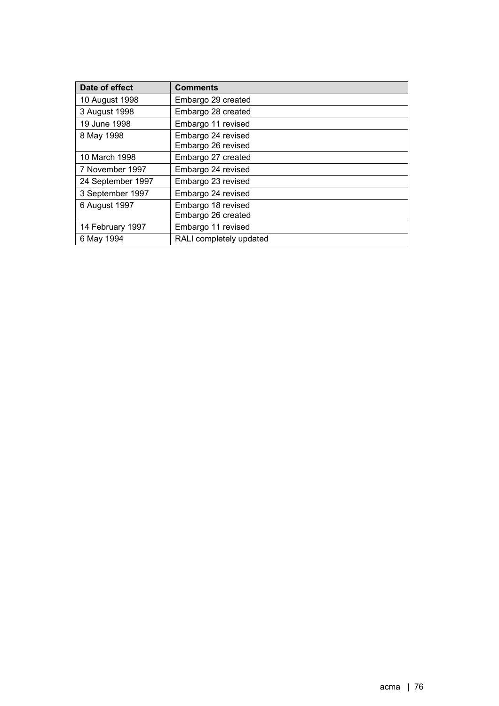| Date of effect    | <b>Comments</b>                          |
|-------------------|------------------------------------------|
| 10 August 1998    | Embargo 29 created                       |
| 3 August 1998     | Embargo 28 created                       |
| 19 June 1998      | Embargo 11 revised                       |
| 8 May 1998        | Embargo 24 revised<br>Embargo 26 revised |
| 10 March 1998     | Embargo 27 created                       |
| 7 November 1997   | Embargo 24 revised                       |
| 24 September 1997 | Embargo 23 revised                       |
| 3 September 1997  | Embargo 24 revised                       |
| 6 August 1997     | Embargo 18 revised<br>Embargo 26 created |
| 14 February 1997  | Embargo 11 revised                       |
| 6 May 1994        | RALI completely updated                  |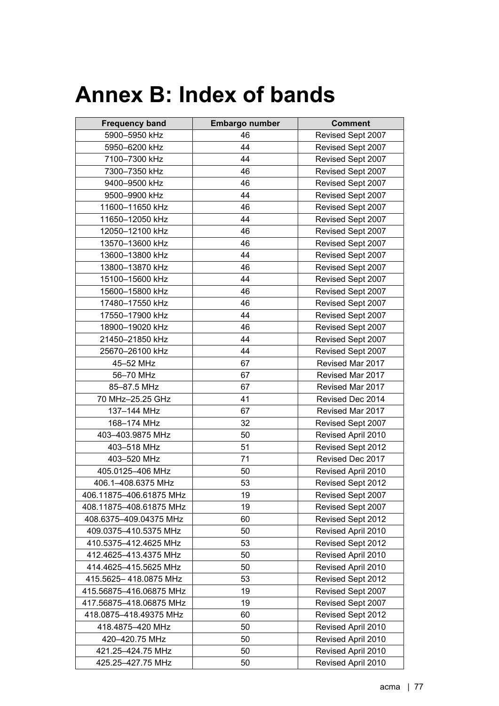## **Annex B: Index of bands**

| <b>Frequency band</b>   | <b>Embargo number</b> | <b>Comment</b>     |
|-------------------------|-----------------------|--------------------|
| 5900-5950 kHz           | 46                    | Revised Sept 2007  |
| 5950-6200 kHz           | 44                    | Revised Sept 2007  |
| 7100-7300 kHz           | 44                    | Revised Sept 2007  |
| 7300-7350 kHz           | 46                    | Revised Sept 2007  |
| 9400-9500 kHz           | 46                    | Revised Sept 2007  |
| 9500-9900 kHz           | 44                    | Revised Sept 2007  |
| 11600-11650 kHz         | 46                    | Revised Sept 2007  |
| 11650-12050 kHz         | 44                    | Revised Sept 2007  |
| 12050-12100 kHz         | 46                    | Revised Sept 2007  |
| 13570-13600 kHz         | 46                    | Revised Sept 2007  |
| 13600-13800 kHz         | 44                    | Revised Sept 2007  |
| 13800-13870 kHz         | 46                    | Revised Sept 2007  |
| 15100-15600 kHz         | 44                    | Revised Sept 2007  |
| 15600-15800 kHz         | 46                    | Revised Sept 2007  |
| 17480-17550 kHz         | 46                    | Revised Sept 2007  |
| 17550-17900 kHz         | 44                    | Revised Sept 2007  |
| 18900-19020 kHz         | 46                    | Revised Sept 2007  |
| 21450-21850 kHz         | 44                    | Revised Sept 2007  |
| 25670-26100 kHz         | 44                    | Revised Sept 2007  |
| 45-52 MHz               | 67                    | Revised Mar 2017   |
| 56-70 MHz               | 67                    | Revised Mar 2017   |
| 85-87.5 MHz             | 67                    | Revised Mar 2017   |
| 70 MHz-25.25 GHz        | 41                    | Revised Dec 2014   |
| 137-144 MHz             | 67                    | Revised Mar 2017   |
| 168-174 MHz             | 32                    | Revised Sept 2007  |
| 403-403.9875 MHz        | 50                    | Revised April 2010 |
| 403-518 MHz             | 51                    | Revised Sept 2012  |
| 403-520 MHz             | 71                    | Revised Dec 2017   |
| 405.0125-406 MHz        | 50                    | Revised April 2010 |
| 406.1-408.6375 MHz      | 53                    | Revised Sept 2012  |
| 406.11875-406.61875 MHz | 19                    | Revised Sept 2007  |
| 408.11875-408.61875 MHz | 19                    | Revised Sept 2007  |
| 408.6375-409.04375 MHz  | 60                    | Revised Sept 2012  |
| 409.0375-410.5375 MHz   | 50                    | Revised April 2010 |
| 410.5375-412.4625 MHz   | 53                    | Revised Sept 2012  |
| 412.4625-413.4375 MHz   | 50                    | Revised April 2010 |
| 414.4625-415.5625 MHz   | 50                    | Revised April 2010 |
| 415.5625-418.0875 MHz   | 53                    | Revised Sept 2012  |
| 415.56875-416.06875 MHz | 19                    | Revised Sept 2007  |
| 417.56875-418.06875 MHz | 19                    | Revised Sept 2007  |
| 418.0875-418.49375 MHz  | 60                    | Revised Sept 2012  |
| 418.4875-420 MHz        | 50                    | Revised April 2010 |
| 420-420.75 MHz          | 50                    | Revised April 2010 |
| 421.25-424.75 MHz       | 50                    | Revised April 2010 |
| 425.25-427.75 MHz       | 50                    | Revised April 2010 |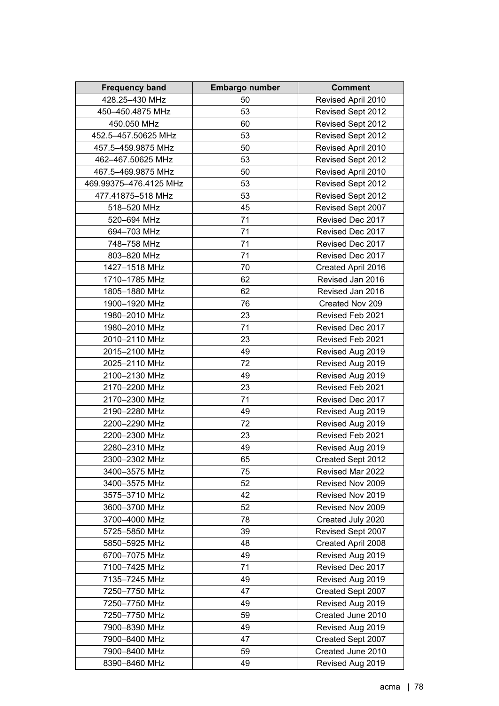| <b>Frequency band</b>  | Embargo number | <b>Comment</b>     |
|------------------------|----------------|--------------------|
| 428.25-430 MHz         | 50             | Revised April 2010 |
| 450-450.4875 MHz       | 53             | Revised Sept 2012  |
| 450.050 MHz            | 60             | Revised Sept 2012  |
| 452.5-457.50625 MHz    | 53             | Revised Sept 2012  |
| 457.5-459.9875 MHz     | 50             | Revised April 2010 |
| 462-467.50625 MHz      | 53             | Revised Sept 2012  |
| 467.5-469.9875 MHz     | 50             | Revised April 2010 |
| 469.99375-476.4125 MHz | 53             | Revised Sept 2012  |
| 477.41875-518 MHz      | 53             | Revised Sept 2012  |
| 518-520 MHz            | 45             | Revised Sept 2007  |
| 520-694 MHz            | 71             | Revised Dec 2017   |
| 694-703 MHz            | 71             | Revised Dec 2017   |
| 748-758 MHz            | 71             | Revised Dec 2017   |
| 803-820 MHz            | 71             | Revised Dec 2017   |
| 1427-1518 MHz          | 70             | Created April 2016 |
| 1710-1785 MHz          | 62             | Revised Jan 2016   |
| 1805-1880 MHz          | 62             | Revised Jan 2016   |
| 1900-1920 MHz          | 76             | Created Nov 209    |
| 1980-2010 MHz          | 23             | Revised Feb 2021   |
| 1980-2010 MHz          | 71             | Revised Dec 2017   |
| 2010-2110 MHz          | 23             | Revised Feb 2021   |
| 2015-2100 MHz          | 49             | Revised Aug 2019   |
| 2025-2110 MHz          | 72             | Revised Aug 2019   |
| 2100-2130 MHz          | 49             | Revised Aug 2019   |
| 2170-2200 MHz          | 23             | Revised Feb 2021   |
| 2170-2300 MHz          | 71             | Revised Dec 2017   |
| 2190-2280 MHz          | 49             | Revised Aug 2019   |
| 2200-2290 MHz          | 72             | Revised Aug 2019   |
| 2200-2300 MHz          | 23             | Revised Feb 2021   |
| 2280-2310 MHz          | 49             | Revised Aug 2019   |
| 2300–2302 MHz          | 65             | Created Sept 2012  |
| 3400-3575 MHz          | 75             | Revised Mar 2022   |
| 3400-3575 MHz          | 52             | Revised Nov 2009   |
| 3575-3710 MHz          | 42             | Revised Nov 2019   |
| 3600-3700 MHz          | 52             | Revised Nov 2009   |
| 3700-4000 MHz          | 78             | Created July 2020  |
| 5725-5850 MHz          | 39             | Revised Sept 2007  |
| 5850-5925 MHz          | 48             | Created April 2008 |
| 6700-7075 MHz          | 49             | Revised Aug 2019   |
| 7100-7425 MHz          | 71             | Revised Dec 2017   |
| 7135-7245 MHz          | 49             | Revised Aug 2019   |
| 7250-7750 MHz          | 47             | Created Sept 2007  |
| 7250-7750 MHz          | 49             | Revised Aug 2019   |
| 7250-7750 MHz          | 59             | Created June 2010  |
| 7900-8390 MHz          | 49             | Revised Aug 2019   |
| 7900-8400 MHz          | 47             | Created Sept 2007  |
| 7900-8400 MHz          | 59             | Created June 2010  |
| 8390-8460 MHz          | 49             | Revised Aug 2019   |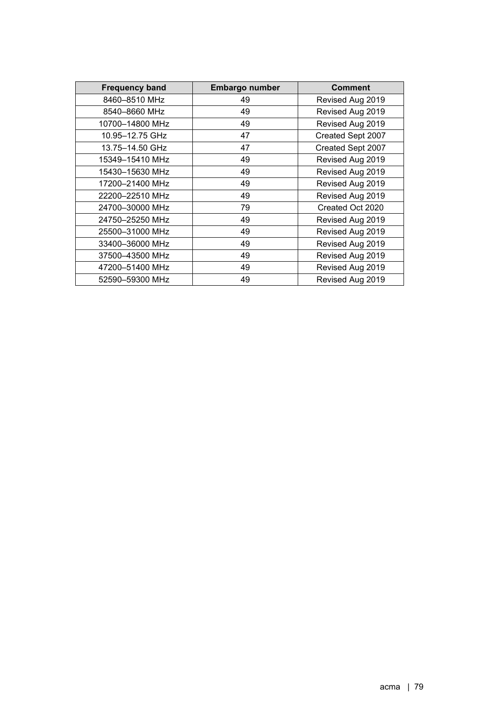| <b>Frequency band</b> | <b>Embargo number</b> | <b>Comment</b>    |
|-----------------------|-----------------------|-------------------|
| 8460-8510 MHz         | 49                    | Revised Aug 2019  |
| 8540-8660 MHz         | 49                    | Revised Aug 2019  |
| 10700-14800 MHz       | 49                    | Revised Aug 2019  |
| 10.95-12.75 GHz       | 47                    | Created Sept 2007 |
| 13.75-14.50 GHz       | 47                    | Created Sept 2007 |
| 15349-15410 MHz       | 49                    | Revised Aug 2019  |
| 15430-15630 MHz       | 49                    | Revised Aug 2019  |
| 17200-21400 MHz       | 49                    | Revised Aug 2019  |
| 22200-22510 MHz       | 49                    | Revised Aug 2019  |
| 24700-30000 MHz       | 79                    | Created Oct 2020  |
| 24750-25250 MHz       | 49                    | Revised Aug 2019  |
| 25500-31000 MHz       | 49                    | Revised Aug 2019  |
| 33400-36000 MHz       | 49                    | Revised Aug 2019  |
| 37500-43500 MHz       | 49                    | Revised Aug 2019  |
| 47200-51400 MHz       | 49                    | Revised Aug 2019  |
| 52590-59300 MHz       | 49                    | Revised Aug 2019  |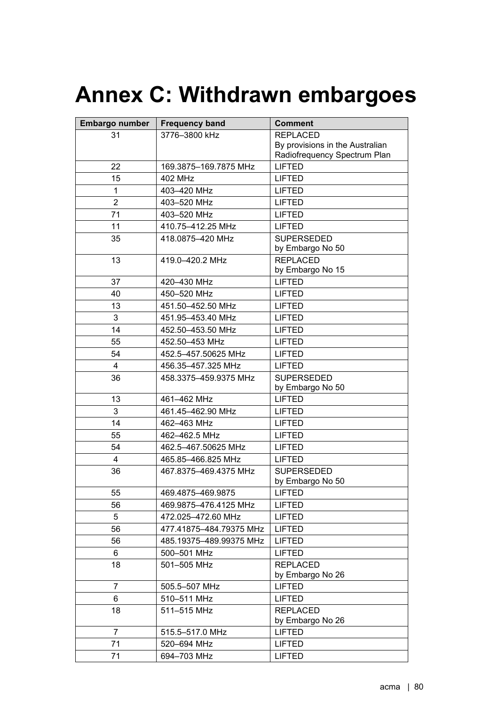## **Annex C: Withdrawn embargoes**

| Embargo number | <b>Frequency band</b>   | <b>Comment</b>                      |
|----------------|-------------------------|-------------------------------------|
| 31             | 3776-3800 kHz           | <b>REPLACED</b>                     |
|                |                         | By provisions in the Australian     |
|                |                         | Radiofrequency Spectrum Plan        |
| 22             | 169.3875-169.7875 MHz   | <b>LIFTED</b>                       |
| 15             | 402 MHz                 | <b>LIFTED</b>                       |
| $\mathbf{1}$   | 403-420 MHz             | <b>LIFTED</b>                       |
| $\overline{2}$ | 403-520 MHz             | <b>LIFTED</b>                       |
| 71             | 403-520 MHz             | <b>LIFTED</b>                       |
| 11             | 410.75-412.25 MHz       | <b>LIFTED</b>                       |
| 35             | 418.0875-420 MHz        | <b>SUPERSEDED</b>                   |
|                |                         | by Embargo No 50                    |
| 13             | 419.0-420.2 MHz         | <b>REPLACED</b><br>by Embargo No 15 |
| 37             | 420-430 MHz             | <b>LIFTED</b>                       |
| 40             | 450-520 MHz             | <b>LIFTED</b>                       |
| 13             | 451.50-452.50 MHz       | <b>LIFTED</b>                       |
| 3              | 451.95-453.40 MHz       | <b>LIFTED</b>                       |
| 14             | 452.50-453.50 MHz       | <b>LIFTED</b>                       |
| 55             | 452.50-453 MHz          | <b>LIFTED</b>                       |
| 54             | 452.5-457.50625 MHz     | <b>LIFTED</b>                       |
| 4              | 456.35-457.325 MHz      | <b>LIFTED</b>                       |
| 36             | 458.3375-459.9375 MHz   | <b>SUPERSEDED</b>                   |
|                |                         | by Embargo No 50                    |
| 13             | 461-462 MHz             | <b>LIFTED</b>                       |
| 3              | 461.45-462.90 MHz       | <b>LIFTED</b>                       |
| 14             | 462-463 MHz             | <b>LIFTED</b>                       |
| 55             | 462-462.5 MHz           | <b>LIFTED</b>                       |
| 54             | 462.5-467.50625 MHz     | <b>LIFTED</b>                       |
| 4              | 465.85-466.825 MHz      | <b>LIFTED</b>                       |
| 36             | 467.8375-469.4375 MHz   | <b>SUPERSEDED</b>                   |
|                |                         | by Embargo No 50                    |
| 55             | 469.4875-469.9875       | LIFTED                              |
| 56             | 469.9875-476.4125 MHz   | <b>LIFTED</b>                       |
| 5              | 472.025-472.60 MHz      | <b>LIFTED</b>                       |
| 56             | 477.41875-484.79375 MHz | <b>LIFTED</b>                       |
| 56             | 485.19375-489.99375 MHz | <b>LIFTED</b>                       |
| 6              | 500-501 MHz             | <b>LIFTED</b>                       |
| 18             | 501-505 MHz             | <b>REPLACED</b>                     |
|                |                         | by Embargo No 26                    |
| 7              | 505.5-507 MHz           | <b>LIFTED</b>                       |
| 6              | 510-511 MHz             | <b>LIFTED</b>                       |
| 18             | 511-515 MHz             | <b>REPLACED</b>                     |
|                |                         | by Embargo No 26                    |
| 7              | 515.5-517.0 MHz         | <b>LIFTED</b>                       |
| 71             | 520-694 MHz             | <b>LIFTED</b>                       |
| 71             | 694-703 MHz             | <b>LIFTED</b>                       |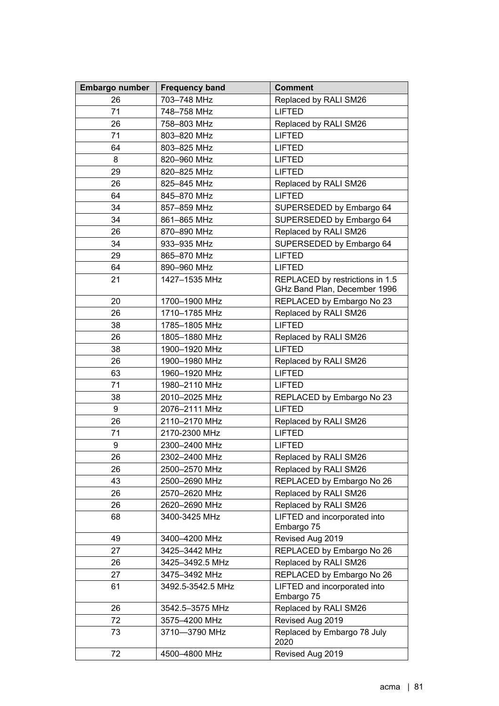| Embargo number | <b>Frequency band</b>          | <b>Comment</b>                             |
|----------------|--------------------------------|--------------------------------------------|
| 26             | 703-748 MHz                    | Replaced by RALI SM26                      |
| 71             | 748-758 MHz                    | <b>LIFTED</b>                              |
| 26             | 758-803 MHz                    | Replaced by RALI SM26                      |
| 71             | 803-820 MHz                    | <b>LIFTED</b>                              |
| 64             | 803-825 MHz                    | <b>LIFTED</b>                              |
| 8              | 820-960 MHz                    | <b>LIFTED</b>                              |
| 29             | 820-825 MHz                    | <b>LIFTED</b>                              |
| 26             | 825-845 MHz                    | Replaced by RALI SM26                      |
| 64             | 845-870 MHz                    | <b>LIFTED</b>                              |
| 34             | 857-859 MHz                    | SUPERSEDED by Embargo 64                   |
| 34             | 861-865 MHz                    | SUPERSEDED by Embargo 64                   |
| 26             | 870-890 MHz                    | Replaced by RALI SM26                      |
| 34             | 933-935 MHz                    | SUPERSEDED by Embargo 64                   |
| 29             | 865-870 MHz                    | <b>LIFTED</b>                              |
| 64             | 890-960 MHz                    | <b>LIFTED</b>                              |
| 21             | 1427-1535 MHz                  | REPLACED by restrictions in 1.5            |
|                |                                | GHz Band Plan, December 1996               |
| 20             | 1700-1900 MHz                  | REPLACED by Embargo No 23                  |
| 26             | 1710-1785 MHz                  | Replaced by RALI SM26                      |
| 38             | 1785-1805 MHz                  | <b>LIFTED</b>                              |
| 26             | 1805-1880 MHz                  | Replaced by RALI SM26                      |
| 38             | 1900-1920 MHz                  | <b>LIFTED</b>                              |
| 26             | 1900-1980 MHz                  | Replaced by RALI SM26                      |
| 63             | 1960-1920 MHz                  | <b>LIFTED</b>                              |
| 71             | 1980-2110 MHz                  | <b>LIFTED</b>                              |
| 38             | 2010-2025 MHz                  | REPLACED by Embargo No 23                  |
| 9              | 2076-2111 MHz                  | <b>LIFTED</b>                              |
| 26             | 2110-2170 MHz                  | Replaced by RALI SM26                      |
| 71             | 2170-2300 MHz                  | <b>LIFTED</b>                              |
| 9              | 2300-2400 MHz                  | <b>LIFTED</b>                              |
| 26             | 2302-2400 MHz                  | Replaced by RALI SM26                      |
| 26             | 2500-2570 MHz                  | Replaced by RALI SM26                      |
| 43             | 2500-2690 MHz                  | REPLACED by Embargo No 26                  |
| 26             | 2570-2620 MHz                  | Replaced by RALI SM26                      |
| 26             | 2620-2690 MHz                  | Replaced by RALI SM26                      |
| 68             | 3400-3425 MHz                  | LIFTED and incorporated into               |
| 49             |                                | Embargo 75                                 |
| 27             | 3400-4200 MHz<br>3425-3442 MHz | Revised Aug 2019                           |
|                |                                | REPLACED by Embargo No 26                  |
| 26             | 3425-3492.5 MHz                | Replaced by RALI SM26                      |
| 27<br>61       | 3475-3492 MHz                  | REPLACED by Embargo No 26                  |
|                | 3492.5-3542.5 MHz              | LIFTED and incorporated into<br>Embargo 75 |
| 26             | 3542.5-3575 MHz                | Replaced by RALI SM26                      |
| 72             | 3575-4200 MHz                  | Revised Aug 2019                           |
| 73             | 3710-3790 MHz                  | Replaced by Embargo 78 July                |
|                |                                | 2020                                       |
| 72             | 4500-4800 MHz                  | Revised Aug 2019                           |